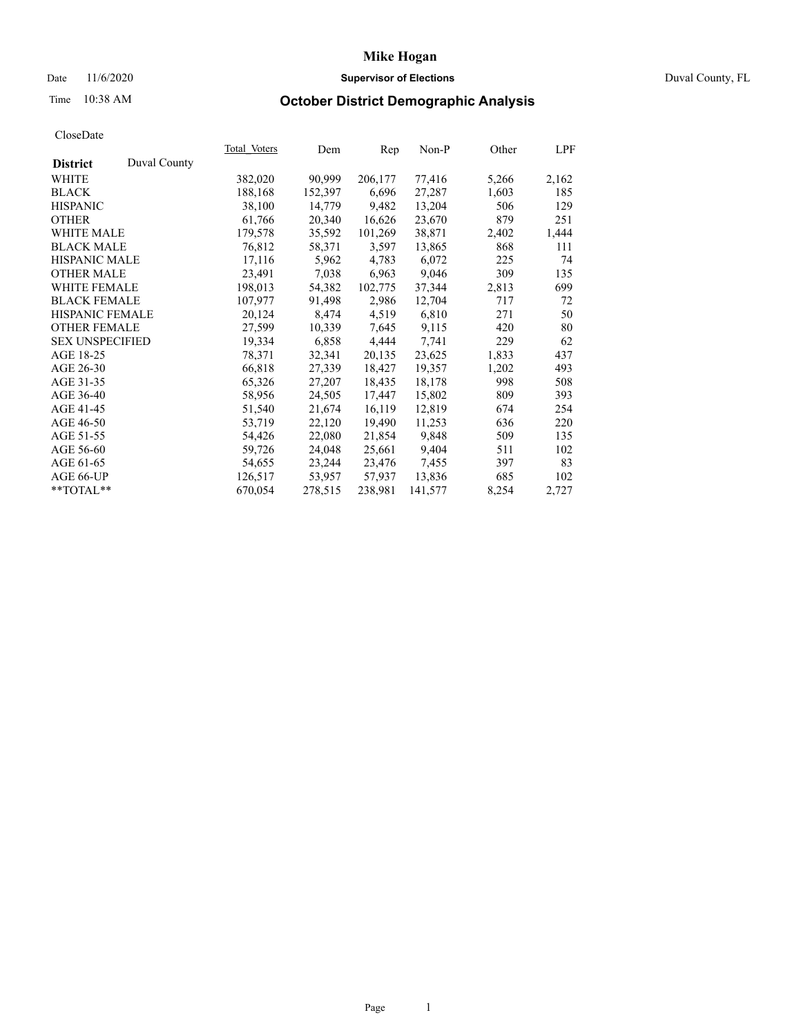### Date 11/6/2020 **Supervisor of Elections Supervisor of Elections** Duval County, FL

# Time 10:38 AM **October District Demographic Analysis**

| Duval County<br><b>District</b><br>90,999<br>WHITE<br>382,020<br>206,177<br>77,416<br>5,266<br><b>BLACK</b><br>188,168<br>152,397<br>6,696<br>27,287<br>1,603<br>9,482<br><b>HISPANIC</b><br>38,100<br>14,779<br>13,204<br>506<br><b>OTHER</b><br>23,670<br>879<br>61,766<br>20,340<br>16,626<br>101,269<br><b>WHITE MALE</b><br>179,578<br>35,592<br>38,871<br>2,402<br>76,812<br><b>BLACK MALE</b><br>58,371<br>13,865<br>868<br>3,597<br><b>HISPANIC MALE</b><br>6,072<br>225<br>17,116<br>5,962<br>4,783<br>9,046<br><b>OTHER MALE</b><br>23,491<br>7,038<br>6,963<br>309<br>37,344<br>2,813<br><b>WHITE FEMALE</b><br>198,013<br>54,382<br>102,775<br><b>BLACK FEMALE</b><br>91,498<br>2,986<br>12,704<br>107,977<br>717<br>HISPANIC FEMALE<br>20,124<br>4,519<br>6,810<br>271<br>8,474<br><b>OTHER FEMALE</b><br>9,115<br>27,599<br>10,339<br>7,645<br>420<br>19,334<br>6,858<br>4,444<br>7,741<br><b>SEX UNSPECIFIED</b><br>229<br>AGE 18-25<br>20,135<br>23,625<br>78,371<br>32,341<br>1,833<br>AGE 26-30<br>66,818<br>27,339<br>18,427<br>19,357<br>1,202<br>AGE 31-35<br>65,326<br>18,435<br>18,178<br>998<br>27,207<br>AGE 36-40<br>15,802<br>809<br>58,956<br>24,505<br>17,447<br>AGE 41-45<br>16,119<br>12,819<br>674<br>51,540<br>21,674<br>AGE 46-50<br>11,253<br>636<br>53,719<br>22,120<br>19,490<br>AGE 51-55<br>54,426<br>22,080<br>21,854<br>9,848<br>509<br>9,404<br>AGE 56-60<br>59,726<br>24,048<br>25,661<br>511<br>7,455<br>AGE 61-65<br>54,655<br>23,244<br>23,476<br>397<br>57,937<br>13,836<br>AGE 66-UP<br>126,517<br>53,957<br>685<br>**TOTAL** |  | Total Voters | Dem     | Rep     | $Non-P$ | Other | LPF   |
|-------------------------------------------------------------------------------------------------------------------------------------------------------------------------------------------------------------------------------------------------------------------------------------------------------------------------------------------------------------------------------------------------------------------------------------------------------------------------------------------------------------------------------------------------------------------------------------------------------------------------------------------------------------------------------------------------------------------------------------------------------------------------------------------------------------------------------------------------------------------------------------------------------------------------------------------------------------------------------------------------------------------------------------------------------------------------------------------------------------------------------------------------------------------------------------------------------------------------------------------------------------------------------------------------------------------------------------------------------------------------------------------------------------------------------------------------------------------------------------------------------------------------------------------------------------------------------|--|--------------|---------|---------|---------|-------|-------|
|                                                                                                                                                                                                                                                                                                                                                                                                                                                                                                                                                                                                                                                                                                                                                                                                                                                                                                                                                                                                                                                                                                                                                                                                                                                                                                                                                                                                                                                                                                                                                                               |  |              |         |         |         |       |       |
|                                                                                                                                                                                                                                                                                                                                                                                                                                                                                                                                                                                                                                                                                                                                                                                                                                                                                                                                                                                                                                                                                                                                                                                                                                                                                                                                                                                                                                                                                                                                                                               |  |              |         |         |         |       | 2,162 |
|                                                                                                                                                                                                                                                                                                                                                                                                                                                                                                                                                                                                                                                                                                                                                                                                                                                                                                                                                                                                                                                                                                                                                                                                                                                                                                                                                                                                                                                                                                                                                                               |  |              |         |         |         |       | 185   |
|                                                                                                                                                                                                                                                                                                                                                                                                                                                                                                                                                                                                                                                                                                                                                                                                                                                                                                                                                                                                                                                                                                                                                                                                                                                                                                                                                                                                                                                                                                                                                                               |  |              |         |         |         |       | 129   |
|                                                                                                                                                                                                                                                                                                                                                                                                                                                                                                                                                                                                                                                                                                                                                                                                                                                                                                                                                                                                                                                                                                                                                                                                                                                                                                                                                                                                                                                                                                                                                                               |  |              |         |         |         |       | 251   |
|                                                                                                                                                                                                                                                                                                                                                                                                                                                                                                                                                                                                                                                                                                                                                                                                                                                                                                                                                                                                                                                                                                                                                                                                                                                                                                                                                                                                                                                                                                                                                                               |  |              |         |         |         |       | 1,444 |
|                                                                                                                                                                                                                                                                                                                                                                                                                                                                                                                                                                                                                                                                                                                                                                                                                                                                                                                                                                                                                                                                                                                                                                                                                                                                                                                                                                                                                                                                                                                                                                               |  |              |         |         |         |       | 111   |
|                                                                                                                                                                                                                                                                                                                                                                                                                                                                                                                                                                                                                                                                                                                                                                                                                                                                                                                                                                                                                                                                                                                                                                                                                                                                                                                                                                                                                                                                                                                                                                               |  |              |         |         |         |       | 74    |
|                                                                                                                                                                                                                                                                                                                                                                                                                                                                                                                                                                                                                                                                                                                                                                                                                                                                                                                                                                                                                                                                                                                                                                                                                                                                                                                                                                                                                                                                                                                                                                               |  |              |         |         |         |       | 135   |
|                                                                                                                                                                                                                                                                                                                                                                                                                                                                                                                                                                                                                                                                                                                                                                                                                                                                                                                                                                                                                                                                                                                                                                                                                                                                                                                                                                                                                                                                                                                                                                               |  |              |         |         |         |       | 699   |
|                                                                                                                                                                                                                                                                                                                                                                                                                                                                                                                                                                                                                                                                                                                                                                                                                                                                                                                                                                                                                                                                                                                                                                                                                                                                                                                                                                                                                                                                                                                                                                               |  |              |         |         |         |       | 72    |
|                                                                                                                                                                                                                                                                                                                                                                                                                                                                                                                                                                                                                                                                                                                                                                                                                                                                                                                                                                                                                                                                                                                                                                                                                                                                                                                                                                                                                                                                                                                                                                               |  |              |         |         |         |       | 50    |
|                                                                                                                                                                                                                                                                                                                                                                                                                                                                                                                                                                                                                                                                                                                                                                                                                                                                                                                                                                                                                                                                                                                                                                                                                                                                                                                                                                                                                                                                                                                                                                               |  |              |         |         |         |       | 80    |
|                                                                                                                                                                                                                                                                                                                                                                                                                                                                                                                                                                                                                                                                                                                                                                                                                                                                                                                                                                                                                                                                                                                                                                                                                                                                                                                                                                                                                                                                                                                                                                               |  |              |         |         |         |       | 62    |
|                                                                                                                                                                                                                                                                                                                                                                                                                                                                                                                                                                                                                                                                                                                                                                                                                                                                                                                                                                                                                                                                                                                                                                                                                                                                                                                                                                                                                                                                                                                                                                               |  |              |         |         |         |       | 437   |
|                                                                                                                                                                                                                                                                                                                                                                                                                                                                                                                                                                                                                                                                                                                                                                                                                                                                                                                                                                                                                                                                                                                                                                                                                                                                                                                                                                                                                                                                                                                                                                               |  |              |         |         |         |       | 493   |
|                                                                                                                                                                                                                                                                                                                                                                                                                                                                                                                                                                                                                                                                                                                                                                                                                                                                                                                                                                                                                                                                                                                                                                                                                                                                                                                                                                                                                                                                                                                                                                               |  |              |         |         |         |       | 508   |
|                                                                                                                                                                                                                                                                                                                                                                                                                                                                                                                                                                                                                                                                                                                                                                                                                                                                                                                                                                                                                                                                                                                                                                                                                                                                                                                                                                                                                                                                                                                                                                               |  |              |         |         |         |       | 393   |
|                                                                                                                                                                                                                                                                                                                                                                                                                                                                                                                                                                                                                                                                                                                                                                                                                                                                                                                                                                                                                                                                                                                                                                                                                                                                                                                                                                                                                                                                                                                                                                               |  |              |         |         |         |       | 254   |
|                                                                                                                                                                                                                                                                                                                                                                                                                                                                                                                                                                                                                                                                                                                                                                                                                                                                                                                                                                                                                                                                                                                                                                                                                                                                                                                                                                                                                                                                                                                                                                               |  |              |         |         |         |       | 220   |
|                                                                                                                                                                                                                                                                                                                                                                                                                                                                                                                                                                                                                                                                                                                                                                                                                                                                                                                                                                                                                                                                                                                                                                                                                                                                                                                                                                                                                                                                                                                                                                               |  |              |         |         |         |       | 135   |
|                                                                                                                                                                                                                                                                                                                                                                                                                                                                                                                                                                                                                                                                                                                                                                                                                                                                                                                                                                                                                                                                                                                                                                                                                                                                                                                                                                                                                                                                                                                                                                               |  |              |         |         |         |       | 102   |
|                                                                                                                                                                                                                                                                                                                                                                                                                                                                                                                                                                                                                                                                                                                                                                                                                                                                                                                                                                                                                                                                                                                                                                                                                                                                                                                                                                                                                                                                                                                                                                               |  |              |         |         |         |       | 83    |
|                                                                                                                                                                                                                                                                                                                                                                                                                                                                                                                                                                                                                                                                                                                                                                                                                                                                                                                                                                                                                                                                                                                                                                                                                                                                                                                                                                                                                                                                                                                                                                               |  |              |         |         |         |       | 102   |
|                                                                                                                                                                                                                                                                                                                                                                                                                                                                                                                                                                                                                                                                                                                                                                                                                                                                                                                                                                                                                                                                                                                                                                                                                                                                                                                                                                                                                                                                                                                                                                               |  | 670,054      | 278,515 | 238,981 | 141,577 | 8,254 | 2,727 |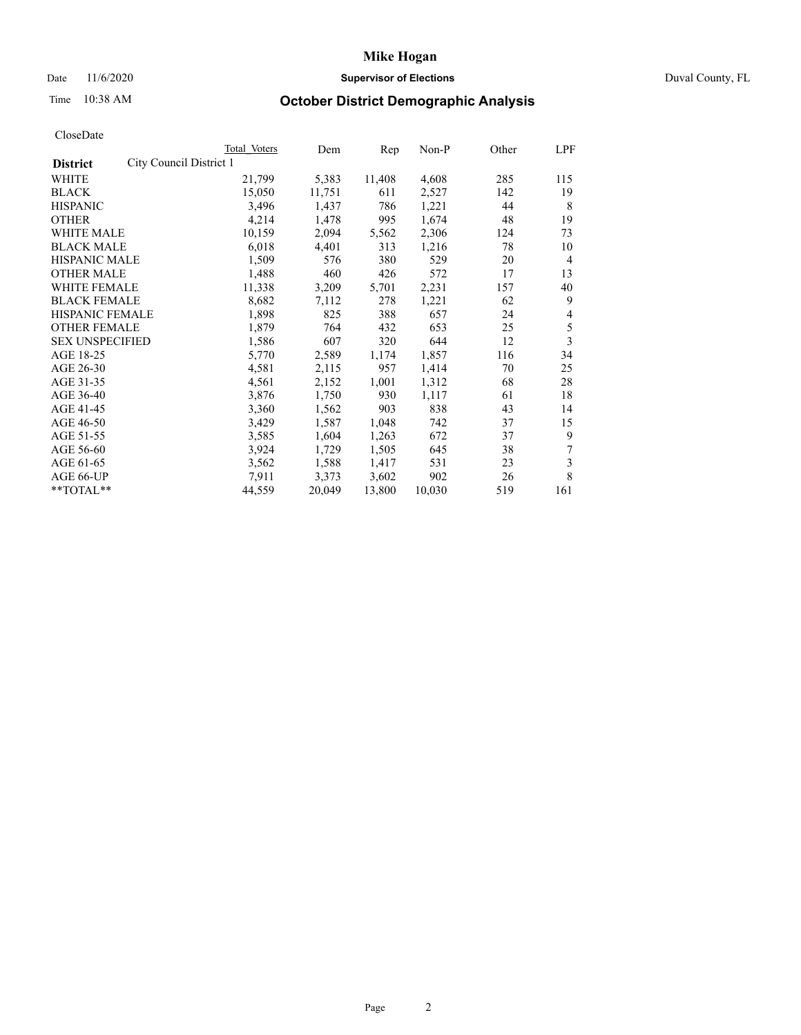## Date 11/6/2020 **Supervisor of Elections Supervisor of Elections** Duval County, FL

# Time 10:38 AM **October District Demographic Analysis**

|                        |                         | <b>Total Voters</b> | Dem    | Rep    | Non-P  | Other | LPF            |
|------------------------|-------------------------|---------------------|--------|--------|--------|-------|----------------|
| <b>District</b>        | City Council District 1 |                     |        |        |        |       |                |
| WHITE                  |                         | 21,799              | 5,383  | 11,408 | 4,608  | 285   | 115            |
| <b>BLACK</b>           |                         | 15,050              | 11,751 | 611    | 2,527  | 142   | 19             |
| <b>HISPANIC</b>        |                         | 3,496               | 1,437  | 786    | 1,221  | 44    | 8              |
| <b>OTHER</b>           |                         | 4,214               | 1,478  | 995    | 1,674  | 48    | 19             |
| WHITE MALE             |                         | 10,159              | 2,094  | 5,562  | 2,306  | 124   | 73             |
| <b>BLACK MALE</b>      |                         | 6,018               | 4,401  | 313    | 1,216  | 78    | 10             |
| <b>HISPANIC MALE</b>   |                         | 1,509               | 576    | 380    | 529    | 20    | $\overline{4}$ |
| <b>OTHER MALE</b>      |                         | 1,488               | 460    | 426    | 572    | 17    | 13             |
| WHITE FEMALE           |                         | 11,338              | 3,209  | 5,701  | 2,231  | 157   | 40             |
| <b>BLACK FEMALE</b>    |                         | 8,682               | 7,112  | 278    | 1,221  | 62    | 9              |
| HISPANIC FEMALE        |                         | 1,898               | 825    | 388    | 657    | 24    | 4              |
| <b>OTHER FEMALE</b>    |                         | 1,879               | 764    | 432    | 653    | 25    | 5              |
| <b>SEX UNSPECIFIED</b> |                         | 1,586               | 607    | 320    | 644    | 12    | 3              |
| AGE 18-25              |                         | 5,770               | 2,589  | 1,174  | 1,857  | 116   | 34             |
| AGE 26-30              |                         | 4,581               | 2,115  | 957    | 1,414  | 70    | 25             |
| AGE 31-35              |                         | 4,561               | 2,152  | 1,001  | 1,312  | 68    | 28             |
| AGE 36-40              |                         | 3,876               | 1,750  | 930    | 1,117  | 61    | 18             |
| AGE 41-45              |                         | 3,360               | 1,562  | 903    | 838    | 43    | 14             |
| AGE 46-50              |                         | 3,429               | 1,587  | 1,048  | 742    | 37    | 15             |
| AGE 51-55              |                         | 3,585               | 1,604  | 1,263  | 672    | 37    | 9              |
| AGE 56-60              |                         | 3,924               | 1,729  | 1,505  | 645    | 38    | 7              |
| AGE 61-65              |                         | 3,562               | 1,588  | 1,417  | 531    | 23    | 3              |
| AGE 66-UP              |                         | 7,911               | 3,373  | 3,602  | 902    | 26    | 8              |
| **TOTAL**              |                         | 44,559              | 20,049 | 13,800 | 10,030 | 519   | 161            |
|                        |                         |                     |        |        |        |       |                |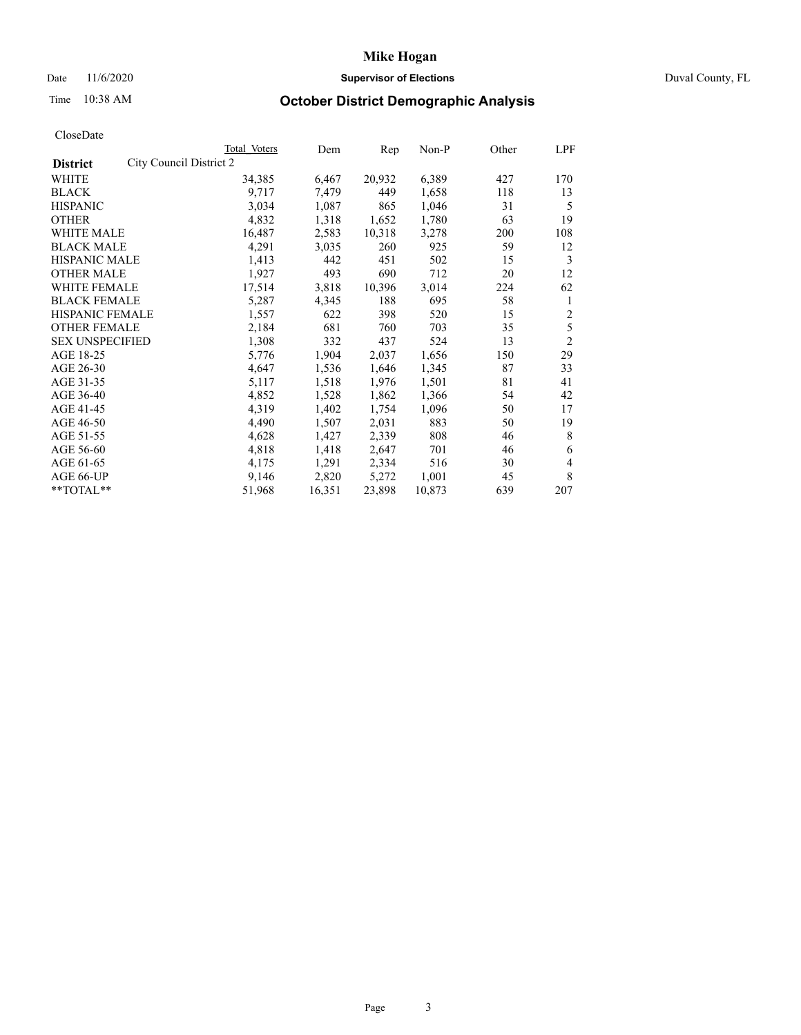## Date 11/6/2020 **Supervisor of Elections Supervisor of Elections** Duval County, FL

# Time 10:38 AM **October District Demographic Analysis**

|                                            | Total Voters | Dem    | Rep    | Non-P  | Other | LPF            |
|--------------------------------------------|--------------|--------|--------|--------|-------|----------------|
| City Council District 2<br><b>District</b> |              |        |        |        |       |                |
| WHITE                                      | 34,385       | 6,467  | 20,932 | 6,389  | 427   | 170            |
| <b>BLACK</b>                               | 9,717        | 7,479  | 449    | 1,658  | 118   | 13             |
| <b>HISPANIC</b>                            | 3,034        | 1,087  | 865    | 1,046  | 31    | 5              |
| <b>OTHER</b>                               | 4,832        | 1,318  | 1,652  | 1,780  | 63    | 19             |
| WHITE MALE                                 | 16,487       | 2,583  | 10,318 | 3,278  | 200   | 108            |
| <b>BLACK MALE</b>                          | 4,291        | 3,035  | 260    | 925    | 59    | 12             |
| <b>HISPANIC MALE</b>                       | 1,413        | 442    | 451    | 502    | 15    | 3              |
| <b>OTHER MALE</b>                          | 1,927        | 493    | 690    | 712    | 20    | 12             |
| WHITE FEMALE                               | 17,514       | 3,818  | 10,396 | 3,014  | 224   | 62             |
| <b>BLACK FEMALE</b>                        | 5,287        | 4,345  | 188    | 695    | 58    | 1              |
| HISPANIC FEMALE                            | 1,557        | 622    | 398    | 520    | 15    | $\overline{c}$ |
| <b>OTHER FEMALE</b>                        | 2,184        | 681    | 760    | 703    | 35    | 5              |
| <b>SEX UNSPECIFIED</b>                     | 1,308        | 332    | 437    | 524    | 13    | $\overline{2}$ |
| AGE 18-25                                  | 5,776        | 1,904  | 2,037  | 1,656  | 150   | 29             |
| AGE 26-30                                  | 4,647        | 1,536  | 1,646  | 1,345  | 87    | 33             |
| AGE 31-35                                  | 5,117        | 1,518  | 1,976  | 1,501  | 81    | 41             |
| AGE 36-40                                  | 4,852        | 1,528  | 1,862  | 1,366  | 54    | 42             |
| AGE 41-45                                  | 4,319        | 1,402  | 1,754  | 1,096  | 50    | 17             |
| AGE 46-50                                  | 4,490        | 1,507  | 2,031  | 883    | 50    | 19             |
| AGE 51-55                                  | 4,628        | 1,427  | 2,339  | 808    | 46    | 8              |
| AGE 56-60                                  | 4,818        | 1,418  | 2,647  | 701    | 46    | 6              |
| AGE 61-65                                  | 4,175        | 1,291  | 2,334  | 516    | 30    | 4              |
| AGE 66-UP                                  | 9,146        | 2,820  | 5,272  | 1,001  | 45    | 8              |
| **TOTAL**                                  | 51,968       | 16,351 | 23,898 | 10,873 | 639   | 207            |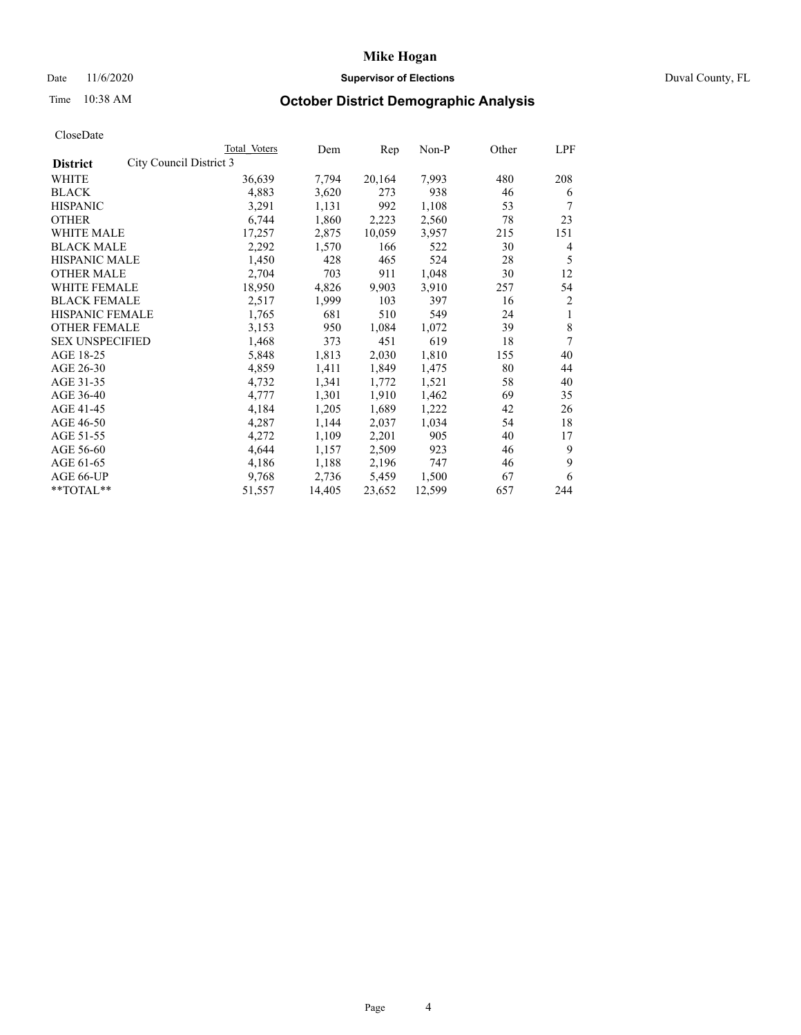### Date 11/6/2020 **Supervisor of Elections Supervisor of Elections** Duval County, FL

# Time 10:38 AM **October District Demographic Analysis**

| Total Voters | Dem                     | Rep    | Non-P  | Other | LPF            |
|--------------|-------------------------|--------|--------|-------|----------------|
|              |                         |        |        |       |                |
| 36,639       | 7,794                   | 20,164 | 7,993  | 480   | 208            |
| 4,883        | 3,620                   | 273    | 938    | 46    | 6              |
| 3,291        | 1,131                   | 992    | 1,108  | 53    | 7              |
| 6,744        | 1,860                   | 2,223  | 2,560  | 78    | 23             |
| 17,257       | 2,875                   | 10,059 | 3,957  | 215   | 151            |
| 2,292        | 1,570                   | 166    | 522    | 30    | 4              |
| 1,450        | 428                     | 465    | 524    | 28    | 5              |
| 2,704        | 703                     | 911    | 1,048  | 30    | 12             |
| 18,950       | 4,826                   | 9,903  | 3,910  | 257   | 54             |
| 2,517        | 1,999                   | 103    | 397    | 16    | $\overline{2}$ |
| 1,765        | 681                     | 510    | 549    | 24    | 1              |
| 3,153        | 950                     | 1,084  | 1,072  | 39    | 8              |
| 1,468        | 373                     | 451    | 619    | 18    | 7              |
| 5,848        | 1,813                   | 2,030  | 1,810  | 155   | 40             |
| 4,859        | 1,411                   | 1,849  | 1,475  | 80    | 44             |
| 4,732        | 1,341                   | 1,772  | 1,521  | 58    | 40             |
| 4,777        | 1,301                   | 1,910  | 1,462  | 69    | 35             |
| 4,184        | 1,205                   | 1,689  | 1,222  | 42    | 26             |
| 4,287        | 1,144                   | 2,037  | 1,034  | 54    | 18             |
| 4,272        | 1,109                   | 2,201  | 905    | 40    | 17             |
| 4,644        | 1,157                   | 2,509  | 923    | 46    | 9              |
| 4,186        | 1,188                   | 2,196  | 747    | 46    | 9              |
| 9,768        | 2,736                   | 5,459  | 1,500  | 67    | 6              |
| 51,557       | 14,405                  | 23,652 | 12,599 | 657   | 244            |
|              | City Council District 3 |        |        |       |                |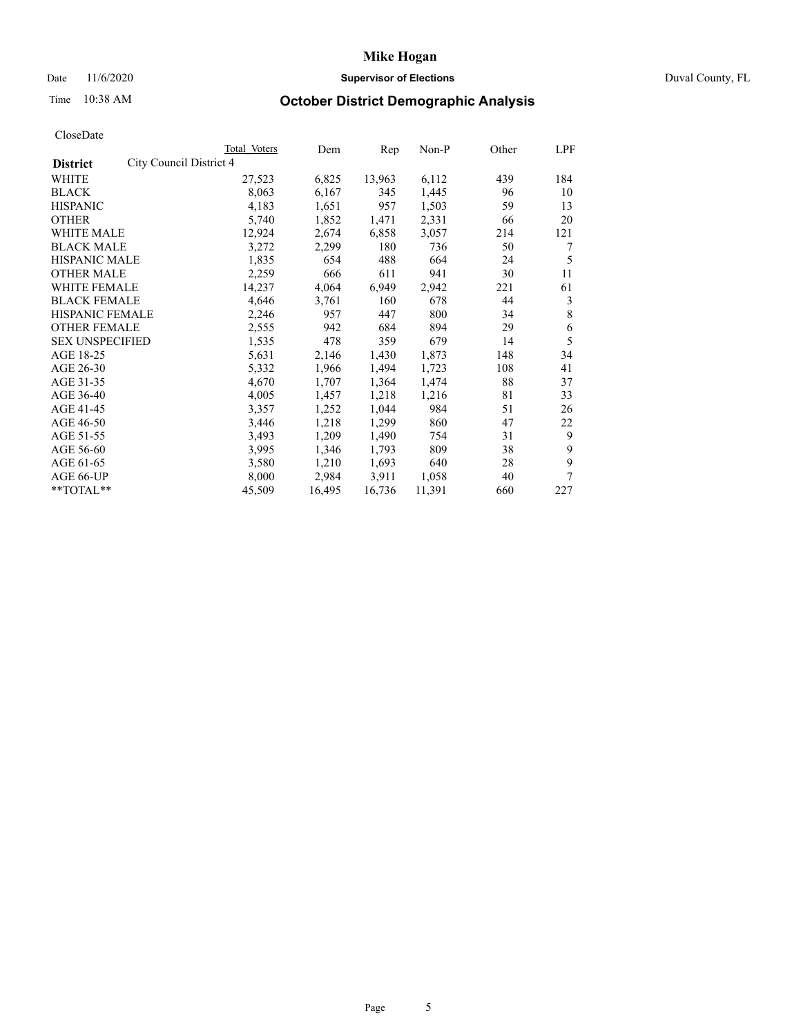## Date 11/6/2020 **Supervisor of Elections** Duval County, FL

## Time 10:38 AM **October District Demographic Analysis**

|                                            | Total Voters | Dem    | Rep    | Non-P  | Other | LPF |
|--------------------------------------------|--------------|--------|--------|--------|-------|-----|
| City Council District 4<br><b>District</b> |              |        |        |        |       |     |
| WHITE                                      | 27,523       | 6,825  | 13,963 | 6,112  | 439   | 184 |
| <b>BLACK</b>                               | 8,063        | 6,167  | 345    | 1,445  | 96    | 10  |
| <b>HISPANIC</b>                            | 4,183        | 1,651  | 957    | 1,503  | 59    | 13  |
| <b>OTHER</b>                               | 5,740        | 1,852  | 1,471  | 2,331  | 66    | 20  |
| WHITE MALE                                 | 12,924       | 2,674  | 6,858  | 3,057  | 214   | 121 |
| <b>BLACK MALE</b>                          | 3,272        | 2,299  | 180    | 736    | 50    | 7   |
| <b>HISPANIC MALE</b>                       | 1,835        | 654    | 488    | 664    | 24    | 5   |
| <b>OTHER MALE</b>                          | 2,259        | 666    | 611    | 941    | 30    | 11  |
| WHITE FEMALE                               | 14,237       | 4,064  | 6,949  | 2,942  | 221   | 61  |
| <b>BLACK FEMALE</b>                        | 4,646        | 3,761  | 160    | 678    | 44    | 3   |
| HISPANIC FEMALE                            | 2,246        | 957    | 447    | 800    | 34    | 8   |
| <b>OTHER FEMALE</b>                        | 2,555        | 942    | 684    | 894    | 29    | 6   |
| <b>SEX UNSPECIFIED</b>                     | 1,535        | 478    | 359    | 679    | 14    | 5   |
| AGE 18-25                                  | 5,631        | 2,146  | 1,430  | 1,873  | 148   | 34  |
| AGE 26-30                                  | 5,332        | 1,966  | 1,494  | 1,723  | 108   | 41  |
| AGE 31-35                                  | 4,670        | 1,707  | 1,364  | 1,474  | 88    | 37  |
| AGE 36-40                                  | 4,005        | 1,457  | 1,218  | 1,216  | 81    | 33  |
| AGE 41-45                                  | 3,357        | 1,252  | 1,044  | 984    | 51    | 26  |
| AGE 46-50                                  | 3,446        | 1,218  | 1,299  | 860    | 47    | 22  |
| AGE 51-55                                  | 3,493        | 1,209  | 1,490  | 754    | 31    | 9   |
| AGE 56-60                                  | 3,995        | 1,346  | 1,793  | 809    | 38    | 9   |
| AGE 61-65                                  | 3,580        | 1,210  | 1,693  | 640    | 28    | 9   |
| AGE 66-UP                                  | 8,000        | 2,984  | 3,911  | 1,058  | 40    | 7   |
| **TOTAL**                                  | 45,509       | 16,495 | 16,736 | 11,391 | 660   | 227 |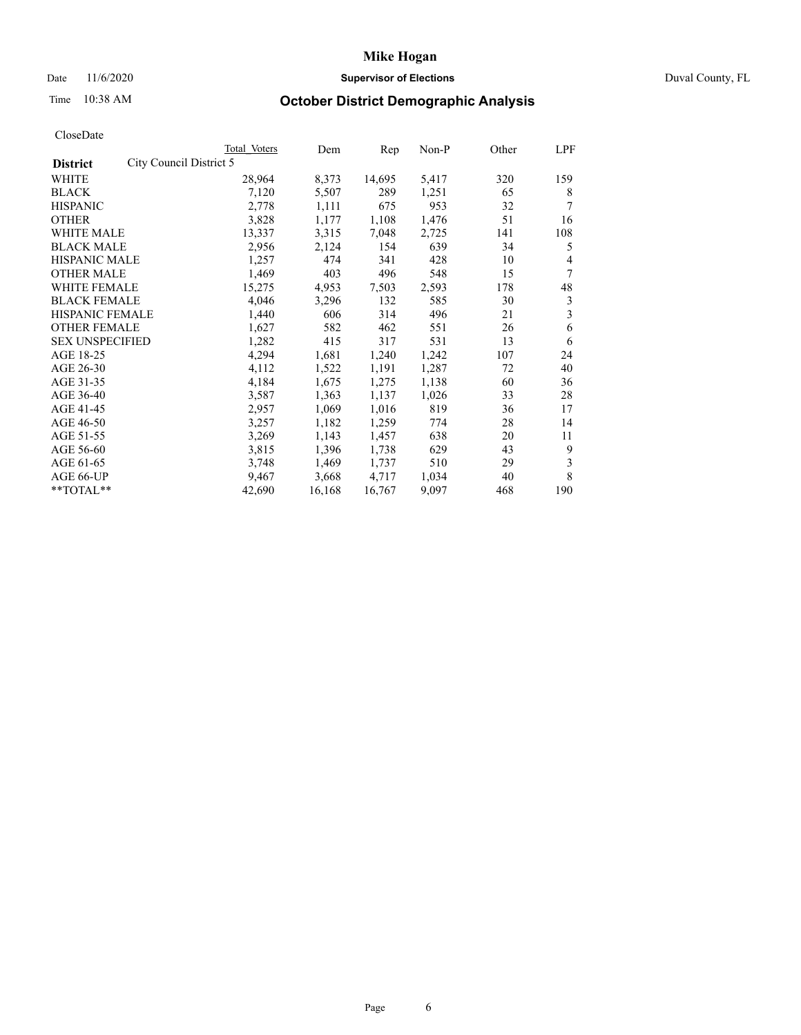## Date 11/6/2020 **Supervisor of Elections Supervisor of Elections** Duval County, FL

# Time 10:38 AM **October District Demographic Analysis**

| Total Voters            | Dem    | Rep    | Non-P | Other | LPF |
|-------------------------|--------|--------|-------|-------|-----|
| City Council District 5 |        |        |       |       |     |
| 28,964                  | 8,373  | 14,695 | 5,417 | 320   | 159 |
| 7,120                   | 5,507  | 289    | 1,251 | 65    | 8   |
| 2,778                   | 1,111  | 675    | 953   | 32    | 7   |
| 3,828                   | 1,177  | 1,108  | 1,476 | 51    | 16  |
| 13,337                  | 3,315  | 7,048  | 2,725 | 141   | 108 |
| 2,956                   | 2,124  | 154    | 639   | 34    | 5   |
| 1,257                   | 474    | 341    | 428   | 10    | 4   |
| 1,469                   | 403    | 496    | 548   | 15    | 7   |
| 15,275                  | 4,953  | 7,503  | 2,593 | 178   | 48  |
| 4,046                   | 3,296  | 132    | 585   | 30    | 3   |
| 1,440                   | 606    | 314    | 496   | 21    | 3   |
| 1,627                   | 582    | 462    | 551   | 26    | 6   |
| 1,282                   | 415    | 317    | 531   | 13    | 6   |
| 4,294                   | 1,681  | 1,240  | 1,242 | 107   | 24  |
| 4,112                   | 1,522  | 1,191  | 1,287 | 72    | 40  |
| 4,184                   | 1,675  | 1,275  | 1,138 | 60    | 36  |
| 3,587                   | 1,363  | 1,137  | 1,026 | 33    | 28  |
| 2,957                   | 1,069  | 1,016  | 819   | 36    | 17  |
| 3,257                   | 1,182  | 1,259  | 774   | 28    | 14  |
| 3,269                   | 1,143  | 1,457  | 638   | 20    | 11  |
| 3,815                   | 1,396  | 1,738  | 629   | 43    | 9   |
| 3,748                   | 1,469  | 1,737  | 510   | 29    | 3   |
| 9,467                   | 3,668  | 4,717  | 1,034 | 40    | 8   |
| 42,690                  | 16,168 | 16,767 | 9,097 | 468   | 190 |
|                         |        |        |       |       |     |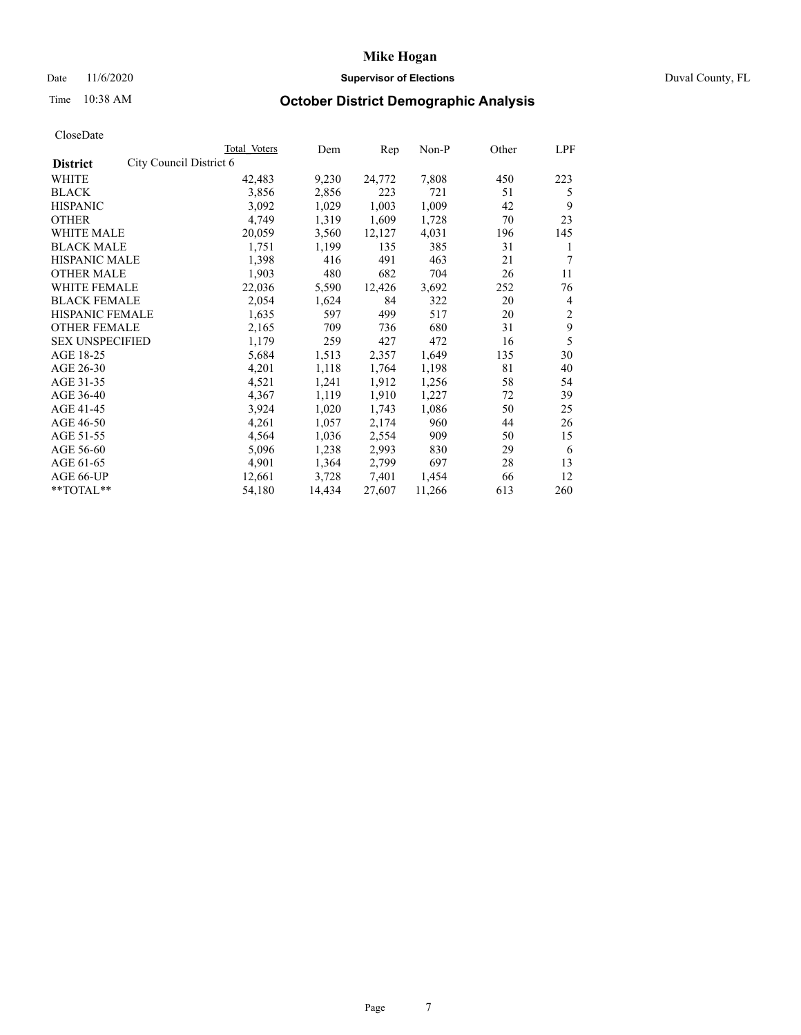## Date 11/6/2020 **Supervisor of Elections Supervisor of Elections** Duval County, FL

# Time 10:38 AM **October District Demographic Analysis**

|                        |                         | Total Voters | Dem    | Rep    | $Non-P$ | Other | LPF            |
|------------------------|-------------------------|--------------|--------|--------|---------|-------|----------------|
| <b>District</b>        | City Council District 6 |              |        |        |         |       |                |
| WHITE                  |                         | 42,483       | 9,230  | 24,772 | 7,808   | 450   | 223            |
| <b>BLACK</b>           |                         | 3,856        | 2,856  | 223    | 721     | 51    | 5              |
| <b>HISPANIC</b>        |                         | 3,092        | 1,029  | 1,003  | 1,009   | 42    | 9              |
| <b>OTHER</b>           |                         | 4,749        | 1,319  | 1,609  | 1,728   | 70    | 23             |
| WHITE MALE             |                         | 20,059       | 3,560  | 12,127 | 4,031   | 196   | 145            |
| <b>BLACK MALE</b>      |                         | 1,751        | 1,199  | 135    | 385     | 31    | 1              |
| <b>HISPANIC MALE</b>   |                         | 1,398        | 416    | 491    | 463     | 21    | 7              |
| <b>OTHER MALE</b>      |                         | 1,903        | 480    | 682    | 704     | 26    | 11             |
| WHITE FEMALE           |                         | 22,036       | 5,590  | 12,426 | 3,692   | 252   | 76             |
| <b>BLACK FEMALE</b>    |                         | 2,054        | 1,624  | 84     | 322     | 20    | $\overline{4}$ |
| HISPANIC FEMALE        |                         | 1,635        | 597    | 499    | 517     | 20    | $\overline{c}$ |
| <b>OTHER FEMALE</b>    |                         | 2,165        | 709    | 736    | 680     | 31    | 9              |
| <b>SEX UNSPECIFIED</b> |                         | 1,179        | 259    | 427    | 472     | 16    | 5              |
| AGE 18-25              |                         | 5,684        | 1,513  | 2,357  | 1,649   | 135   | 30             |
| AGE 26-30              |                         | 4,201        | 1,118  | 1,764  | 1,198   | 81    | 40             |
| AGE 31-35              |                         | 4,521        | 1,241  | 1,912  | 1,256   | 58    | 54             |
| AGE 36-40              |                         | 4,367        | 1,119  | 1,910  | 1,227   | 72    | 39             |
| AGE 41-45              |                         | 3,924        | 1,020  | 1,743  | 1,086   | 50    | 25             |
| AGE 46-50              |                         | 4,261        | 1,057  | 2,174  | 960     | 44    | 26             |
| AGE 51-55              |                         | 4,564        | 1,036  | 2,554  | 909     | 50    | 15             |
| AGE 56-60              |                         | 5,096        | 1,238  | 2,993  | 830     | 29    | 6              |
| AGE 61-65              |                         | 4,901        | 1,364  | 2,799  | 697     | 28    | 13             |
| AGE 66-UP              |                         | 12,661       | 3,728  | 7,401  | 1,454   | 66    | 12             |
| **TOTAL**              |                         | 54,180       | 14,434 | 27,607 | 11,266  | 613   | 260            |
|                        |                         |              |        |        |         |       |                |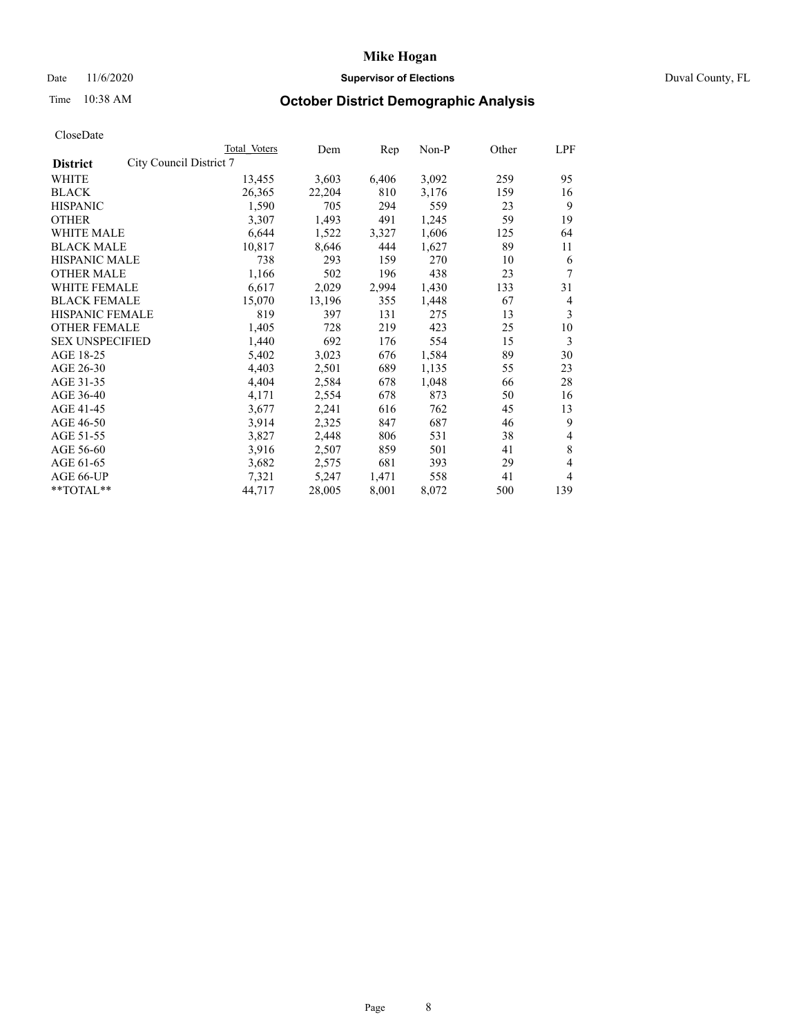## Date 11/6/2020 **Supervisor of Elections Supervisor of Elections** Duval County, FL

# Time 10:38 AM **October District Demographic Analysis**

|                                            | Total Voters | Dem    | Rep   | Non-P | Other | LPF            |
|--------------------------------------------|--------------|--------|-------|-------|-------|----------------|
| City Council District 7<br><b>District</b> |              |        |       |       |       |                |
| WHITE                                      | 13,455       | 3,603  | 6,406 | 3,092 | 259   | 95             |
| <b>BLACK</b>                               | 26,365       | 22,204 | 810   | 3,176 | 159   | 16             |
| <b>HISPANIC</b>                            | 1,590        | 705    | 294   | 559   | 23    | 9              |
| <b>OTHER</b>                               | 3,307        | 1,493  | 491   | 1,245 | 59    | 19             |
| WHITE MALE                                 | 6,644        | 1,522  | 3,327 | 1,606 | 125   | 64             |
| <b>BLACK MALE</b>                          | 10,817       | 8,646  | 444   | 1,627 | 89    | 11             |
| <b>HISPANIC MALE</b>                       | 738          | 293    | 159   | 270   | 10    | 6              |
| <b>OTHER MALE</b>                          | 1,166        | 502    | 196   | 438   | 23    | 7              |
| WHITE FEMALE                               | 6,617        | 2,029  | 2,994 | 1,430 | 133   | 31             |
| <b>BLACK FEMALE</b>                        | 15,070       | 13,196 | 355   | 1,448 | 67    | $\overline{4}$ |
| <b>HISPANIC FEMALE</b>                     | 819          | 397    | 131   | 275   | 13    | 3              |
| <b>OTHER FEMALE</b>                        | 1,405        | 728    | 219   | 423   | 25    | 10             |
| <b>SEX UNSPECIFIED</b>                     | 1,440        | 692    | 176   | 554   | 15    | 3              |
| AGE 18-25                                  | 5,402        | 3,023  | 676   | 1,584 | 89    | 30             |
| AGE 26-30                                  | 4,403        | 2,501  | 689   | 1,135 | 55    | 23             |
| AGE 31-35                                  | 4,404        | 2,584  | 678   | 1,048 | 66    | 28             |
| AGE 36-40                                  | 4,171        | 2,554  | 678   | 873   | 50    | 16             |
| AGE 41-45                                  | 3,677        | 2,241  | 616   | 762   | 45    | 13             |
| AGE 46-50                                  | 3,914        | 2,325  | 847   | 687   | 46    | 9              |
| AGE 51-55                                  | 3,827        | 2,448  | 806   | 531   | 38    | 4              |
| AGE 56-60                                  | 3,916        | 2,507  | 859   | 501   | 41    | $\,8\,$        |
| AGE 61-65                                  | 3,682        | 2,575  | 681   | 393   | 29    | 4              |
| AGE 66-UP                                  | 7,321        | 5,247  | 1,471 | 558   | 41    | 4              |
| **TOTAL**                                  | 44,717       | 28,005 | 8,001 | 8,072 | 500   | 139            |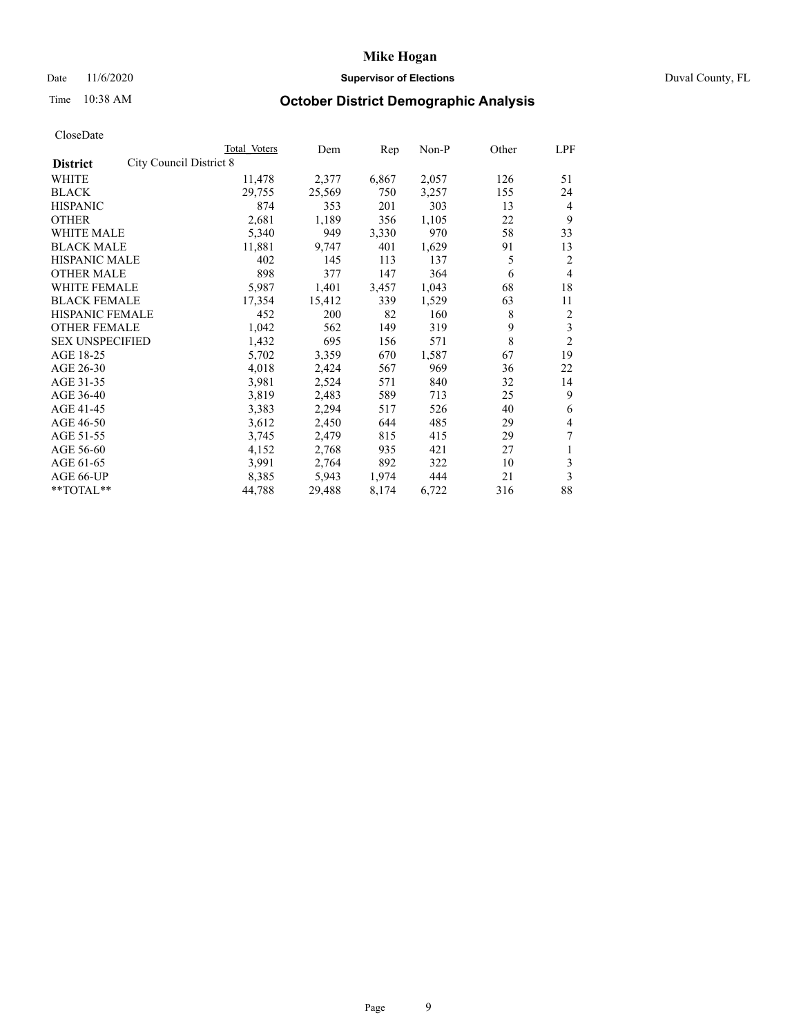## Date 11/6/2020 **Supervisor of Elections** Duval County, FL

# Time 10:38 AM **October District Demographic Analysis**

|                                            | Total Voters | Dem    | Rep   | Non-P | Other | LPF            |
|--------------------------------------------|--------------|--------|-------|-------|-------|----------------|
| City Council District 8<br><b>District</b> |              |        |       |       |       |                |
| WHITE                                      | 11,478       | 2,377  | 6,867 | 2,057 | 126   | 51             |
| <b>BLACK</b>                               | 29,755       | 25,569 | 750   | 3,257 | 155   | 24             |
| <b>HISPANIC</b>                            | 874          | 353    | 201   | 303   | 13    | 4              |
| <b>OTHER</b>                               | 2,681        | 1,189  | 356   | 1,105 | 22    | 9              |
| WHITE MALE                                 | 5,340        | 949    | 3,330 | 970   | 58    | 33             |
| <b>BLACK MALE</b>                          | 11,881       | 9,747  | 401   | 1,629 | 91    | 13             |
| <b>HISPANIC MALE</b>                       | 402          | 145    | 113   | 137   | 5     | 2              |
| <b>OTHER MALE</b>                          | 898          | 377    | 147   | 364   | 6     | $\overline{4}$ |
| WHITE FEMALE                               | 5,987        | 1,401  | 3,457 | 1,043 | 68    | 18             |
| <b>BLACK FEMALE</b>                        | 17,354       | 15,412 | 339   | 1,529 | 63    | 11             |
| HISPANIC FEMALE                            | 452          | 200    | 82    | 160   | 8     | 2              |
| <b>OTHER FEMALE</b>                        | 1,042        | 562    | 149   | 319   | 9     | 3              |
| <b>SEX UNSPECIFIED</b>                     | 1,432        | 695    | 156   | 571   | 8     | $\overline{2}$ |
| AGE 18-25                                  | 5,702        | 3,359  | 670   | 1,587 | 67    | 19             |
| AGE 26-30                                  | 4,018        | 2,424  | 567   | 969   | 36    | 22             |
| AGE 31-35                                  | 3,981        | 2,524  | 571   | 840   | 32    | 14             |
| AGE 36-40                                  | 3,819        | 2,483  | 589   | 713   | 25    | 9              |
| AGE 41-45                                  | 3,383        | 2,294  | 517   | 526   | 40    | 6              |
| AGE 46-50                                  | 3,612        | 2,450  | 644   | 485   | 29    | 4              |
| AGE 51-55                                  | 3,745        | 2,479  | 815   | 415   | 29    | 7              |
| AGE 56-60                                  | 4,152        | 2,768  | 935   | 421   | 27    | 1              |
| AGE 61-65                                  | 3,991        | 2,764  | 892   | 322   | 10    | 3              |
| AGE 66-UP                                  | 8,385        | 5,943  | 1,974 | 444   | 21    | 3              |
| **TOTAL**                                  | 44,788       | 29,488 | 8,174 | 6,722 | 316   | 88             |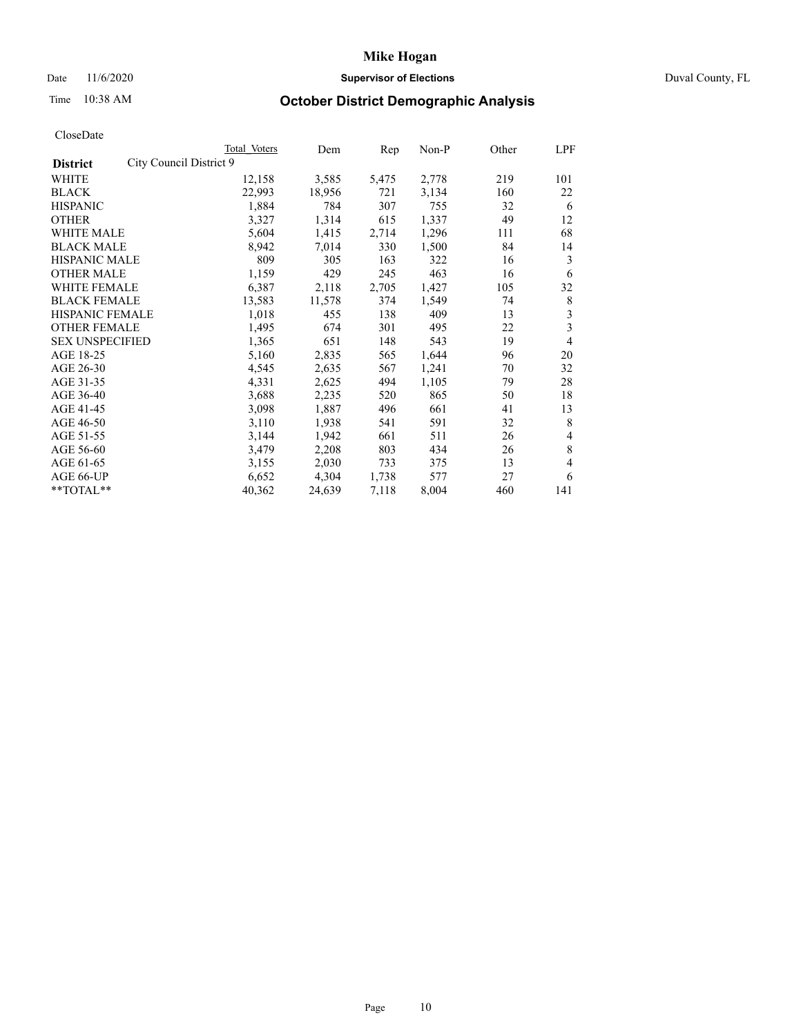## Date 11/6/2020 **Supervisor of Elections Supervisor of Elections** Duval County, FL

# Time 10:38 AM **October District Demographic Analysis**

|                        | Total Voters            | Dem        | Rep   | Non-P | Other | LPF |
|------------------------|-------------------------|------------|-------|-------|-------|-----|
| <b>District</b>        | City Council District 9 |            |       |       |       |     |
| WHITE                  | 12,158                  | 3,585      | 5,475 | 2,778 | 219   | 101 |
| <b>BLACK</b>           | 22,993                  | 18,956     | 721   | 3,134 | 160   | 22  |
| <b>HISPANIC</b>        | 1,884                   | 784        | 307   | 755   | 32    | 6   |
| <b>OTHER</b>           | 3,327                   | 1,314      | 615   | 1,337 | 49    | 12  |
| WHITE MALE             | 5,604                   | 1,415      | 2,714 | 1,296 | 111   | 68  |
| <b>BLACK MALE</b>      | 8,942                   | 7,014      | 330   | 1,500 | 84    | 14  |
| <b>HISPANIC MALE</b>   |                         | 809<br>305 | 163   | 322   | 16    | 3   |
| <b>OTHER MALE</b>      | 1,159                   | 429        | 245   | 463   | 16    | 6   |
| WHITE FEMALE           | 6,387                   | 2,118      | 2,705 | 1,427 | 105   | 32  |
| <b>BLACK FEMALE</b>    | 13,583                  | 11,578     | 374   | 1,549 | 74    | 8   |
| HISPANIC FEMALE        | 1,018                   | 455        | 138   | 409   | 13    | 3   |
| <b>OTHER FEMALE</b>    | 1,495                   | 674        | 301   | 495   | 22    | 3   |
| <b>SEX UNSPECIFIED</b> | 1,365                   | 651        | 148   | 543   | 19    | 4   |
| AGE 18-25              | 5,160                   | 2,835      | 565   | 1,644 | 96    | 20  |
| AGE 26-30              | 4,545                   | 2,635      | 567   | 1,241 | 70    | 32  |
| AGE 31-35              | 4,331                   | 2,625      | 494   | 1,105 | 79    | 28  |
| AGE 36-40              | 3,688                   | 2,235      | 520   | 865   | 50    | 18  |
| AGE 41-45              | 3,098                   | 1,887      | 496   | 661   | 41    | 13  |
| AGE 46-50              | 3,110                   | 1,938      | 541   | 591   | 32    | 8   |
| AGE 51-55              | 3,144                   | 1,942      | 661   | 511   | 26    | 4   |
| AGE 56-60              | 3,479                   | 2,208      | 803   | 434   | 26    | 8   |
| AGE 61-65              | 3,155                   | 2,030      | 733   | 375   | 13    | 4   |
| AGE 66-UP              | 6,652                   | 4,304      | 1,738 | 577   | 27    | 6   |
| **TOTAL**              | 40,362                  | 24,639     | 7,118 | 8,004 | 460   | 141 |
|                        |                         |            |       |       |       |     |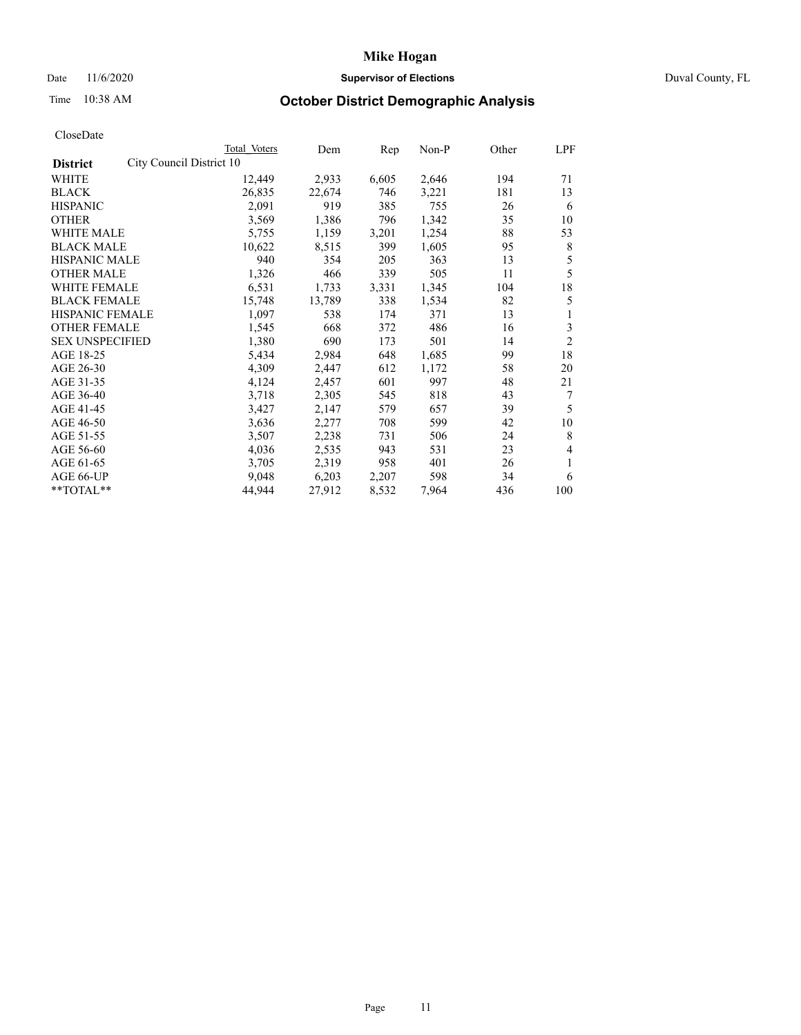## Date 11/6/2020 **Supervisor of Elections** Duval County, FL

# Time 10:38 AM **October District Demographic Analysis**

|                                             | Total Voters | Dem    | Rep   | Non-P | Other | LPF            |
|---------------------------------------------|--------------|--------|-------|-------|-------|----------------|
| City Council District 10<br><b>District</b> |              |        |       |       |       |                |
| WHITE                                       | 12,449       | 2,933  | 6,605 | 2,646 | 194   | 71             |
| <b>BLACK</b>                                | 26,835       | 22,674 | 746   | 3,221 | 181   | 13             |
| <b>HISPANIC</b>                             | 2,091        | 919    | 385   | 755   | 26    | 6              |
| <b>OTHER</b>                                | 3,569        | 1,386  | 796   | 1,342 | 35    | 10             |
| WHITE MALE                                  | 5,755        | 1,159  | 3,201 | 1,254 | 88    | 53             |
| <b>BLACK MALE</b>                           | 10,622       | 8,515  | 399   | 1,605 | 95    | 8              |
| <b>HISPANIC MALE</b>                        | 940          | 354    | 205   | 363   | 13    | 5              |
| <b>OTHER MALE</b>                           | 1,326        | 466    | 339   | 505   | 11    | 5              |
| <b>WHITE FEMALE</b>                         | 6,531        | 1,733  | 3,331 | 1,345 | 104   | 18             |
| <b>BLACK FEMALE</b>                         | 15,748       | 13,789 | 338   | 1,534 | 82    | 5              |
| <b>HISPANIC FEMALE</b>                      | 1,097        | 538    | 174   | 371   | 13    | 1              |
| <b>OTHER FEMALE</b>                         | 1,545        | 668    | 372   | 486   | 16    | 3              |
| <b>SEX UNSPECIFIED</b>                      | 1,380        | 690    | 173   | 501   | 14    | $\overline{2}$ |
| AGE 18-25                                   | 5,434        | 2,984  | 648   | 1,685 | 99    | 18             |
| AGE 26-30                                   | 4,309        | 2,447  | 612   | 1,172 | 58    | 20             |
| AGE 31-35                                   | 4,124        | 2,457  | 601   | 997   | 48    | 21             |
| AGE 36-40                                   | 3,718        | 2,305  | 545   | 818   | 43    | 7              |
| AGE 41-45                                   | 3,427        | 2,147  | 579   | 657   | 39    | 5              |
| AGE 46-50                                   | 3,636        | 2,277  | 708   | 599   | 42    | 10             |
| AGE 51-55                                   | 3,507        | 2,238  | 731   | 506   | 24    | 8              |
| AGE 56-60                                   | 4,036        | 2,535  | 943   | 531   | 23    | 4              |
| AGE 61-65                                   | 3,705        | 2,319  | 958   | 401   | 26    | 1              |
| AGE 66-UP                                   | 9,048        | 6,203  | 2,207 | 598   | 34    | 6              |
| $*$ TOTAL $*$                               | 44,944       | 27,912 | 8,532 | 7,964 | 436   | 100            |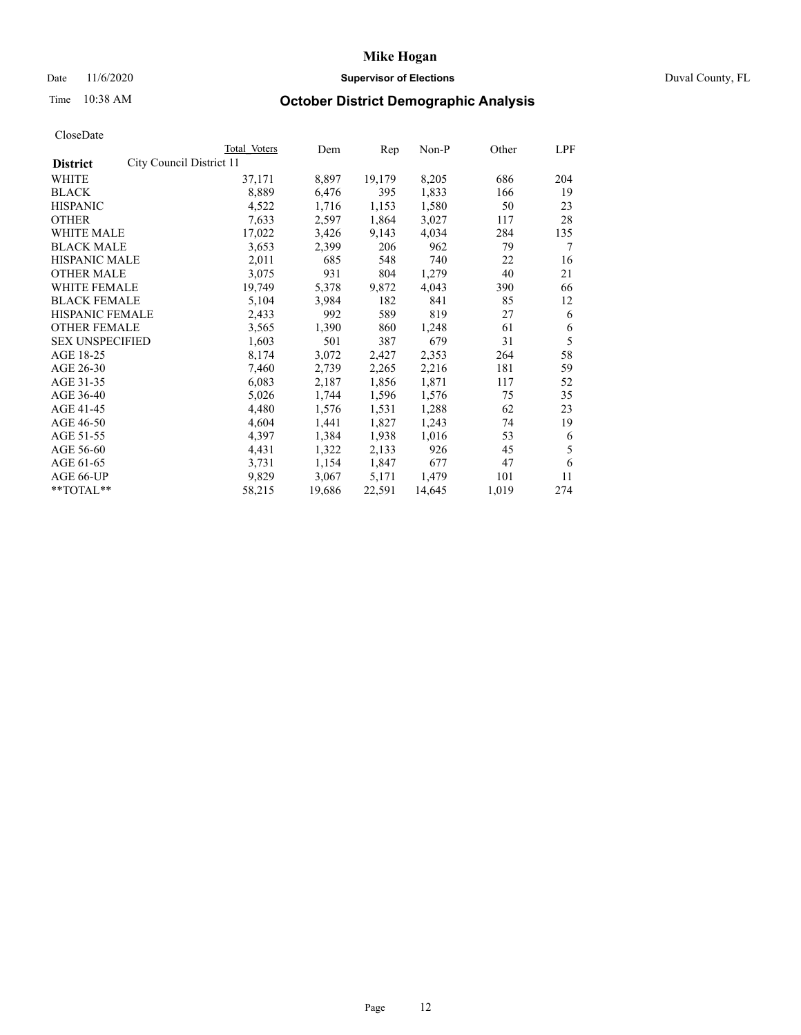## Date 11/6/2020 **Supervisor of Elections Supervisor of Elections** Duval County, FL

# Time 10:38 AM **October District Demographic Analysis**

|                                             | Total Voters | Dem    | Rep    | $Non-P$ | Other | LPF |
|---------------------------------------------|--------------|--------|--------|---------|-------|-----|
| City Council District 11<br><b>District</b> |              |        |        |         |       |     |
| WHITE                                       | 37,171       | 8,897  | 19,179 | 8,205   | 686   | 204 |
| <b>BLACK</b>                                | 8,889        | 6,476  | 395    | 1,833   | 166   | 19  |
| <b>HISPANIC</b>                             | 4,522        | 1,716  | 1,153  | 1,580   | 50    | 23  |
| <b>OTHER</b>                                | 7,633        | 2,597  | 1,864  | 3,027   | 117   | 28  |
| WHITE MALE                                  | 17,022       | 3,426  | 9,143  | 4,034   | 284   | 135 |
| <b>BLACK MALE</b>                           | 3,653        | 2,399  | 206    | 962     | 79    | 7   |
| <b>HISPANIC MALE</b>                        | 2,011        | 685    | 548    | 740     | 22    | 16  |
| <b>OTHER MALE</b>                           | 3,075        | 931    | 804    | 1,279   | 40    | 21  |
| WHITE FEMALE                                | 19,749       | 5,378  | 9,872  | 4,043   | 390   | 66  |
| <b>BLACK FEMALE</b>                         | 5,104        | 3,984  | 182    | 841     | 85    | 12  |
| HISPANIC FEMALE                             | 2,433        | 992    | 589    | 819     | 27    | 6   |
| <b>OTHER FEMALE</b>                         | 3,565        | 1,390  | 860    | 1,248   | 61    | 6   |
| <b>SEX UNSPECIFIED</b>                      | 1,603        | 501    | 387    | 679     | 31    | 5   |
| AGE 18-25                                   | 8,174        | 3,072  | 2,427  | 2,353   | 264   | 58  |
| AGE 26-30                                   | 7,460        | 2,739  | 2,265  | 2,216   | 181   | 59  |
| AGE 31-35                                   | 6,083        | 2,187  | 1,856  | 1,871   | 117   | 52  |
| AGE 36-40                                   | 5,026        | 1,744  | 1,596  | 1,576   | 75    | 35  |
| AGE 41-45                                   | 4,480        | 1,576  | 1,531  | 1,288   | 62    | 23  |
| AGE 46-50                                   | 4,604        | 1,441  | 1,827  | 1,243   | 74    | 19  |
| AGE 51-55                                   | 4,397        | 1,384  | 1,938  | 1,016   | 53    | 6   |
| AGE 56-60                                   | 4,431        | 1,322  | 2,133  | 926     | 45    | 5   |
| AGE 61-65                                   | 3,731        | 1,154  | 1,847  | 677     | 47    | 6   |
| AGE 66-UP                                   | 9,829        | 3,067  | 5,171  | 1,479   | 101   | 11  |
| **TOTAL**                                   | 58,215       | 19,686 | 22,591 | 14,645  | 1,019 | 274 |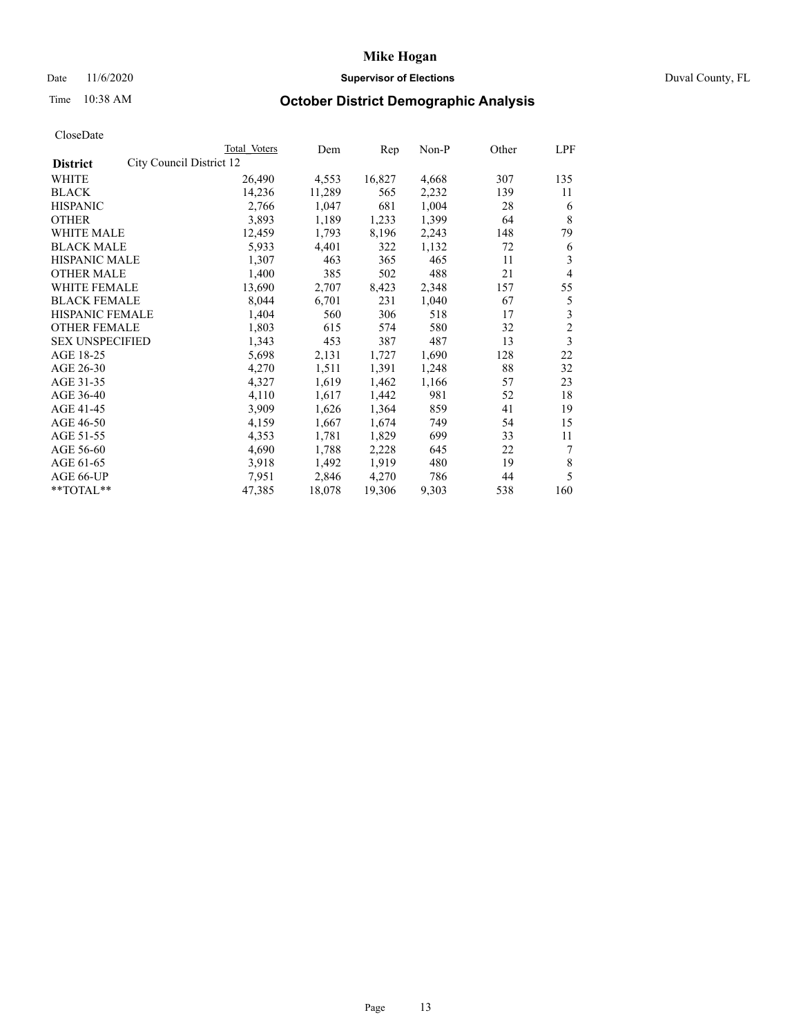## Date 11/6/2020 **Supervisor of Elections Supervisor of Elections** Duval County, FL

# Time 10:38 AM **October District Demographic Analysis**

|                                             | Total Voters | Dem    | Rep    | Non-P | Other | LPF            |
|---------------------------------------------|--------------|--------|--------|-------|-------|----------------|
| City Council District 12<br><b>District</b> |              |        |        |       |       |                |
| WHITE                                       | 26,490       | 4,553  | 16,827 | 4,668 | 307   | 135            |
| <b>BLACK</b>                                | 14,236       | 11,289 | 565    | 2,232 | 139   | 11             |
| <b>HISPANIC</b>                             | 2,766        | 1,047  | 681    | 1,004 | 28    | 6              |
| <b>OTHER</b>                                | 3,893        | 1,189  | 1,233  | 1,399 | 64    | 8              |
| WHITE MALE                                  | 12,459       | 1,793  | 8,196  | 2,243 | 148   | 79             |
| <b>BLACK MALE</b>                           | 5,933        | 4,401  | 322    | 1,132 | 72    | 6              |
| <b>HISPANIC MALE</b>                        | 1,307        | 463    | 365    | 465   | 11    | 3              |
| <b>OTHER MALE</b>                           | 1,400        | 385    | 502    | 488   | 21    | 4              |
| WHITE FEMALE                                | 13,690       | 2,707  | 8,423  | 2,348 | 157   | 55             |
| <b>BLACK FEMALE</b>                         | 8,044        | 6,701  | 231    | 1,040 | 67    | 5              |
| HISPANIC FEMALE                             | 1,404        | 560    | 306    | 518   | 17    | 3              |
| <b>OTHER FEMALE</b>                         | 1,803        | 615    | 574    | 580   | 32    | $\overline{c}$ |
| <b>SEX UNSPECIFIED</b>                      | 1,343        | 453    | 387    | 487   | 13    | 3              |
| AGE 18-25                                   | 5,698        | 2,131  | 1,727  | 1,690 | 128   | 22             |
| AGE 26-30                                   | 4,270        | 1,511  | 1,391  | 1,248 | 88    | 32             |
| AGE 31-35                                   | 4,327        | 1,619  | 1,462  | 1,166 | 57    | 23             |
| AGE 36-40                                   | 4,110        | 1,617  | 1,442  | 981   | 52    | 18             |
| AGE 41-45                                   | 3,909        | 1,626  | 1,364  | 859   | 41    | 19             |
| AGE 46-50                                   | 4,159        | 1,667  | 1,674  | 749   | 54    | 15             |
| AGE 51-55                                   | 4,353        | 1,781  | 1,829  | 699   | 33    | 11             |
| AGE 56-60                                   | 4,690        | 1,788  | 2,228  | 645   | 22    | 7              |
| AGE 61-65                                   | 3,918        | 1,492  | 1,919  | 480   | 19    | 8              |
| AGE 66-UP                                   | 7,951        | 2,846  | 4,270  | 786   | 44    | 5              |
| **TOTAL**                                   | 47,385       | 18,078 | 19,306 | 9,303 | 538   | 160            |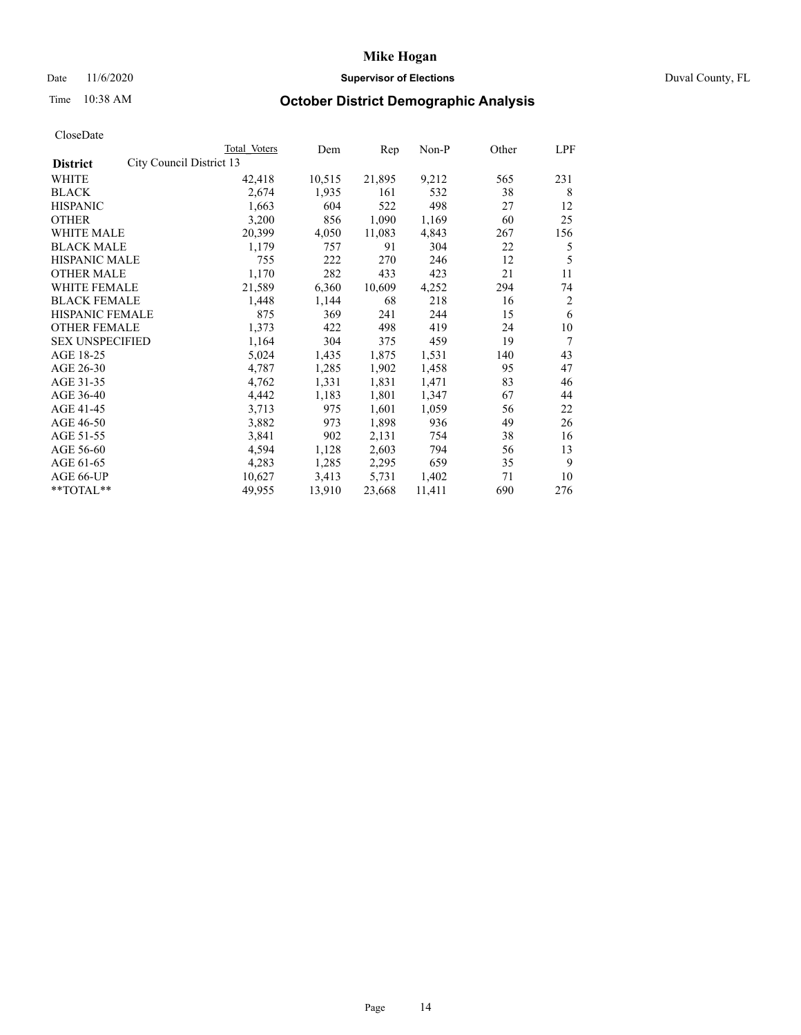## Date 11/6/2020 **Supervisor of Elections Supervisor of Elections** Duval County, FL

# Time 10:38 AM **October District Demographic Analysis**

| Total Voters | Dem                      | Rep    | Non-P  | Other | LPF |
|--------------|--------------------------|--------|--------|-------|-----|
|              |                          |        |        |       |     |
| 42,418       | 10,515                   | 21,895 | 9,212  | 565   | 231 |
| 2,674        | 1,935                    | 161    | 532    | 38    | 8   |
| 1,663        | 604                      | 522    | 498    | 27    | 12  |
| 3,200        | 856                      | 1,090  | 1,169  | 60    | 25  |
| 20,399       | 4,050                    | 11,083 | 4,843  | 267   | 156 |
| 1,179        | 757                      | 91     | 304    | 22    | 5   |
| 755          | 222                      | 270    | 246    | 12    | 5   |
| 1,170        | 282                      | 433    | 423    | 21    | 11  |
| 21,589       | 6,360                    | 10,609 | 4,252  | 294   | 74  |
| 1,448        | 1,144                    | 68     | 218    | 16    | 2   |
| 875          | 369                      | 241    | 244    | 15    | 6   |
| 1,373        | 422                      | 498    | 419    | 24    | 10  |
| 1,164        | 304                      | 375    | 459    | 19    | 7   |
| 5,024        | 1,435                    | 1,875  | 1,531  | 140   | 43  |
| 4,787        | 1,285                    | 1,902  | 1,458  | 95    | 47  |
| 4,762        | 1,331                    | 1,831  | 1,471  | 83    | 46  |
| 4,442        | 1,183                    | 1,801  | 1,347  | 67    | 44  |
| 3,713        | 975                      | 1,601  | 1,059  | 56    | 22  |
| 3,882        | 973                      | 1,898  | 936    | 49    | 26  |
| 3,841        | 902                      | 2,131  | 754    | 38    | 16  |
| 4,594        | 1,128                    | 2,603  | 794    | 56    | 13  |
| 4,283        | 1,285                    | 2,295  | 659    | 35    | 9   |
| 10,627       | 3,413                    | 5,731  | 1,402  | 71    | 10  |
| 49,955       | 13,910                   | 23,668 | 11,411 | 690   | 276 |
|              | City Council District 13 |        |        |       |     |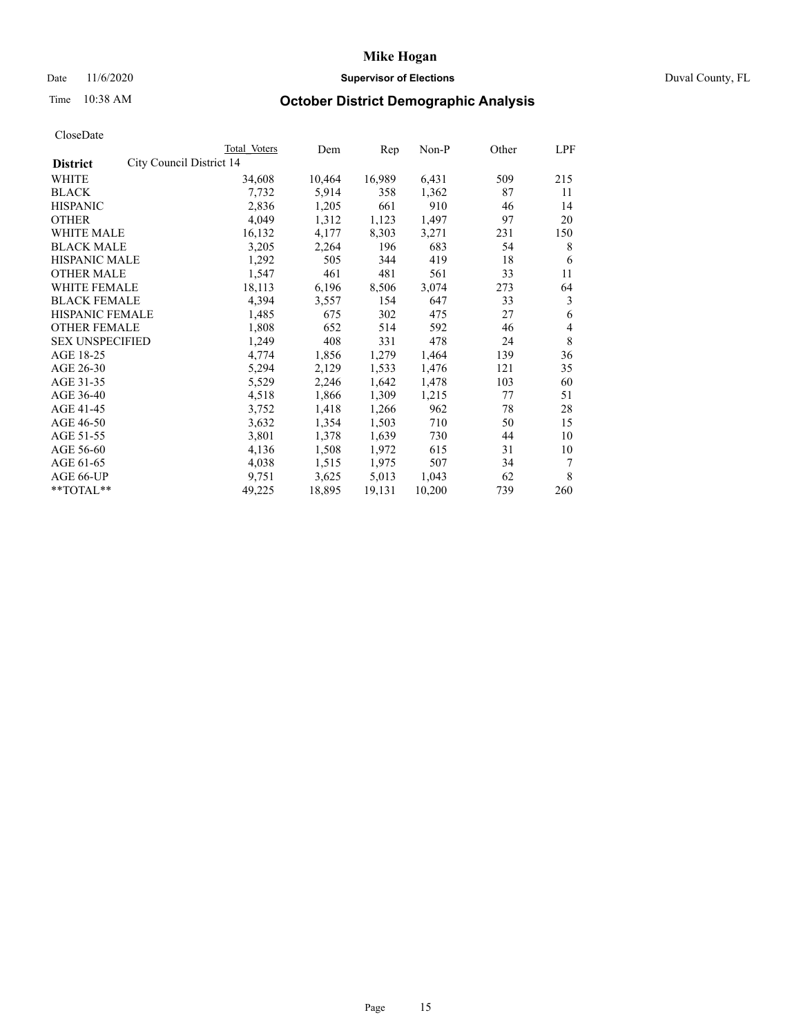## Date 11/6/2020 **Supervisor of Elections Supervisor of Elections** Duval County, FL

# Time 10:38 AM **October District Demographic Analysis**

| Total Voters | Dem                      | Rep    | Non-P  | Other | LPF |
|--------------|--------------------------|--------|--------|-------|-----|
|              |                          |        |        |       |     |
| 34,608       | 10,464                   | 16,989 | 6,431  | 509   | 215 |
| 7,732        | 5,914                    | 358    | 1,362  | 87    | 11  |
| 2,836        | 1,205                    | 661    | 910    | 46    | 14  |
| 4,049        | 1,312                    | 1,123  | 1,497  | 97    | 20  |
| 16,132       | 4,177                    | 8,303  | 3,271  | 231   | 150 |
| 3,205        | 2,264                    | 196    | 683    | 54    | 8   |
| 1,292        | 505                      | 344    | 419    | 18    | 6   |
| 1,547        | 461                      | 481    | 561    | 33    | 11  |
| 18,113       | 6,196                    | 8,506  | 3,074  | 273   | 64  |
| 4,394        | 3,557                    | 154    | 647    | 33    | 3   |
| 1,485        | 675                      | 302    | 475    | 27    | 6   |
| 1,808        | 652                      | 514    | 592    | 46    | 4   |
| 1,249        | 408                      | 331    | 478    | 24    | 8   |
| 4,774        | 1,856                    | 1,279  | 1,464  | 139   | 36  |
| 5,294        | 2,129                    | 1,533  | 1,476  | 121   | 35  |
| 5,529        | 2,246                    | 1,642  | 1,478  | 103   | 60  |
| 4,518        | 1,866                    | 1,309  | 1,215  | 77    | 51  |
| 3,752        | 1,418                    | 1,266  | 962    | 78    | 28  |
| 3,632        | 1,354                    | 1,503  | 710    | 50    | 15  |
| 3,801        | 1,378                    | 1,639  | 730    | 44    | 10  |
| 4,136        | 1,508                    | 1,972  | 615    | 31    | 10  |
| 4,038        | 1,515                    | 1,975  | 507    | 34    | 7   |
| 9,751        | 3,625                    | 5,013  | 1,043  | 62    | 8   |
| 49,225       | 18,895                   | 19,131 | 10,200 | 739   | 260 |
|              | City Council District 14 |        |        |       |     |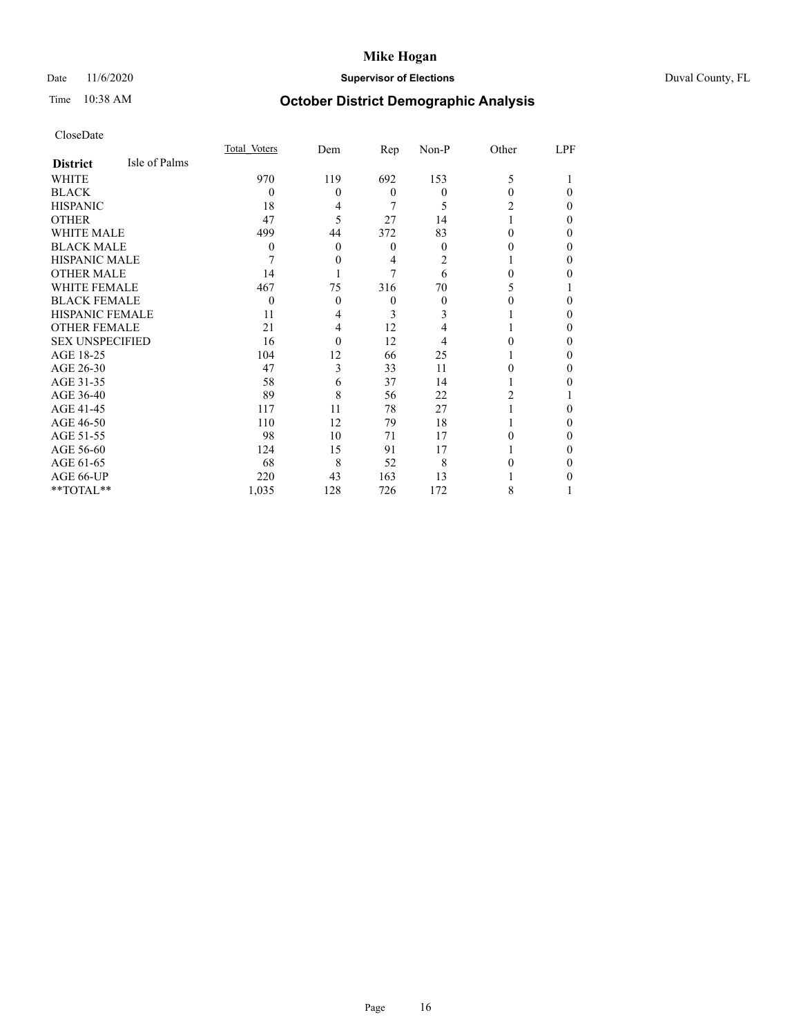## Date 11/6/2020 **Supervisor of Elections** Duval County, FL

# Time 10:38 AM **October District Demographic Analysis**

|                        |               | Total Voters | Dem      | Rep              | Non-P    | Other | LPF      |
|------------------------|---------------|--------------|----------|------------------|----------|-------|----------|
| <b>District</b>        | Isle of Palms |              |          |                  |          |       |          |
| WHITE                  |               | 970          | 119      | 692              | 153      | 5     |          |
| <b>BLACK</b>           |               | 0            | 0        | $\theta$         | $\theta$ | 0     | $\theta$ |
| <b>HISPANIC</b>        |               | 18           | 4        | 7                | 5        | 2     | $\theta$ |
| <b>OTHER</b>           |               | 47           | 5        | 27               | 14       |       | $\theta$ |
| <b>WHITE MALE</b>      |               | 499          | 44       | 372              | 83       | 0     | 0        |
| <b>BLACK MALE</b>      |               | 0            | $\theta$ | $\boldsymbol{0}$ | $\Omega$ | 0     | $\Omega$ |
| <b>HISPANIC MALE</b>   |               | 7            | 0        | 4                | 2        |       | 0        |
| <b>OTHER MALE</b>      |               | 14           |          | 7                | 6        | 0     | 0        |
| WHITE FEMALE           |               | 467          | 75       | 316              | 70       | 5     |          |
| <b>BLACK FEMALE</b>    |               | $\theta$     | $\Omega$ | $\theta$         | 0        |       | $\Omega$ |
| <b>HISPANIC FEMALE</b> |               | 11           | 4        | 3                |          |       | $\Omega$ |
| <b>OTHER FEMALE</b>    |               | 21           | 4        | 12               |          |       | $\Omega$ |
| <b>SEX UNSPECIFIED</b> |               | 16           | $\Omega$ | 12               |          |       | $\theta$ |
| AGE 18-25              |               | 104          | 12       | 66               | 25       |       | 0        |
| AGE 26-30              |               | 47           | 3        | 33               | 11       | 0     | $\Omega$ |
| AGE 31-35              |               | 58           | 6        | 37               | 14       |       | 0        |
| AGE 36-40              |               | 89           | 8        | 56               | 22       | 2     |          |
| AGE 41-45              |               | 117          | 11       | 78               | 27       |       | 0        |
| AGE 46-50              |               | 110          | 12       | 79               | 18       |       | $\theta$ |
| AGE 51-55              |               | 98           | 10       | 71               | 17       | 0     | $\theta$ |
| AGE 56-60              |               | 124          | 15       | 91               | 17       |       | 0        |
| AGE 61-65              |               | 68           | 8        | 52               | 8        |       | 0        |
| AGE 66-UP              |               | 220          | 43       | 163              | 13       |       | 0        |
| **TOTAL**              |               | 1,035        | 128      | 726              | 172      | 8     |          |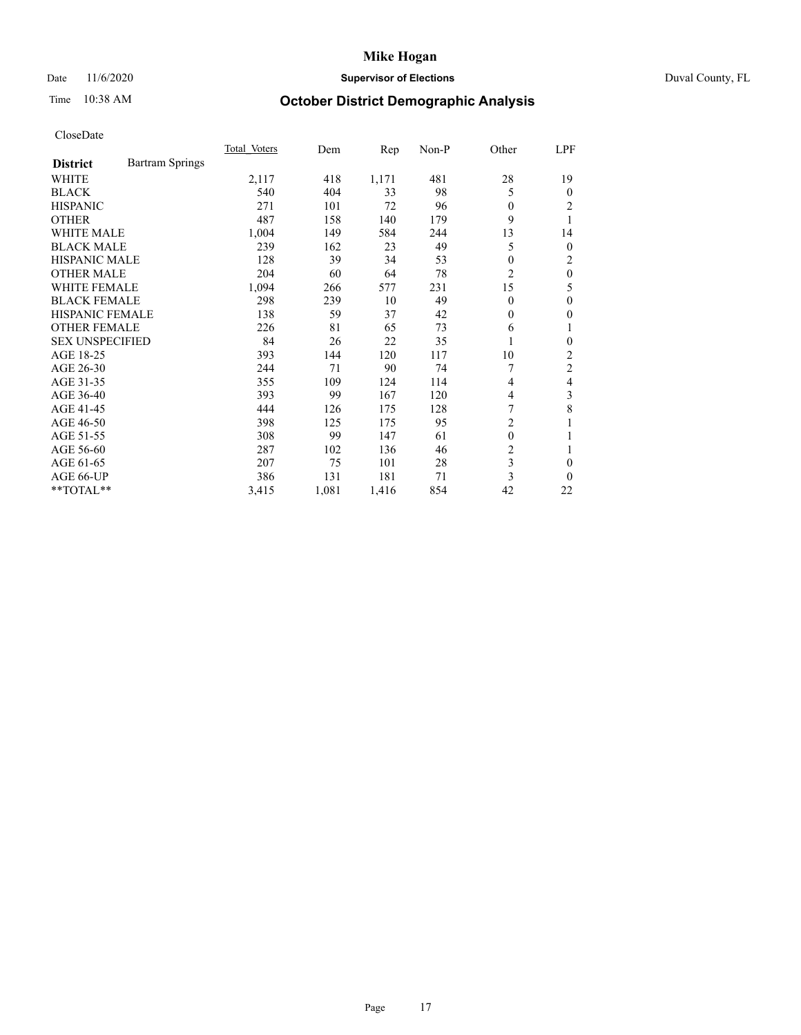## Date 11/6/2020 **Supervisor of Elections Supervisor of Elections** Duval County, FL

# Time 10:38 AM **October District Demographic Analysis**

|                        |                 | Total Voters | Dem   | Rep   | Non-P | Other          | LPF            |
|------------------------|-----------------|--------------|-------|-------|-------|----------------|----------------|
| <b>District</b>        | Bartram Springs |              |       |       |       |                |                |
| WHITE                  |                 | 2,117        | 418   | 1,171 | 481   | 28             | 19             |
| <b>BLACK</b>           |                 | 540          | 404   | 33    | 98    | 5              | $\theta$       |
| <b>HISPANIC</b>        |                 | 271          | 101   | 72    | 96    | $\theta$       | 2              |
| <b>OTHER</b>           |                 | 487          | 158   | 140   | 179   | 9              | 1              |
| WHITE MALE             |                 | 1,004        | 149   | 584   | 244   | 13             | 14             |
| <b>BLACK MALE</b>      |                 | 239          | 162   | 23    | 49    | 5              | $\mathbf{0}$   |
| HISPANIC MALE          |                 | 128          | 39    | 34    | 53    | 0              | 2              |
| <b>OTHER MALE</b>      |                 | 204          | 60    | 64    | 78    | $\overline{2}$ | $\mathbf{0}$   |
| <b>WHITE FEMALE</b>    |                 | 1,094        | 266   | 577   | 231   | 15             | 5              |
| <b>BLACK FEMALE</b>    |                 | 298          | 239   | 10    | 49    | $\theta$       | $\mathbf{0}$   |
| <b>HISPANIC FEMALE</b> |                 | 138          | 59    | 37    | 42    | $\Omega$       | $\mathbf{0}$   |
| <b>OTHER FEMALE</b>    |                 | 226          | 81    | 65    | 73    | 6              | 1              |
| <b>SEX UNSPECIFIED</b> |                 | 84           | 26    | 22    | 35    | 1              | $\mathbf{0}$   |
| AGE 18-25              |                 | 393          | 144   | 120   | 117   | 10             | $\overline{c}$ |
| AGE 26-30              |                 | 244          | 71    | 90    | 74    | 7              | $\overline{c}$ |
| AGE 31-35              |                 | 355          | 109   | 124   | 114   | 4              | 4              |
| AGE 36-40              |                 | 393          | 99    | 167   | 120   | 4              | 3              |
| AGE 41-45              |                 | 444          | 126   | 175   | 128   | 7              | 8              |
| AGE 46-50              |                 | 398          | 125   | 175   | 95    | $\overline{2}$ | 1              |
| AGE 51-55              |                 | 308          | 99    | 147   | 61    | $\mathbf{0}$   | 1              |
| AGE 56-60              |                 | 287          | 102   | 136   | 46    | 2              | 1              |
| AGE 61-65              |                 | 207          | 75    | 101   | 28    | 3              | $\theta$       |
| AGE 66-UP              |                 | 386          | 131   | 181   | 71    | 3              | $\theta$       |
| **TOTAL**              |                 | 3,415        | 1,081 | 1,416 | 854   | 42             | 22             |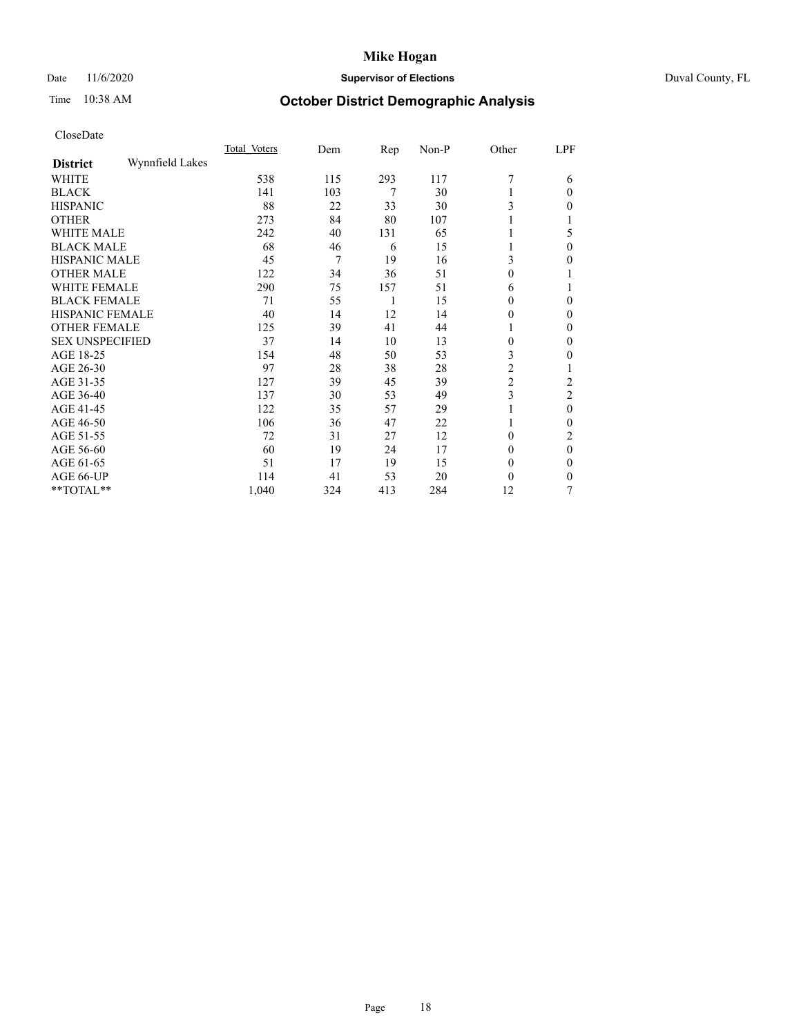## Date 11/6/2020 **Supervisor of Elections** Duval County, FL

# Time 10:38 AM **October District Demographic Analysis**

|                        |                 | Total Voters | Dem | Rep | Non-P | Other          | LPF            |
|------------------------|-----------------|--------------|-----|-----|-------|----------------|----------------|
| <b>District</b>        | Wynnfield Lakes |              |     |     |       |                |                |
| WHITE                  |                 | 538          | 115 | 293 | 117   | $\overline{7}$ | 6              |
| <b>BLACK</b>           |                 | 141          | 103 | 7   | 30    |                | $\Omega$       |
| <b>HISPANIC</b>        |                 | 88           | 22  | 33  | 30    | 3              | $\Omega$       |
| <b>OTHER</b>           |                 | 273          | 84  | 80  | 107   |                |                |
| WHITE MALE             |                 | 242          | 40  | 131 | 65    |                | 5              |
| <b>BLACK MALE</b>      |                 | 68           | 46  | 6   | 15    |                | $\Omega$       |
| HISPANIC MALE          |                 | 45           | 7   | 19  | 16    | 3              | 0              |
| <b>OTHER MALE</b>      |                 | 122          | 34  | 36  | 51    | $\mathbf{0}$   |                |
| <b>WHITE FEMALE</b>    |                 | 290          | 75  | 157 | 51    | 6              |                |
| <b>BLACK FEMALE</b>    |                 | 71           | 55  | 1   | 15    | $\theta$       | $\Omega$       |
| <b>HISPANIC FEMALE</b> |                 | 40           | 14  | 12  | 14    | $\theta$       | $\Omega$       |
| <b>OTHER FEMALE</b>    |                 | 125          | 39  | 41  | 44    | 1              | $\Omega$       |
| <b>SEX UNSPECIFIED</b> |                 | 37           | 14  | 10  | 13    | $\mathbf{0}$   | $\Omega$       |
| AGE 18-25              |                 | 154          | 48  | 50  | 53    | 3              | $\theta$       |
| AGE 26-30              |                 | 97           | 28  | 38  | 28    | $\overline{2}$ |                |
| AGE 31-35              |                 | 127          | 39  | 45  | 39    | $\overline{c}$ | 2              |
| AGE 36-40              |                 | 137          | 30  | 53  | 49    | 3              | $\mathfrak{2}$ |
| AGE 41-45              |                 | 122          | 35  | 57  | 29    |                | $\theta$       |
| AGE 46-50              |                 | 106          | 36  | 47  | 22    | 1              | $\Omega$       |
| AGE 51-55              |                 | 72           | 31  | 27  | 12    | $\theta$       | 2              |
| AGE 56-60              |                 | 60           | 19  | 24  | 17    | $\theta$       | $\theta$       |
| AGE 61-65              |                 | 51           | 17  | 19  | 15    | $\theta$       | $\Omega$       |
| AGE 66-UP              |                 | 114          | 41  | 53  | 20    | $\theta$       | 0              |
| **TOTAL**              |                 | 1,040        | 324 | 413 | 284   | 12             | 7              |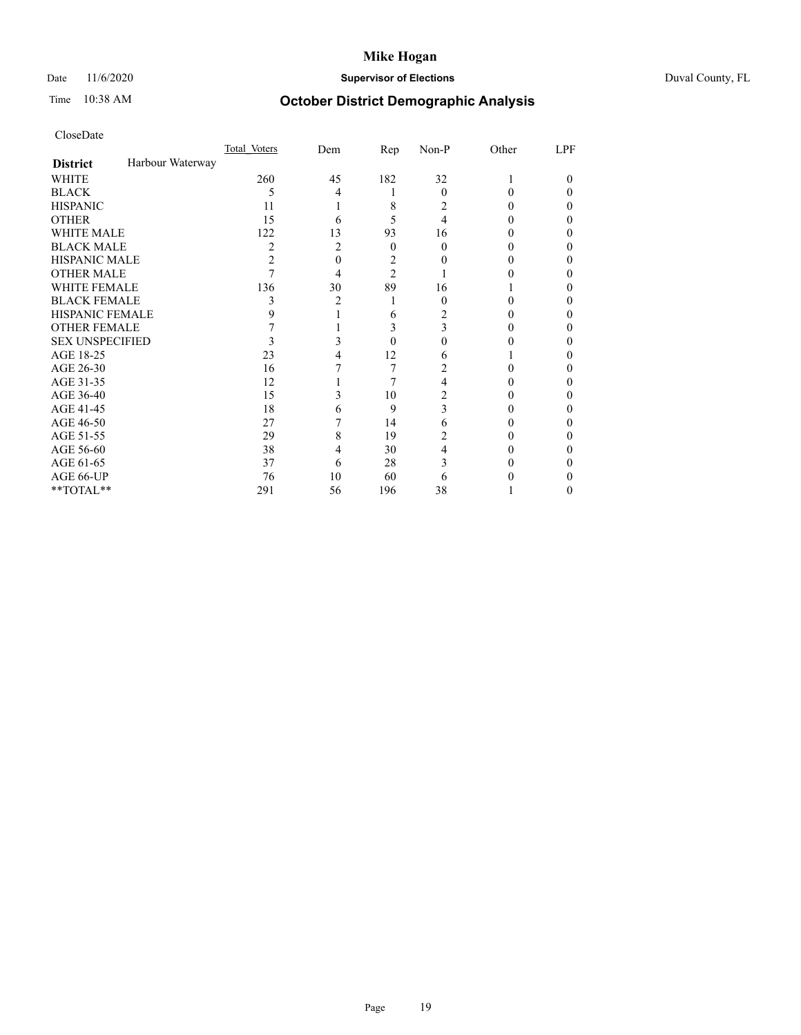## Date 11/6/2020 **Supervisor of Elections** Duval County, FL

# Time 10:38 AM **October District Demographic Analysis**

|                        |                  | Total Voters   | Dem            | Rep            | Non-P    | Other | LPF    |
|------------------------|------------------|----------------|----------------|----------------|----------|-------|--------|
| <b>District</b>        | Harbour Waterway |                |                |                |          |       |        |
| WHITE                  |                  | 260            | 45             | 182            | 32       |       | $_{0}$ |
| <b>BLACK</b>           |                  | 5              | 4              |                | $\theta$ | 0     | 0      |
| <b>HISPANIC</b>        |                  | 11             |                | 8              | 2        | 0     | 0      |
| <b>OTHER</b>           |                  | 15             | 6              | 5              | 4        |       | 0      |
| WHITE MALE             |                  | 122            | 13             | 93             | 16       |       | 0      |
| <b>BLACK MALE</b>      |                  | $\overline{c}$ | $\overline{c}$ | $\Omega$       | 0        |       | 0      |
| <b>HISPANIC MALE</b>   |                  | 2              | 0              | 2              |          |       | 0      |
| <b>OTHER MALE</b>      |                  |                | 4              | $\overline{c}$ |          |       | 0      |
| WHITE FEMALE           |                  | 136            | 30             | 89             | 16       |       | 0      |
| <b>BLACK FEMALE</b>    |                  | 3              | 2              | 1              | $\theta$ | 0     | 0      |
| <b>HISPANIC FEMALE</b> |                  | 9              |                | 6              | 2        |       | 0      |
| <b>OTHER FEMALE</b>    |                  |                |                | 3              | 3        | 0     | 0      |
| <b>SEX UNSPECIFIED</b> |                  |                | 3              | $\Omega$       | 0        |       | 0      |
| AGE 18-25              |                  | 23             |                | 12             | 6        |       | 0      |
| AGE 26-30              |                  | 16             |                | 7              | 2        |       | 0      |
| AGE 31-35              |                  | 12             |                | 7              | 4        |       | 0      |
| AGE 36-40              |                  | 15             | 3              | 10             | 2        |       | 0      |
| AGE 41-45              |                  | 18             | 6              | 9              | 3        |       |        |
| AGE 46-50              |                  | 27             |                | 14             | 6        | 0     | 0      |
| AGE 51-55              |                  | 29             | 8              | 19             | 2        |       | 0      |
| AGE 56-60              |                  | 38             | 4              | 30             | 4        |       | 0      |
| AGE 61-65              |                  | 37             | 6              | 28             | 3        |       | 0      |
| AGE 66-UP              |                  | 76             | 10             | 60             | 6        |       | 0      |
| **TOTAL**              |                  | 291            | 56             | 196            | 38       |       | 0      |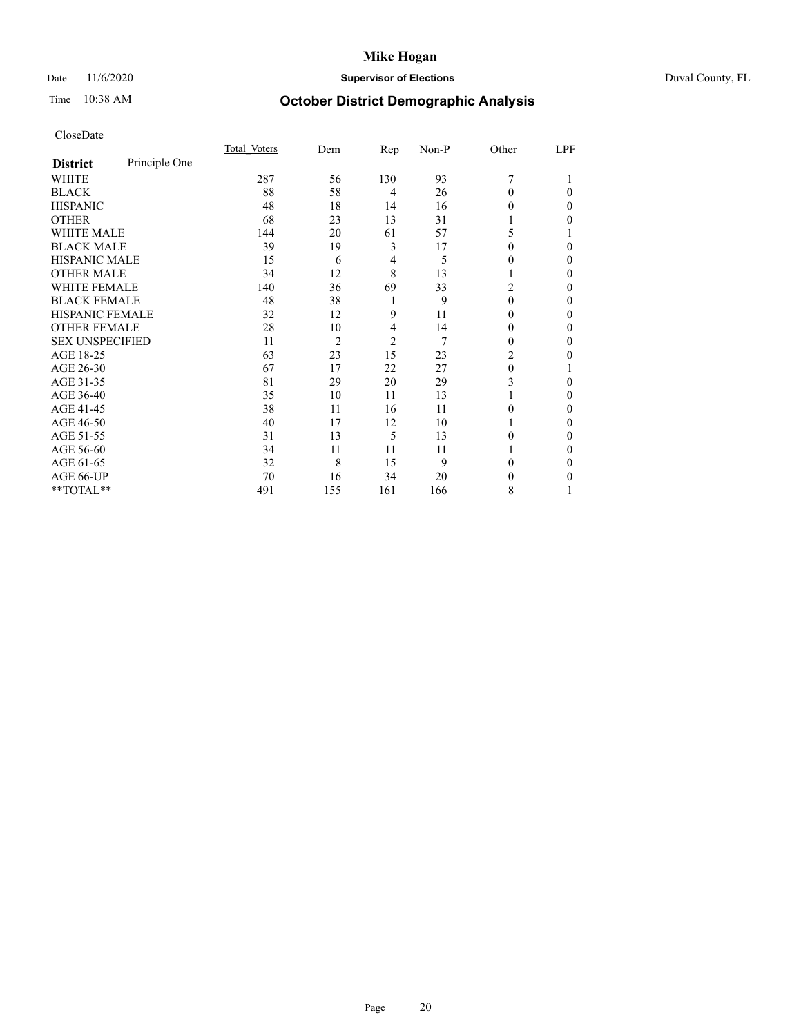## Date 11/6/2020 **Supervisor of Elections** Duval County, FL

# Time 10:38 AM **October District Demographic Analysis**

|                        |               | Total Voters | Dem            | Rep            | Non-P | Other          | LPF |
|------------------------|---------------|--------------|----------------|----------------|-------|----------------|-----|
| <b>District</b>        | Principle One |              |                |                |       |                |     |
| WHITE                  |               | 287          | 56             | 130            | 93    | 7              |     |
| <b>BLACK</b>           |               | 88           | 58             | $\overline{4}$ | 26    | $\Omega$       | 0   |
| <b>HISPANIC</b>        |               | 48           | 18             | 14             | 16    | 0              | 0   |
| <b>OTHER</b>           |               | 68           | 23             | 13             | 31    |                | 0   |
| <b>WHITE MALE</b>      |               | 144          | 20             | 61             | 57    | 5              |     |
| <b>BLACK MALE</b>      |               | 39           | 19             | 3              | 17    | 0              | 0   |
| <b>HISPANIC MALE</b>   |               | 15           | 6              | 4              | 5     | $_{0}$         | 0   |
| <b>OTHER MALE</b>      |               | 34           | 12             | 8              | 13    | 1              | 0   |
| <b>WHITE FEMALE</b>    |               | 140          | 36             | 69             | 33    | $\overline{c}$ | 0   |
| <b>BLACK FEMALE</b>    |               | 48           | 38             | 1              | 9     | $\theta$       | 0   |
| HISPANIC FEMALE        |               | 32           | 12             | 9              | 11    | 0              | 0   |
| <b>OTHER FEMALE</b>    |               | 28           | 10             | $\overline{4}$ | 14    | $\theta$       | 0   |
| <b>SEX UNSPECIFIED</b> |               | 11           | $\overline{2}$ | $\overline{2}$ | 7     | 0              | 0   |
| AGE 18-25              |               | 63           | 23             | 15             | 23    | 2              | 0   |
| AGE 26-30              |               | 67           | 17             | 22             | 27    | $\theta$       |     |
| AGE 31-35              |               | 81           | 29             | 20             | 29    | 3              | 0   |
| AGE 36-40              |               | 35           | 10             | 11             | 13    |                | 0   |
| AGE 41-45              |               | 38           | 11             | 16             | 11    | 0              | 0   |
| AGE 46-50              |               | 40           | 17             | 12             | 10    | 1              | 0   |
| AGE 51-55              |               | 31           | 13             | 5              | 13    | 0              | 0   |
| AGE 56-60              |               | 34           | 11             | 11             | 11    |                | 0   |
| AGE 61-65              |               | 32           | 8              | 15             | 9     | 0              | 0   |
| AGE 66-UP              |               | 70           | 16             | 34             | 20    | 0              | 0   |
| **TOTAL**              |               | 491          | 155            | 161            | 166   | 8              |     |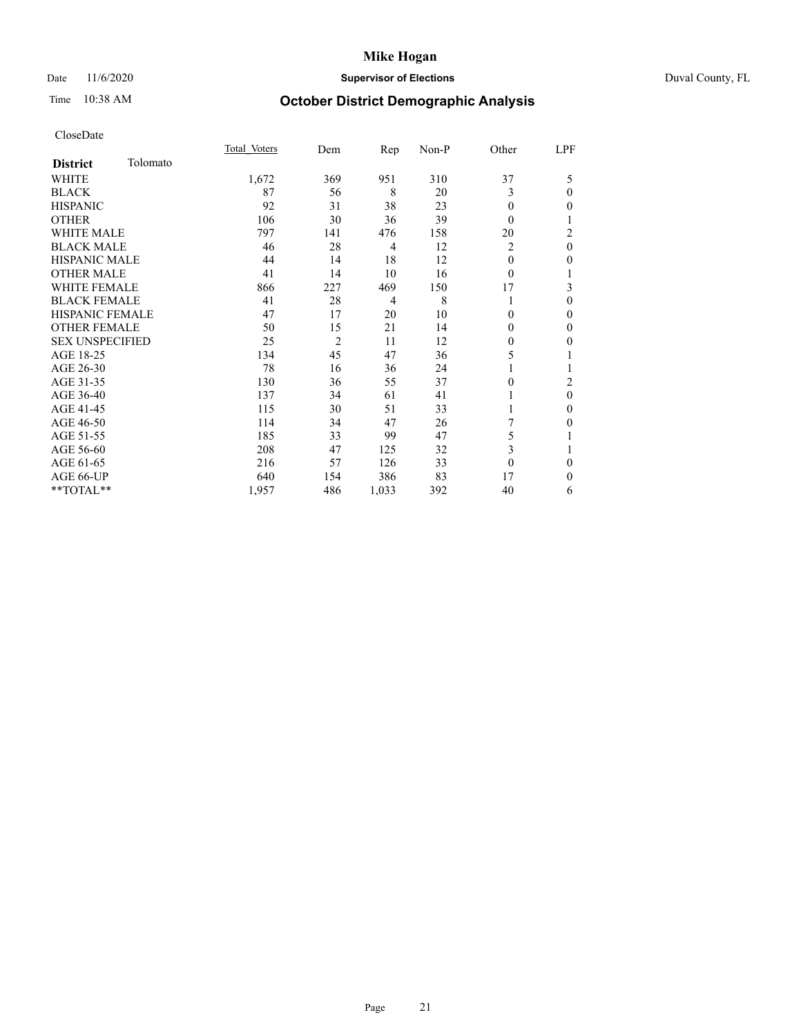## Date 11/6/2020 **Supervisor of Elections** Duval County, FL

# Time 10:38 AM **October District Demographic Analysis**

|                        |          | Total Voters | Dem            | Rep            | Non-P | Other    | LPF      |
|------------------------|----------|--------------|----------------|----------------|-------|----------|----------|
| <b>District</b>        | Tolomato |              |                |                |       |          |          |
| WHITE                  |          | 1,672        | 369            | 951            | 310   | 37       | 5        |
| <b>BLACK</b>           |          | 87           | 56             | 8              | 20    | 3        | $\theta$ |
| <b>HISPANIC</b>        |          | 92           | 31             | 38             | 23    | $\theta$ | $\Omega$ |
| <b>OTHER</b>           |          | 106          | 30             | 36             | 39    | $\theta$ |          |
| <b>WHITE MALE</b>      |          | 797          | 141            | 476            | 158   | 20       | 2        |
| <b>BLACK MALE</b>      |          | 46           | 28             | $\overline{4}$ | 12    | 2        | $\theta$ |
| <b>HISPANIC MALE</b>   |          | 44           | 14             | 18             | 12    | $\theta$ | 0        |
| <b>OTHER MALE</b>      |          | 41           | 14             | 10             | 16    | $\theta$ | 1        |
| WHITE FEMALE           |          | 866          | 227            | 469            | 150   | 17       | 3        |
| <b>BLACK FEMALE</b>    |          | 41           | 28             | $\overline{4}$ | 8     | 1        | $\theta$ |
| <b>HISPANIC FEMALE</b> |          | 47           | 17             | 20             | 10    | $\Omega$ | 0        |
| <b>OTHER FEMALE</b>    |          | 50           | 15             | 21             | 14    | $\Omega$ | $\Omega$ |
| <b>SEX UNSPECIFIED</b> |          | 25           | $\overline{2}$ | 11             | 12    | $\theta$ | 0        |
| AGE 18-25              |          | 134          | 45             | 47             | 36    | 5        |          |
| AGE 26-30              |          | 78           | 16             | 36             | 24    |          |          |
| AGE 31-35              |          | 130          | 36             | 55             | 37    | 0        | 2        |
| AGE 36-40              |          | 137          | 34             | 61             | 41    |          | $\theta$ |
| AGE 41-45              |          | 115          | 30             | 51             | 33    |          | 0        |
| AGE 46-50              |          | 114          | 34             | 47             | 26    |          | 0        |
| AGE 51-55              |          | 185          | 33             | 99             | 47    | 5        |          |
| AGE 56-60              |          | 208          | 47             | 125            | 32    | 3        |          |
| AGE 61-65              |          | 216          | 57             | 126            | 33    | $\theta$ | $\theta$ |
| AGE 66-UP              |          | 640          | 154            | 386            | 83    | 17       | $\Omega$ |
| **TOTAL**              |          | 1,957        | 486            | 1,033          | 392   | 40       | 6        |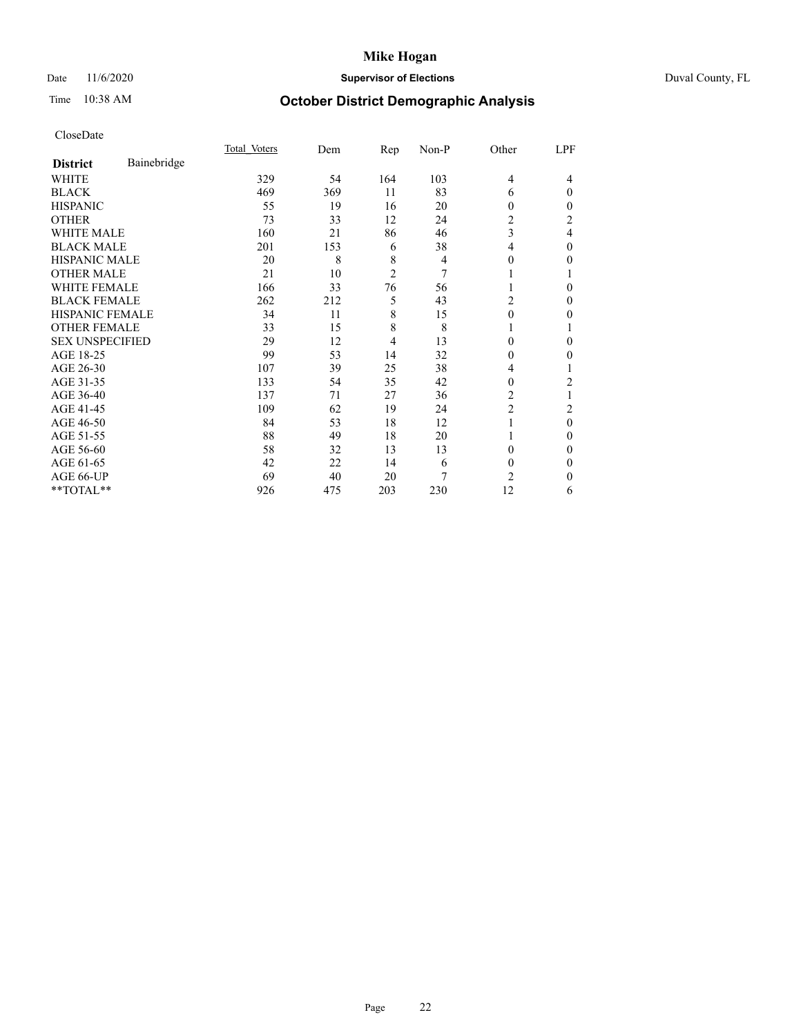## Date 11/6/2020 **Supervisor of Elections** Duval County, FL

# Time 10:38 AM **October District Demographic Analysis**

|                        |             | Total Voters | Dem | Rep            | Non-P | Other          | LPF            |
|------------------------|-------------|--------------|-----|----------------|-------|----------------|----------------|
| <b>District</b>        | Bainebridge |              |     |                |       |                |                |
| WHITE                  |             | 329          | 54  | 164            | 103   | 4              | 4              |
| <b>BLACK</b>           |             | 469          | 369 | 11             | 83    | 6              | $\Omega$       |
| <b>HISPANIC</b>        |             | 55           | 19  | 16             | 20    | 0              | 0              |
| <b>OTHER</b>           |             | 73           | 33  | 12             | 24    | $\overline{2}$ | $\overline{2}$ |
| WHITE MALE             |             | 160          | 21  | 86             | 46    | 3              | 4              |
| <b>BLACK MALE</b>      |             | 201          | 153 | 6              | 38    | 4              | $\mathbf{0}$   |
| <b>HISPANIC MALE</b>   |             | 20           | 8   | 8              | 4     | 0              | 0              |
| <b>OTHER MALE</b>      |             | 21           | 10  | $\overline{2}$ | 7     |                |                |
| <b>WHITE FEMALE</b>    |             | 166          | 33  | 76             | 56    |                | 0              |
| <b>BLACK FEMALE</b>    |             | 262          | 212 | 5              | 43    | 2              | 0              |
| <b>HISPANIC FEMALE</b> |             | 34           | 11  | 8              | 15    | 0              | 0              |
| <b>OTHER FEMALE</b>    |             | 33           | 15  | 8              | 8     |                |                |
| <b>SEX UNSPECIFIED</b> |             | 29           | 12  | 4              | 13    | $\theta$       | 0              |
| AGE 18-25              |             | 99           | 53  | 14             | 32    | 0              | 0              |
| AGE 26-30              |             | 107          | 39  | 25             | 38    | 4              |                |
| AGE 31-35              |             | 133          | 54  | 35             | 42    | 0              | 2              |
| AGE 36-40              |             | 137          | 71  | 27             | 36    | 2              |                |
| AGE 41-45              |             | 109          | 62  | 19             | 24    | 2              | 2              |
| AGE 46-50              |             | 84           | 53  | 18             | 12    | 1              | $\theta$       |
| AGE 51-55              |             | 88           | 49  | 18             | 20    |                | 0              |
| AGE 56-60              |             | 58           | 32  | 13             | 13    | 0              | 0              |
| AGE 61-65              |             | 42           | 22  | 14             | 6     | 0              | 0              |
| AGE 66-UP              |             | 69           | 40  | 20             | 7     | 2              | 0              |
| **TOTAL**              |             | 926          | 475 | 203            | 230   | 12             | 6              |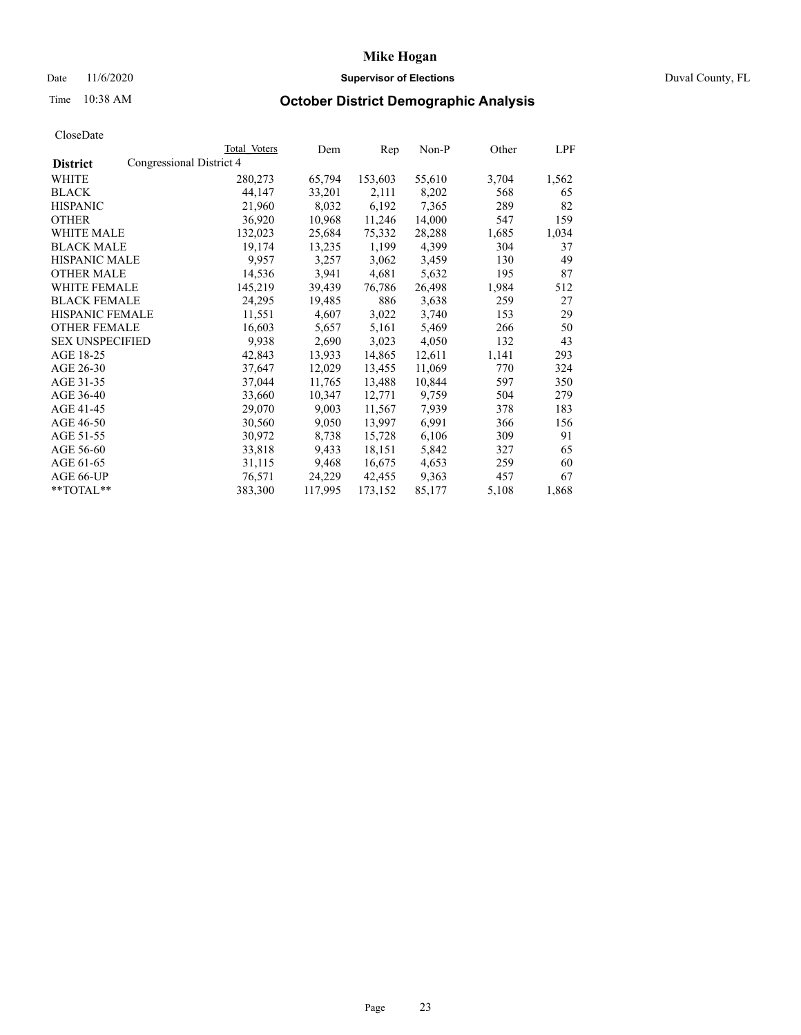## Date 11/6/2020 **Supervisor of Elections Supervisor of Elections** Duval County, FL

# Time 10:38 AM **October District Demographic Analysis**

|                                             | Total Voters | Dem     | Rep     | Non-P  | Other | LPF   |
|---------------------------------------------|--------------|---------|---------|--------|-------|-------|
| Congressional District 4<br><b>District</b> |              |         |         |        |       |       |
| WHITE                                       | 280,273      | 65,794  | 153,603 | 55,610 | 3,704 | 1,562 |
| <b>BLACK</b>                                | 44,147       | 33,201  | 2,111   | 8,202  | 568   | 65    |
| <b>HISPANIC</b>                             | 21,960       | 8,032   | 6,192   | 7,365  | 289   | 82    |
| <b>OTHER</b>                                | 36,920       | 10,968  | 11,246  | 14,000 | 547   | 159   |
| WHITE MALE                                  | 132,023      | 25,684  | 75,332  | 28,288 | 1,685 | 1,034 |
| <b>BLACK MALE</b>                           | 19,174       | 13,235  | 1,199   | 4,399  | 304   | 37    |
| <b>HISPANIC MALE</b>                        | 9,957        | 3,257   | 3,062   | 3,459  | 130   | 49    |
| <b>OTHER MALE</b>                           | 14,536       | 3,941   | 4,681   | 5,632  | 195   | 87    |
| <b>WHITE FEMALE</b>                         | 145,219      | 39,439  | 76,786  | 26,498 | 1,984 | 512   |
| <b>BLACK FEMALE</b>                         | 24,295       | 19,485  | 886     | 3,638  | 259   | 27    |
| HISPANIC FEMALE                             | 11,551       | 4,607   | 3,022   | 3,740  | 153   | 29    |
| <b>OTHER FEMALE</b>                         | 16,603       | 5,657   | 5,161   | 5,469  | 266   | 50    |
| <b>SEX UNSPECIFIED</b>                      | 9,938        | 2,690   | 3,023   | 4,050  | 132   | 43    |
| AGE 18-25                                   | 42,843       | 13,933  | 14,865  | 12,611 | 1,141 | 293   |
| AGE 26-30                                   | 37,647       | 12,029  | 13,455  | 11,069 | 770   | 324   |
| AGE 31-35                                   | 37,044       | 11,765  | 13,488  | 10,844 | 597   | 350   |
| AGE 36-40                                   | 33,660       | 10,347  | 12,771  | 9,759  | 504   | 279   |
| AGE 41-45                                   | 29,070       | 9,003   | 11,567  | 7,939  | 378   | 183   |
| AGE 46-50                                   | 30,560       | 9,050   | 13,997  | 6,991  | 366   | 156   |
| AGE 51-55                                   | 30,972       | 8,738   | 15,728  | 6,106  | 309   | 91    |
| AGE 56-60                                   | 33,818       | 9,433   | 18,151  | 5,842  | 327   | 65    |
| AGE 61-65                                   | 31,115       | 9,468   | 16,675  | 4,653  | 259   | 60    |
| AGE 66-UP                                   | 76,571       | 24,229  | 42,455  | 9,363  | 457   | 67    |
| **TOTAL**                                   | 383,300      | 117,995 | 173,152 | 85,177 | 5,108 | 1,868 |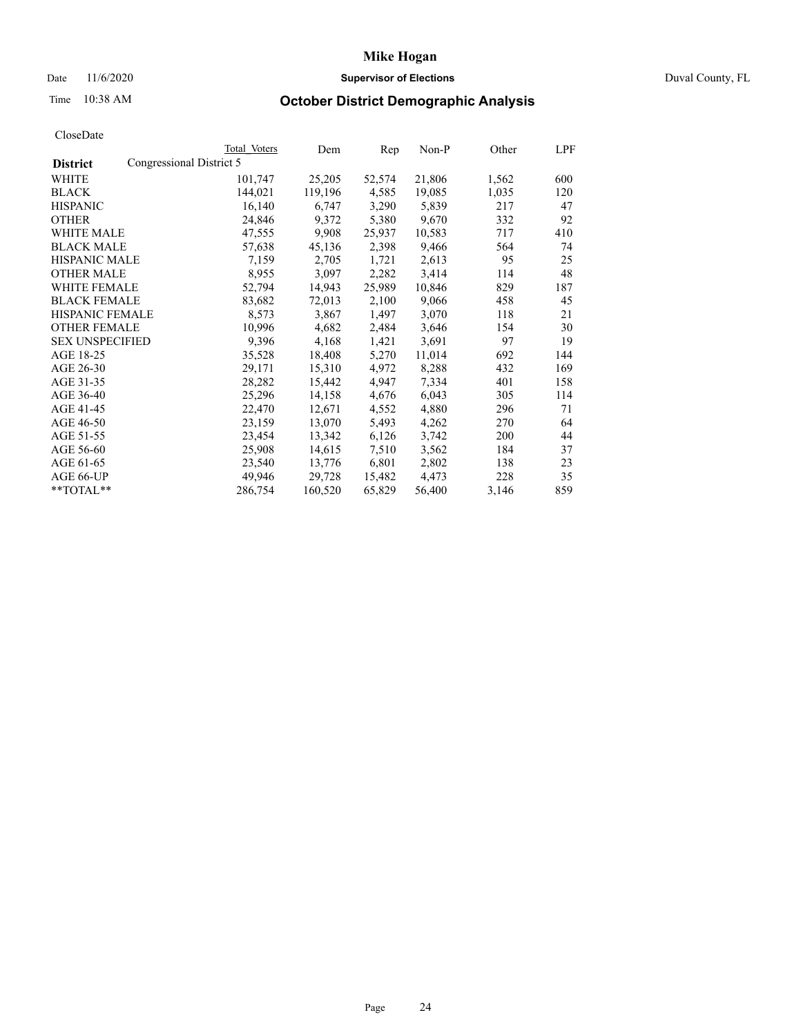## Date 11/6/2020 **Supervisor of Elections Supervisor of Elections** Duval County, FL

# Time 10:38 AM **October District Demographic Analysis**

|                        |                          | Total Voters | Dem     | Rep    | $Non-P$ | Other | LPF |
|------------------------|--------------------------|--------------|---------|--------|---------|-------|-----|
| <b>District</b>        | Congressional District 5 |              |         |        |         |       |     |
| WHITE                  |                          | 101,747      | 25,205  | 52,574 | 21,806  | 1,562 | 600 |
| <b>BLACK</b>           |                          | 144,021      | 119,196 | 4,585  | 19,085  | 1,035 | 120 |
| <b>HISPANIC</b>        |                          | 16,140       | 6,747   | 3,290  | 5,839   | 217   | 47  |
| <b>OTHER</b>           |                          | 24,846       | 9,372   | 5,380  | 9,670   | 332   | 92  |
| WHITE MALE             |                          | 47,555       | 9,908   | 25,937 | 10,583  | 717   | 410 |
| <b>BLACK MALE</b>      |                          | 57,638       | 45,136  | 2,398  | 9,466   | 564   | 74  |
| <b>HISPANIC MALE</b>   |                          | 7,159        | 2,705   | 1,721  | 2,613   | 95    | 25  |
| <b>OTHER MALE</b>      |                          | 8,955        | 3,097   | 2,282  | 3,414   | 114   | 48  |
| <b>WHITE FEMALE</b>    |                          | 52,794       | 14,943  | 25,989 | 10,846  | 829   | 187 |
| <b>BLACK FEMALE</b>    |                          | 83,682       | 72,013  | 2,100  | 9,066   | 458   | 45  |
| HISPANIC FEMALE        |                          | 8,573        | 3,867   | 1,497  | 3,070   | 118   | 21  |
| <b>OTHER FEMALE</b>    |                          | 10,996       | 4,682   | 2,484  | 3,646   | 154   | 30  |
| <b>SEX UNSPECIFIED</b> |                          | 9,396        | 4,168   | 1,421  | 3,691   | 97    | 19  |
| AGE 18-25              |                          | 35,528       | 18,408  | 5,270  | 11,014  | 692   | 144 |
| AGE 26-30              |                          | 29,171       | 15,310  | 4,972  | 8,288   | 432   | 169 |
| AGE 31-35              |                          | 28,282       | 15,442  | 4,947  | 7,334   | 401   | 158 |
| AGE 36-40              |                          | 25,296       | 14,158  | 4,676  | 6,043   | 305   | 114 |
| AGE 41-45              |                          | 22,470       | 12,671  | 4,552  | 4,880   | 296   | 71  |
| AGE 46-50              |                          | 23,159       | 13,070  | 5,493  | 4,262   | 270   | 64  |
| AGE 51-55              |                          | 23,454       | 13,342  | 6,126  | 3,742   | 200   | 44  |
| AGE 56-60              |                          | 25,908       | 14,615  | 7,510  | 3,562   | 184   | 37  |
| AGE 61-65              |                          | 23,540       | 13,776  | 6,801  | 2,802   | 138   | 23  |
| AGE 66-UP              |                          | 49.946       | 29,728  | 15,482 | 4,473   | 228   | 35  |
| **TOTAL**              |                          | 286,754      | 160,520 | 65,829 | 56,400  | 3,146 | 859 |
|                        |                          |              |         |        |         |       |     |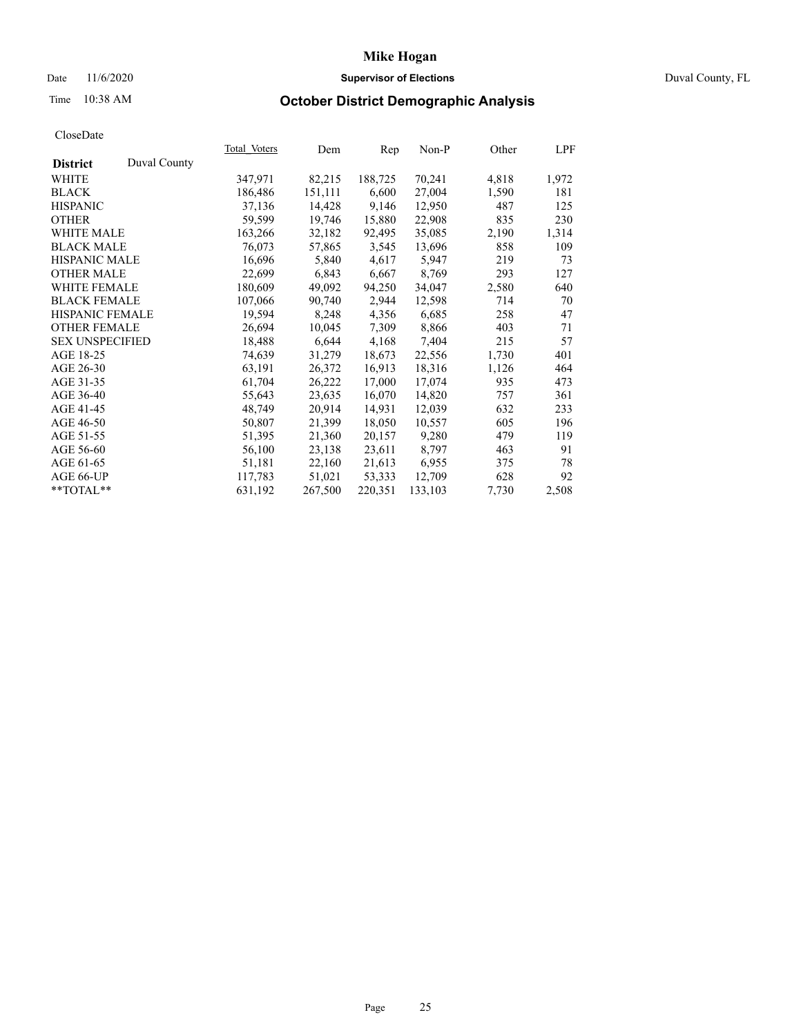## Date 11/6/2020 **Supervisor of Elections Supervisor of Elections** Duval County, FL

# Time 10:38 AM **October District Demographic Analysis**

|                                 | <b>Total Voters</b> | Dem     | Rep     | $Non-P$ | Other | LPF   |
|---------------------------------|---------------------|---------|---------|---------|-------|-------|
| Duval County<br><b>District</b> |                     |         |         |         |       |       |
| WHITE                           | 347,971             | 82,215  | 188,725 | 70,241  | 4,818 | 1,972 |
| <b>BLACK</b>                    | 186,486             | 151,111 | 6,600   | 27,004  | 1,590 | 181   |
| <b>HISPANIC</b>                 | 37,136              | 14,428  | 9,146   | 12,950  | 487   | 125   |
| <b>OTHER</b>                    | 59,599              | 19,746  | 15,880  | 22,908  | 835   | 230   |
| <b>WHITE MALE</b>               | 163,266             | 32,182  | 92,495  | 35,085  | 2,190 | 1,314 |
| <b>BLACK MALE</b>               | 76,073              | 57,865  | 3,545   | 13,696  | 858   | 109   |
| <b>HISPANIC MALE</b>            | 16,696              | 5,840   | 4,617   | 5,947   | 219   | 73    |
| <b>OTHER MALE</b>               | 22,699              | 6,843   | 6,667   | 8,769   | 293   | 127   |
| <b>WHITE FEMALE</b>             | 180,609             | 49,092  | 94,250  | 34,047  | 2,580 | 640   |
| <b>BLACK FEMALE</b>             | 107,066             | 90,740  | 2,944   | 12,598  | 714   | 70    |
| HISPANIC FEMALE                 | 19,594              | 8,248   | 4,356   | 6,685   | 258   | 47    |
| <b>OTHER FEMALE</b>             | 26,694              | 10,045  | 7,309   | 8,866   | 403   | 71    |
| <b>SEX UNSPECIFIED</b>          | 18,488              | 6,644   | 4,168   | 7,404   | 215   | 57    |
| AGE 18-25                       | 74,639              | 31,279  | 18,673  | 22,556  | 1,730 | 401   |
| AGE 26-30                       | 63,191              | 26,372  | 16,913  | 18,316  | 1,126 | 464   |
| AGE 31-35                       | 61,704              | 26,222  | 17,000  | 17,074  | 935   | 473   |
| AGE 36-40                       | 55,643              | 23,635  | 16,070  | 14,820  | 757   | 361   |
| AGE 41-45                       | 48,749              | 20,914  | 14,931  | 12,039  | 632   | 233   |
| AGE 46-50                       | 50,807              | 21,399  | 18,050  | 10,557  | 605   | 196   |
| AGE 51-55                       | 51,395              | 21,360  | 20,157  | 9,280   | 479   | 119   |
| AGE 56-60                       | 56,100              | 23,138  | 23,611  | 8,797   | 463   | 91    |
| AGE 61-65                       | 51,181              | 22,160  | 21,613  | 6,955   | 375   | 78    |
| AGE 66-UP                       | 117,783             | 51,021  | 53,333  | 12,709  | 628   | 92    |
| **TOTAL**                       | 631,192             | 267,500 | 220,351 | 133,103 | 7,730 | 2,508 |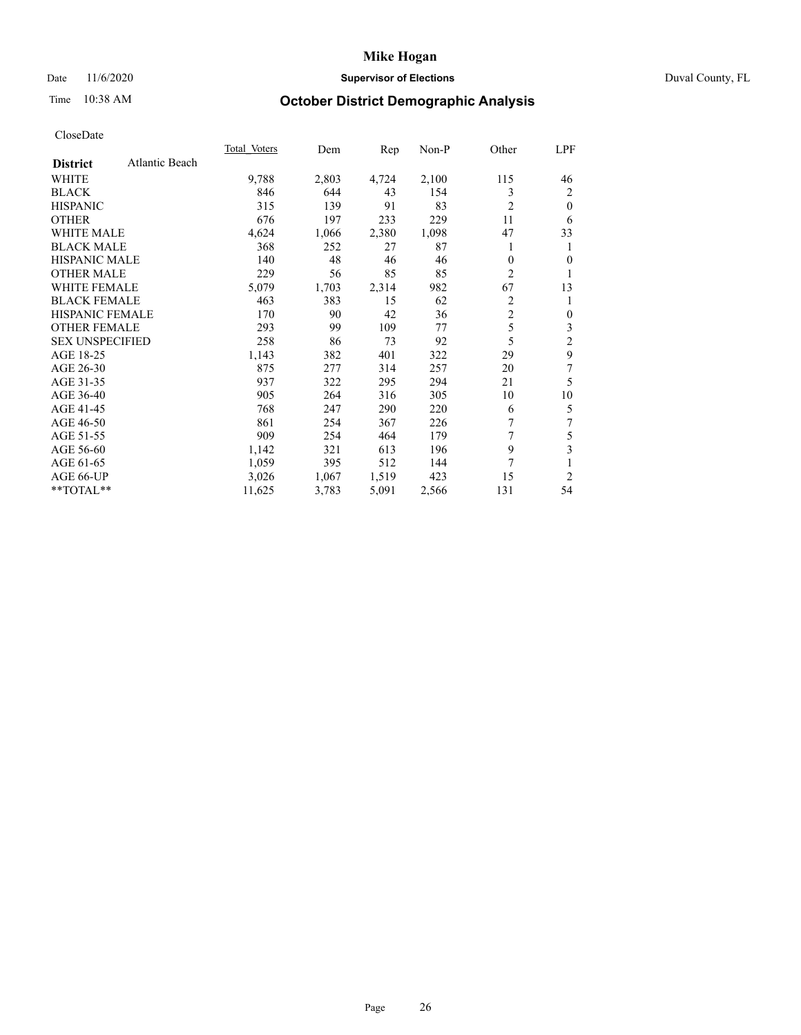## Date 11/6/2020 **Supervisor of Elections** Duval County, FL

# Time 10:38 AM **October District Demographic Analysis**

|                        |                | <b>Total Voters</b> | Dem   | Rep   | Non-P | Other          | LPF            |
|------------------------|----------------|---------------------|-------|-------|-------|----------------|----------------|
| <b>District</b>        | Atlantic Beach |                     |       |       |       |                |                |
| WHITE                  |                | 9,788               | 2,803 | 4,724 | 2,100 | 115            | 46             |
| <b>BLACK</b>           |                | 846                 | 644   | 43    | 154   | 3              | 2              |
| <b>HISPANIC</b>        |                | 315                 | 139   | 91    | 83    | $\overline{c}$ | $\theta$       |
| <b>OTHER</b>           |                | 676                 | 197   | 233   | 229   | 11             | 6              |
| <b>WHITE MALE</b>      |                | 4,624               | 1,066 | 2,380 | 1,098 | 47             | 33             |
| <b>BLACK MALE</b>      |                | 368                 | 252   | 27    | 87    |                | 1              |
| <b>HISPANIC MALE</b>   |                | 140                 | 48    | 46    | 46    | $\theta$       | 0              |
| <b>OTHER MALE</b>      |                | 229                 | 56    | 85    | 85    | $\overline{c}$ | 1              |
| <b>WHITE FEMALE</b>    |                | 5,079               | 1,703 | 2,314 | 982   | 67             | 13             |
| <b>BLACK FEMALE</b>    |                | 463                 | 383   | 15    | 62    | $\overline{c}$ | 1              |
| HISPANIC FEMALE        |                | 170                 | 90    | 42    | 36    | $\overline{2}$ | 0              |
| <b>OTHER FEMALE</b>    |                | 293                 | 99    | 109   | 77    | 5              | 3              |
| <b>SEX UNSPECIFIED</b> |                | 258                 | 86    | 73    | 92    | 5              | $\overline{2}$ |
| AGE 18-25              |                | 1,143               | 382   | 401   | 322   | 29             | 9              |
| AGE 26-30              |                | 875                 | 277   | 314   | 257   | 20             | 7              |
| AGE 31-35              |                | 937                 | 322   | 295   | 294   | 21             | 5              |
| AGE 36-40              |                | 905                 | 264   | 316   | 305   | 10             | 10             |
| AGE 41-45              |                | 768                 | 247   | 290   | 220   | 6              | 5              |
| AGE 46-50              |                | 861                 | 254   | 367   | 226   | 7              | 7              |
| AGE 51-55              |                | 909                 | 254   | 464   | 179   | 7              | 5              |
| AGE 56-60              |                | 1,142               | 321   | 613   | 196   | 9              | 3              |
| AGE 61-65              |                | 1,059               | 395   | 512   | 144   | $\overline{7}$ |                |
| AGE 66-UP              |                | 3,026               | 1,067 | 1,519 | 423   | 15             | $\overline{2}$ |
| **TOTAL**              |                | 11,625              | 3,783 | 5,091 | 2,566 | 131            | 54             |
|                        |                |                     |       |       |       |                |                |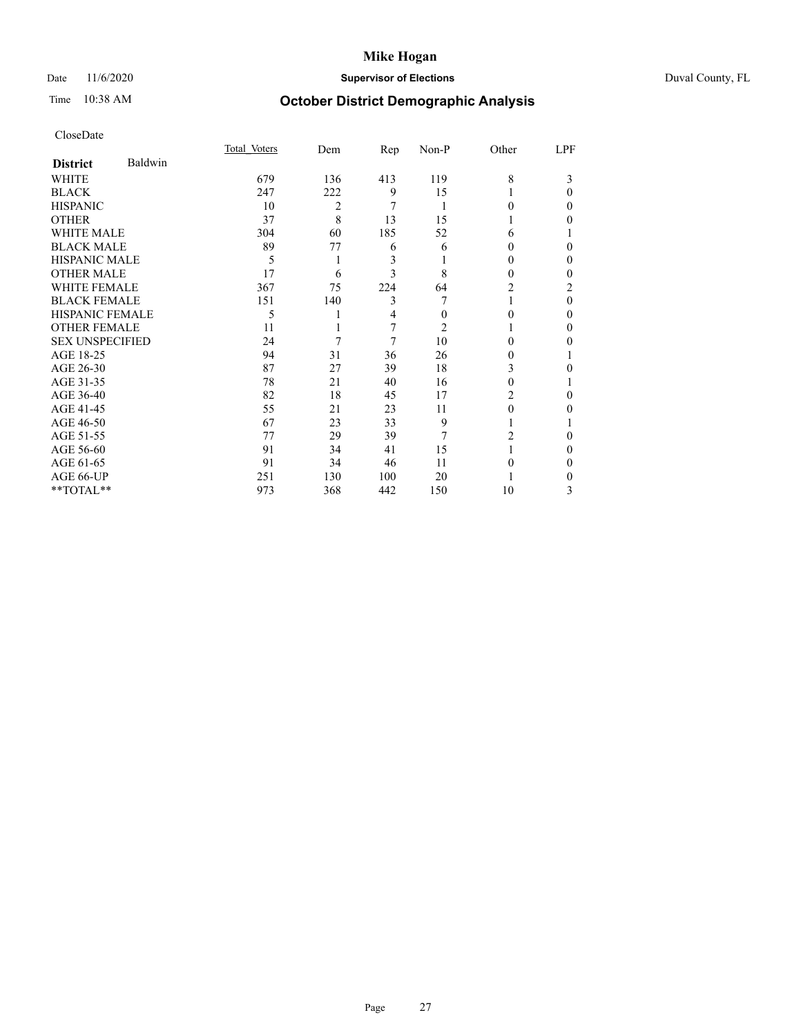## Date 11/6/2020 **Supervisor of Elections** Duval County, FL

# Time 10:38 AM **October District Demographic Analysis**

|                        |         | Total Voters | Dem | Rep | Non-P    | Other  | LPF            |
|------------------------|---------|--------------|-----|-----|----------|--------|----------------|
| <b>District</b>        | Baldwin |              |     |     |          |        |                |
| WHITE                  |         | 679          | 136 | 413 | 119      | 8      | 3              |
| <b>BLACK</b>           |         | 247          | 222 | 9   | 15       |        | $\Omega$       |
| <b>HISPANIC</b>        |         | 10           | 2   | 7   | 1        | 0      | 0              |
| <b>OTHER</b>           |         | 37           | 8   | 13  | 15       |        | 0              |
| WHITE MALE             |         | 304          | 60  | 185 | 52       | 6      |                |
| <b>BLACK MALE</b>      |         | 89           | 77  | 6   | 6        | $_{0}$ | 0              |
| <b>HISPANIC MALE</b>   |         | 5            | 1   | 3   |          | 0      | 0              |
| <b>OTHER MALE</b>      |         | 17           | 6   | 3   | 8        | 0      | 0              |
| <b>WHITE FEMALE</b>    |         | 367          | 75  | 224 | 64       | 2      | $\overline{c}$ |
| <b>BLACK FEMALE</b>    |         | 151          | 140 | 3   |          |        | $\Omega$       |
| <b>HISPANIC FEMALE</b> |         | 5            |     | 4   | $\Omega$ | 0      | 0              |
| <b>OTHER FEMALE</b>    |         | 11           |     | 7   | 2        |        | 0              |
| <b>SEX UNSPECIFIED</b> |         | 24           | 7   | 7   | 10       | 0      | 0              |
| AGE 18-25              |         | 94           | 31  | 36  | 26       | $_{0}$ |                |
| AGE 26-30              |         | 87           | 27  | 39  | 18       | 3      | 0              |
| AGE 31-35              |         | 78           | 21  | 40  | 16       | 0      |                |
| AGE 36-40              |         | 82           | 18  | 45  | 17       | 2      | 0              |
| AGE 41-45              |         | 55           | 21  | 23  | 11       | 0      | 0              |
| AGE 46-50              |         | 67           | 23  | 33  | 9        |        |                |
| AGE 51-55              |         | 77           | 29  | 39  | 7        | 2      | 0              |
| AGE 56-60              |         | 91           | 34  | 41  | 15       |        | 0              |
| AGE 61-65              |         | 91           | 34  | 46  | 11       | 0      | 0              |
| AGE 66-UP              |         | 251          | 130 | 100 | 20       |        | 0              |
| **TOTAL**              |         | 973          | 368 | 442 | 150      | 10     | 3              |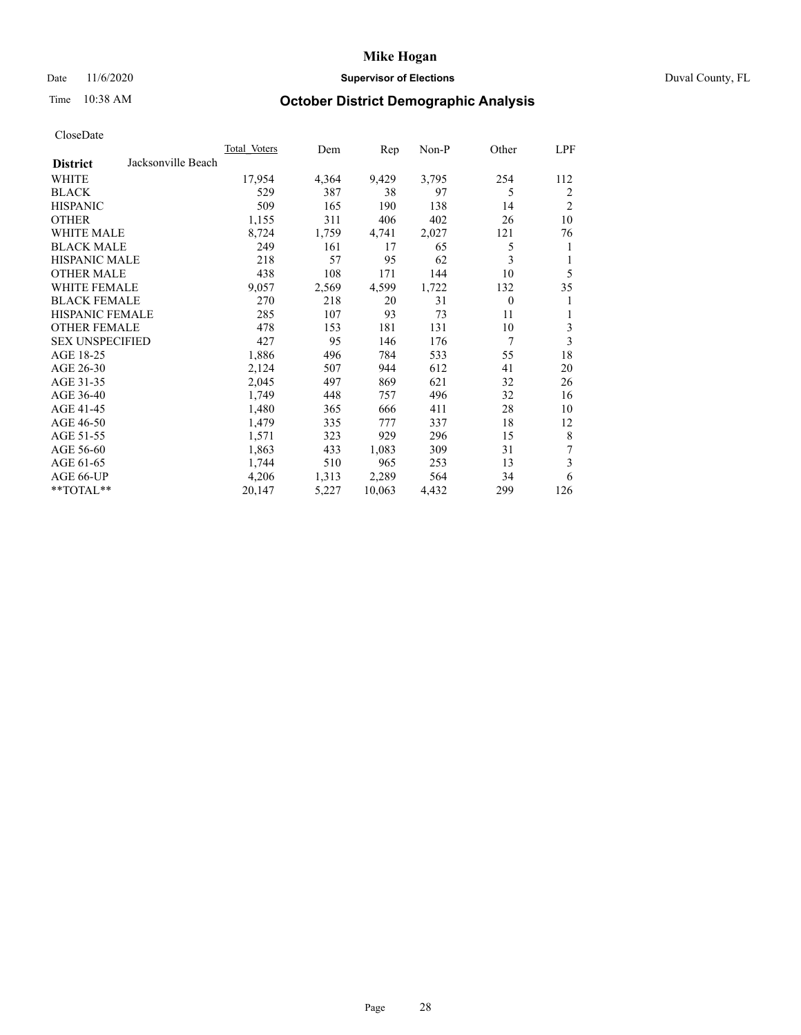## Date 11/6/2020 **Supervisor of Elections** Duval County, FL

# Time 10:38 AM **October District Demographic Analysis**

| Total Voters | Dem   | Rep    | Non-P | Other    | LPF            |
|--------------|-------|--------|-------|----------|----------------|
|              |       |        |       |          |                |
| 17,954       | 4,364 | 9,429  | 3,795 | 254      | 112            |
| 529          | 387   | 38     | 97    | 5        | 2              |
| 509          | 165   | 190    | 138   | 14       | $\overline{2}$ |
| 1,155        | 311   | 406    | 402   | 26       | 10             |
| 8,724        | 1,759 | 4,741  | 2,027 | 121      | 76             |
| 249          | 161   | 17     | 65    | 5        | 1              |
| 218          | 57    | 95     | 62    | 3        | 1              |
| 438          | 108   | 171    | 144   | 10       | 5              |
| 9,057        | 2,569 | 4,599  | 1,722 | 132      | 35             |
| 270          | 218   | 20     | 31    | $\theta$ | 1              |
| 285          | 107   | 93     | 73    | 11       | 1              |
| 478          | 153   | 181    | 131   | 10       | 3              |
| 427          | 95    | 146    | 176   | 7        | 3              |
| 1,886        | 496   | 784    | 533   | 55       | 18             |
| 2,124        | 507   | 944    | 612   | 41       | 20             |
| 2,045        | 497   | 869    | 621   | 32       | 26             |
| 1,749        | 448   | 757    | 496   | 32       | 16             |
| 1,480        | 365   | 666    | 411   | 28       | 10             |
| 1,479        | 335   | 777    | 337   | 18       | 12             |
| 1,571        | 323   | 929    | 296   | 15       | 8              |
| 1,863        | 433   | 1,083  | 309   | 31       | 7              |
| 1,744        | 510   | 965    | 253   | 13       | 3              |
| 4,206        | 1,313 | 2,289  | 564   | 34       | 6              |
| 20,147       | 5,227 | 10,063 | 4,432 | 299      | 126            |
|              |       |        |       |          |                |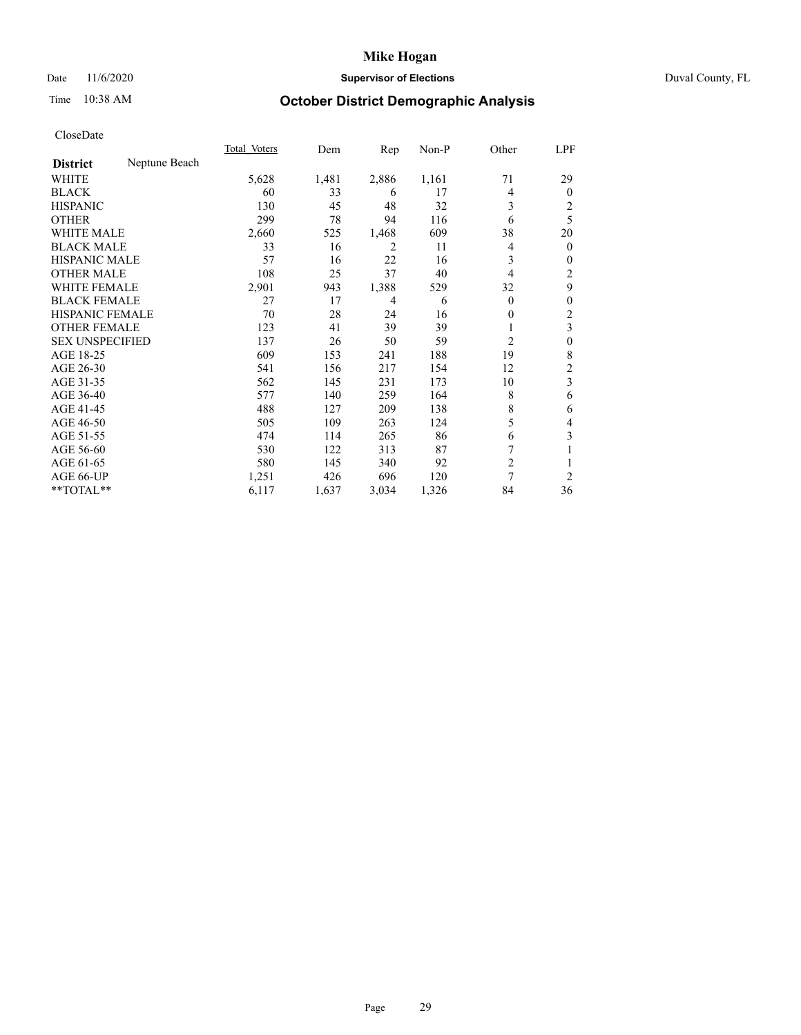## Date 11/6/2020 **Supervisor of Elections Supervisor of Elections** Duval County, FL

# Time 10:38 AM **October District Demographic Analysis**

|                        |               | Total Voters | Dem   | Rep   | $Non-P$ | Other          | LPF            |
|------------------------|---------------|--------------|-------|-------|---------|----------------|----------------|
| <b>District</b>        | Neptune Beach |              |       |       |         |                |                |
| WHITE                  |               | 5,628        | 1,481 | 2,886 | 1,161   | 71             | 29             |
| <b>BLACK</b>           |               | 60           | 33    | 6     | 17      | 4              | $\Omega$       |
| <b>HISPANIC</b>        |               | 130          | 45    | 48    | 32      | 3              | 2              |
| <b>OTHER</b>           |               | 299          | 78    | 94    | 116     | 6              | 5              |
| <b>WHITE MALE</b>      |               | 2,660        | 525   | 1,468 | 609     | 38             | 20             |
| <b>BLACK MALE</b>      |               | 33           | 16    | 2     | 11      | 4              | $\overline{0}$ |
| <b>HISPANIC MALE</b>   |               | 57           | 16    | 22    | 16      | 3              | 0              |
| <b>OTHER MALE</b>      |               | 108          | 25    | 37    | 40      | $\overline{4}$ | 2              |
| WHITE FEMALE           |               | 2,901        | 943   | 1,388 | 529     | 32             | 9              |
| <b>BLACK FEMALE</b>    |               | 27           | 17    | 4     | 6       | $\theta$       | 0              |
| <b>HISPANIC FEMALE</b> |               | 70           | 28    | 24    | 16      | $\Omega$       | 2              |
| <b>OTHER FEMALE</b>    |               | 123          | 41    | 39    | 39      | 1              | 3              |
| <b>SEX UNSPECIFIED</b> |               | 137          | 26    | 50    | 59      | 2              | 0              |
| AGE 18-25              |               | 609          | 153   | 241   | 188     | 19             | 8              |
| AGE 26-30              |               | 541          | 156   | 217   | 154     | 12             | $\overline{c}$ |
| AGE 31-35              |               | 562          | 145   | 231   | 173     | 10             | 3              |
| AGE 36-40              |               | 577          | 140   | 259   | 164     | 8              | 6              |
| AGE 41-45              |               | 488          | 127   | 209   | 138     | 8              | 6              |
| AGE 46-50              |               | 505          | 109   | 263   | 124     | 5              | 4              |
| AGE 51-55              |               | 474          | 114   | 265   | 86      | 6              | 3              |
| AGE 56-60              |               | 530          | 122   | 313   | 87      |                | 1              |
| AGE 61-65              |               | 580          | 145   | 340   | 92      | $\overline{c}$ |                |
| AGE 66-UP              |               | 1,251        | 426   | 696   | 120     | 7              | 2              |
| **TOTAL**              |               | 6,117        | 1,637 | 3,034 | 1,326   | 84             | 36             |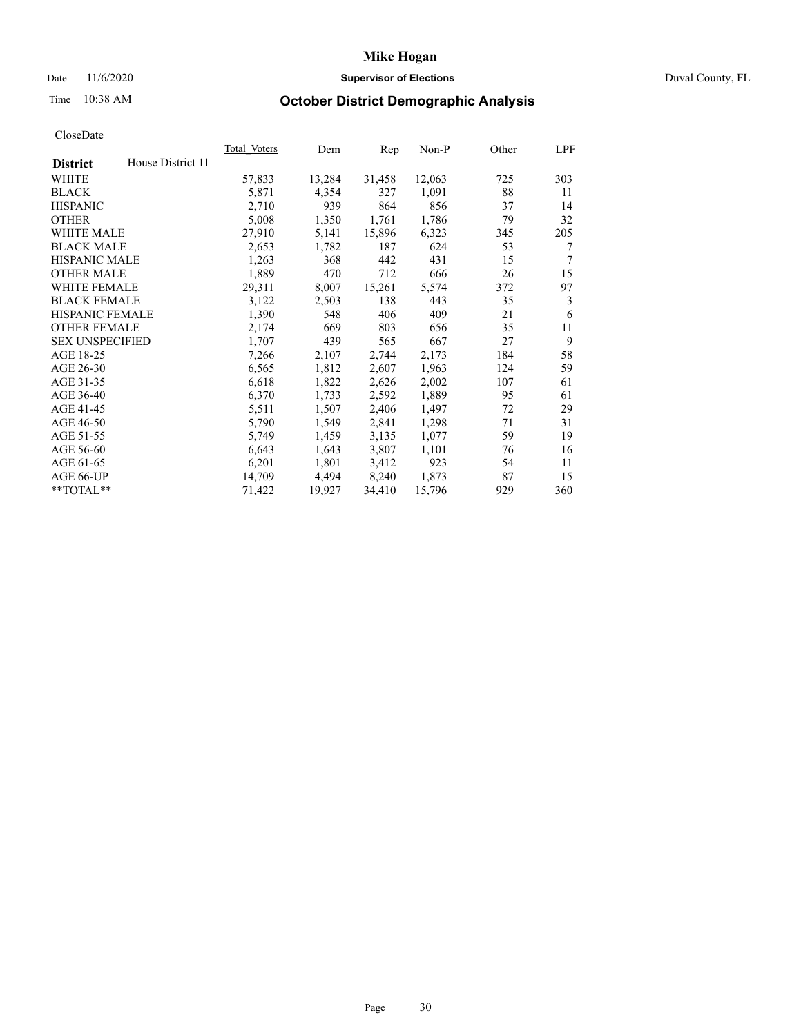## Date 11/6/2020 **Supervisor of Elections** Duval County, FL

# Time 10:38 AM **October District Demographic Analysis**

|                        |                   | Total Voters | Dem    | Rep    | Non-P  | Other | LPF |
|------------------------|-------------------|--------------|--------|--------|--------|-------|-----|
| <b>District</b>        | House District 11 |              |        |        |        |       |     |
| WHITE                  |                   | 57,833       | 13,284 | 31,458 | 12,063 | 725   | 303 |
| <b>BLACK</b>           |                   | 5,871        | 4,354  | 327    | 1,091  | 88    | 11  |
| <b>HISPANIC</b>        |                   | 2,710        | 939    | 864    | 856    | 37    | 14  |
| <b>OTHER</b>           |                   | 5,008        | 1,350  | 1,761  | 1,786  | 79    | 32  |
| WHITE MALE             |                   | 27,910       | 5,141  | 15,896 | 6,323  | 345   | 205 |
| <b>BLACK MALE</b>      |                   | 2,653        | 1,782  | 187    | 624    | 53    | 7   |
| <b>HISPANIC MALE</b>   |                   | 1,263        | 368    | 442    | 431    | 15    | 7   |
| <b>OTHER MALE</b>      |                   | 1,889        | 470    | 712    | 666    | 26    | 15  |
| <b>WHITE FEMALE</b>    |                   | 29,311       | 8,007  | 15,261 | 5,574  | 372   | 97  |
| <b>BLACK FEMALE</b>    |                   | 3,122        | 2,503  | 138    | 443    | 35    | 3   |
| <b>HISPANIC FEMALE</b> |                   | 1,390        | 548    | 406    | 409    | 21    | 6   |
| <b>OTHER FEMALE</b>    |                   | 2,174        | 669    | 803    | 656    | 35    | 11  |
| <b>SEX UNSPECIFIED</b> |                   | 1,707        | 439    | 565    | 667    | 27    | 9   |
| AGE 18-25              |                   | 7,266        | 2,107  | 2,744  | 2,173  | 184   | 58  |
| AGE 26-30              |                   | 6,565        | 1,812  | 2,607  | 1,963  | 124   | 59  |
| AGE 31-35              |                   | 6,618        | 1,822  | 2,626  | 2,002  | 107   | 61  |
| AGE 36-40              |                   | 6,370        | 1,733  | 2,592  | 1,889  | 95    | 61  |
| AGE 41-45              |                   | 5,511        | 1,507  | 2,406  | 1,497  | 72    | 29  |
| AGE 46-50              |                   | 5,790        | 1,549  | 2,841  | 1,298  | 71    | 31  |
| AGE 51-55              |                   | 5,749        | 1,459  | 3,135  | 1,077  | 59    | 19  |
| AGE 56-60              |                   | 6,643        | 1,643  | 3,807  | 1,101  | 76    | 16  |
| AGE 61-65              |                   | 6,201        | 1,801  | 3,412  | 923    | 54    | 11  |
| AGE 66-UP              |                   | 14,709       | 4,494  | 8,240  | 1,873  | 87    | 15  |
| $*$ TOTAL $*$          |                   | 71,422       | 19,927 | 34,410 | 15,796 | 929   | 360 |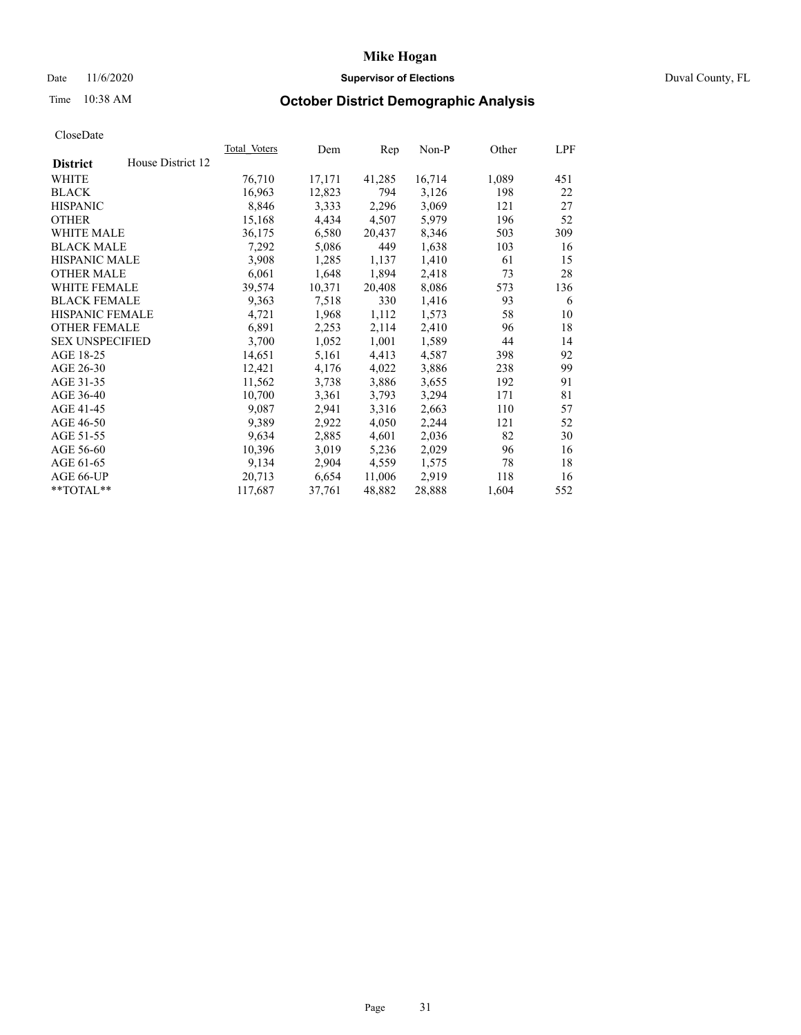## Date 11/6/2020 **Supervisor of Elections** Duval County, FL

# Time 10:38 AM **October District Demographic Analysis**

|                        |                   | Total Voters | Dem    | Rep    | Non-P  | Other | LPF |
|------------------------|-------------------|--------------|--------|--------|--------|-------|-----|
| <b>District</b>        | House District 12 |              |        |        |        |       |     |
| WHITE                  |                   | 76,710       | 17,171 | 41,285 | 16,714 | 1,089 | 451 |
| <b>BLACK</b>           |                   | 16,963       | 12,823 | 794    | 3,126  | 198   | 22  |
| <b>HISPANIC</b>        |                   | 8,846        | 3,333  | 2,296  | 3,069  | 121   | 27  |
| <b>OTHER</b>           |                   | 15,168       | 4,434  | 4,507  | 5,979  | 196   | 52  |
| WHITE MALE             |                   | 36,175       | 6,580  | 20,437 | 8,346  | 503   | 309 |
| <b>BLACK MALE</b>      |                   | 7,292        | 5,086  | 449    | 1,638  | 103   | 16  |
| <b>HISPANIC MALE</b>   |                   | 3,908        | 1,285  | 1,137  | 1,410  | 61    | 15  |
| <b>OTHER MALE</b>      |                   | 6,061        | 1,648  | 1,894  | 2,418  | 73    | 28  |
| <b>WHITE FEMALE</b>    |                   | 39,574       | 10,371 | 20,408 | 8,086  | 573   | 136 |
| <b>BLACK FEMALE</b>    |                   | 9,363        | 7,518  | 330    | 1,416  | 93    | 6   |
| <b>HISPANIC FEMALE</b> |                   | 4,721        | 1,968  | 1,112  | 1,573  | 58    | 10  |
| <b>OTHER FEMALE</b>    |                   | 6,891        | 2,253  | 2,114  | 2,410  | 96    | 18  |
| <b>SEX UNSPECIFIED</b> |                   | 3,700        | 1,052  | 1,001  | 1,589  | 44    | 14  |
| AGE 18-25              |                   | 14,651       | 5,161  | 4,413  | 4,587  | 398   | 92  |
| AGE 26-30              |                   | 12,421       | 4,176  | 4,022  | 3,886  | 238   | 99  |
| AGE 31-35              |                   | 11,562       | 3,738  | 3,886  | 3,655  | 192   | 91  |
| AGE 36-40              |                   | 10,700       | 3,361  | 3,793  | 3,294  | 171   | 81  |
| AGE 41-45              |                   | 9,087        | 2,941  | 3,316  | 2,663  | 110   | 57  |
| AGE 46-50              |                   | 9,389        | 2,922  | 4,050  | 2,244  | 121   | 52  |
| AGE 51-55              |                   | 9,634        | 2,885  | 4,601  | 2,036  | 82    | 30  |
| AGE 56-60              |                   | 10,396       | 3,019  | 5,236  | 2,029  | 96    | 16  |
| AGE 61-65              |                   | 9,134        | 2,904  | 4,559  | 1,575  | 78    | 18  |
| AGE 66-UP              |                   | 20.713       | 6,654  | 11,006 | 2,919  | 118   | 16  |
| $*$ TOTAL $*$          |                   | 117,687      | 37,761 | 48,882 | 28,888 | 1,604 | 552 |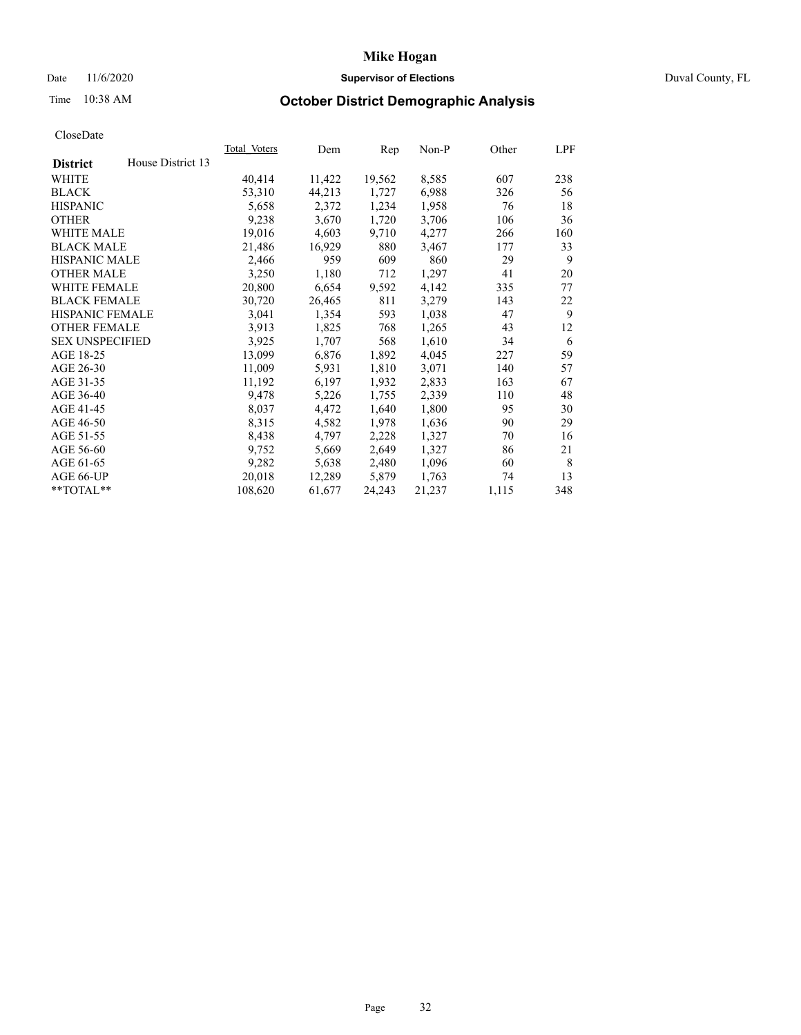## Date 11/6/2020 **Supervisor of Elections Supervisor of Elections** Duval County, FL

# Time 10:38 AM **October District Demographic Analysis**

|                        |                   | <b>Total Voters</b> | Dem    | Rep    | $Non-P$ | Other | LPF |
|------------------------|-------------------|---------------------|--------|--------|---------|-------|-----|
| <b>District</b>        | House District 13 |                     |        |        |         |       |     |
| WHITE                  |                   | 40,414              | 11,422 | 19,562 | 8,585   | 607   | 238 |
| <b>BLACK</b>           |                   | 53,310              | 44,213 | 1,727  | 6,988   | 326   | 56  |
| <b>HISPANIC</b>        |                   | 5,658               | 2,372  | 1,234  | 1,958   | 76    | 18  |
| <b>OTHER</b>           |                   | 9,238               | 3,670  | 1,720  | 3,706   | 106   | 36  |
| WHITE MALE             |                   | 19,016              | 4,603  | 9,710  | 4,277   | 266   | 160 |
| <b>BLACK MALE</b>      |                   | 21,486              | 16,929 | 880    | 3,467   | 177   | 33  |
| <b>HISPANIC MALE</b>   |                   | 2,466               | 959    | 609    | 860     | 29    | 9   |
| <b>OTHER MALE</b>      |                   | 3,250               | 1,180  | 712    | 1,297   | 41    | 20  |
| WHITE FEMALE           |                   | 20,800              | 6,654  | 9,592  | 4,142   | 335   | 77  |
| <b>BLACK FEMALE</b>    |                   | 30,720              | 26,465 | 811    | 3,279   | 143   | 22  |
| HISPANIC FEMALE        |                   | 3,041               | 1,354  | 593    | 1,038   | 47    | 9   |
| <b>OTHER FEMALE</b>    |                   | 3,913               | 1,825  | 768    | 1,265   | 43    | 12  |
| <b>SEX UNSPECIFIED</b> |                   | 3,925               | 1,707  | 568    | 1,610   | 34    | 6   |
| AGE 18-25              |                   | 13,099              | 6,876  | 1,892  | 4,045   | 227   | 59  |
| AGE 26-30              |                   | 11,009              | 5,931  | 1,810  | 3,071   | 140   | 57  |
| AGE 31-35              |                   | 11,192              | 6,197  | 1,932  | 2,833   | 163   | 67  |
| AGE 36-40              |                   | 9,478               | 5,226  | 1,755  | 2,339   | 110   | 48  |
| AGE 41-45              |                   | 8,037               | 4,472  | 1,640  | 1,800   | 95    | 30  |
| AGE 46-50              |                   | 8,315               | 4,582  | 1,978  | 1,636   | 90    | 29  |
| AGE 51-55              |                   | 8,438               | 4,797  | 2,228  | 1,327   | 70    | 16  |
| AGE 56-60              |                   | 9,752               | 5,669  | 2,649  | 1,327   | 86    | 21  |
| AGE 61-65              |                   | 9,282               | 5,638  | 2,480  | 1,096   | 60    | 8   |
| AGE 66-UP              |                   | 20,018              | 12,289 | 5,879  | 1,763   | 74    | 13  |
| **TOTAL**              |                   | 108,620             | 61,677 | 24,243 | 21,237  | 1,115 | 348 |
|                        |                   |                     |        |        |         |       |     |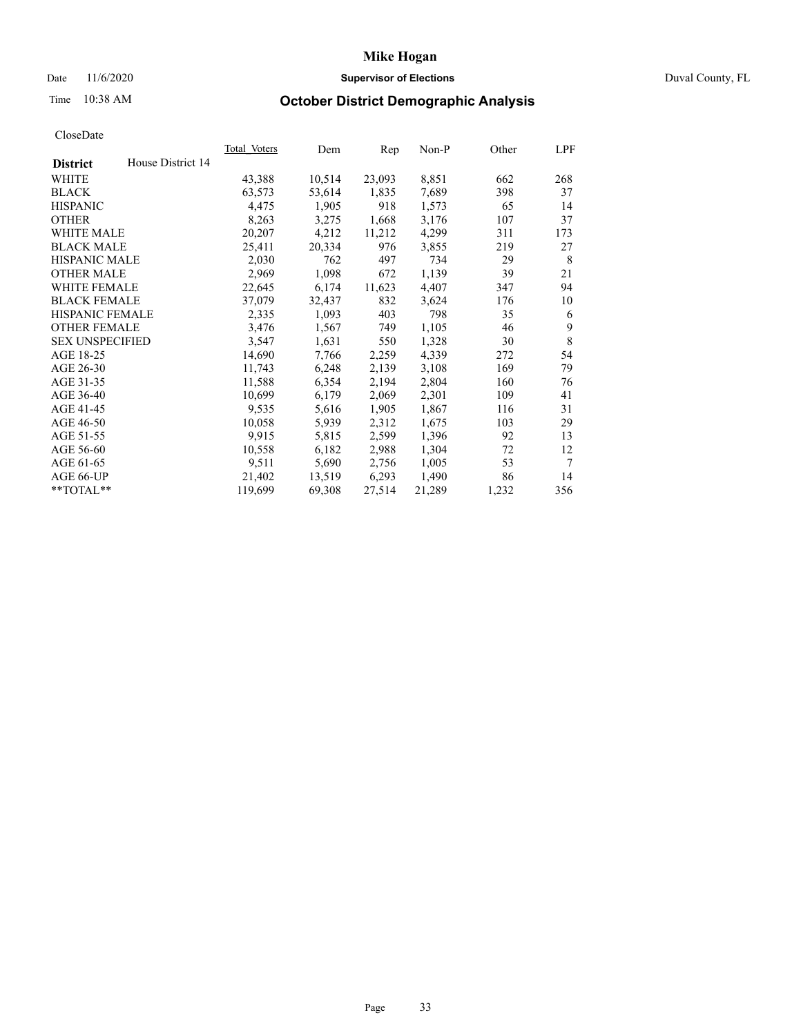## Date 11/6/2020 **Supervisor of Elections Supervisor of Elections** Duval County, FL

# Time 10:38 AM **October District Demographic Analysis**

| <b>Total Voters</b> | Dem    | Rep    | $Non-P$ | Other | LPF |
|---------------------|--------|--------|---------|-------|-----|
|                     |        |        |         |       |     |
| 43,388              | 10,514 | 23,093 | 8,851   | 662   | 268 |
| 63,573              | 53,614 | 1,835  | 7,689   | 398   | 37  |
| 4,475               | 1,905  | 918    | 1,573   | 65    | 14  |
| 8,263               | 3,275  | 1,668  | 3,176   | 107   | 37  |
| 20,207              | 4,212  | 11,212 | 4,299   | 311   | 173 |
| 25,411              | 20,334 | 976    | 3,855   | 219   | 27  |
| 2,030               | 762    | 497    | 734     | 29    | 8   |
| 2,969               | 1,098  | 672    | 1,139   | 39    | 21  |
| 22,645              | 6,174  | 11,623 | 4,407   | 347   | 94  |
| 37,079              | 32,437 | 832    | 3,624   | 176   | 10  |
| 2,335               | 1,093  | 403    | 798     | 35    | 6   |
| 3,476               | 1,567  | 749    | 1,105   | 46    | 9   |
| 3,547               | 1,631  | 550    | 1,328   | 30    | 8   |
| 14,690              | 7,766  | 2,259  | 4,339   | 272   | 54  |
| 11,743              | 6,248  | 2,139  | 3,108   | 169   | 79  |
| 11,588              | 6,354  | 2,194  | 2,804   | 160   | 76  |
| 10,699              | 6,179  | 2,069  | 2,301   | 109   | 41  |
| 9,535               | 5,616  | 1,905  | 1,867   | 116   | 31  |
| 10,058              | 5,939  | 2,312  | 1,675   | 103   | 29  |
| 9,915               | 5,815  | 2,599  | 1,396   | 92    | 13  |
| 10,558              | 6,182  | 2,988  | 1,304   | 72    | 12  |
| 9,511               | 5,690  | 2,756  | 1,005   | 53    | 7   |
| 21,402              | 13,519 | 6,293  | 1,490   | 86    | 14  |
| 119,699             | 69,308 | 27,514 | 21,289  | 1,232 | 356 |
|                     |        |        |         |       |     |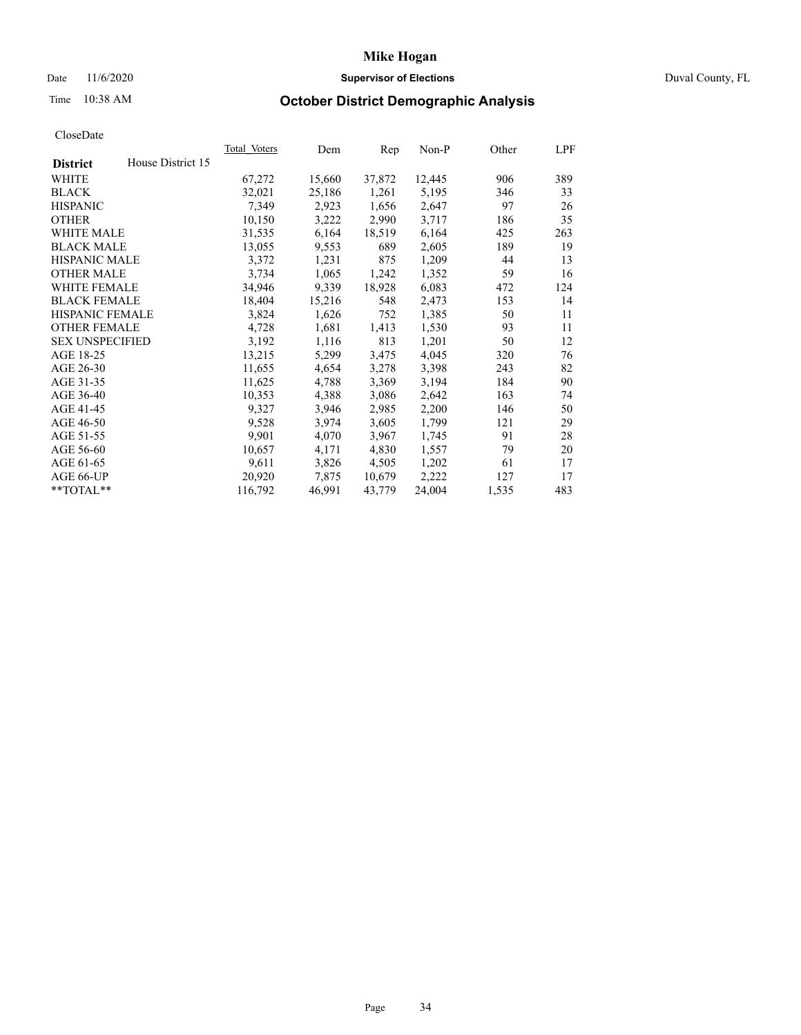## Date 11/6/2020 **Supervisor of Elections Supervisor of Elections** Duval County, FL

# Time 10:38 AM **October District Demographic Analysis**

| <b>Total Voters</b> | Dem    | Rep    | $Non-P$ | Other | LPF |
|---------------------|--------|--------|---------|-------|-----|
|                     |        |        |         |       |     |
| 67,272              | 15,660 | 37,872 | 12,445  | 906   | 389 |
| 32,021              | 25,186 | 1,261  | 5,195   | 346   | 33  |
| 7,349               | 2,923  | 1,656  | 2,647   | 97    | 26  |
| 10,150              | 3,222  | 2,990  | 3,717   | 186   | 35  |
| 31,535              | 6,164  | 18,519 | 6,164   | 425   | 263 |
| 13,055              | 9,553  | 689    | 2,605   | 189   | 19  |
| 3,372               | 1,231  | 875    | 1,209   | 44    | 13  |
| 3,734               | 1,065  | 1,242  | 1,352   | 59    | 16  |
| 34,946              | 9,339  | 18,928 | 6,083   | 472   | 124 |
| 18,404              | 15,216 | 548    | 2,473   | 153   | 14  |
| 3,824               | 1,626  | 752    | 1,385   | 50    | 11  |
| 4,728               | 1,681  | 1,413  | 1,530   | 93    | 11  |
| 3,192               | 1,116  | 813    | 1,201   | 50    | 12  |
| 13,215              | 5,299  | 3,475  | 4,045   | 320   | 76  |
| 11,655              | 4,654  | 3,278  | 3,398   | 243   | 82  |
| 11,625              | 4,788  | 3,369  | 3,194   | 184   | 90  |
| 10,353              | 4,388  | 3,086  | 2,642   | 163   | 74  |
| 9,327               | 3,946  | 2,985  | 2,200   | 146   | 50  |
| 9,528               | 3,974  | 3,605  | 1,799   | 121   | 29  |
| 9,901               | 4,070  | 3,967  | 1,745   | 91    | 28  |
| 10,657              | 4,171  | 4,830  | 1,557   | 79    | 20  |
| 9,611               | 3,826  | 4,505  | 1,202   | 61    | 17  |
| 20,920              | 7,875  | 10,679 | 2,222   | 127   | 17  |
| 116,792             | 46,991 | 43,779 | 24,004  | 1,535 | 483 |
|                     |        |        |         |       |     |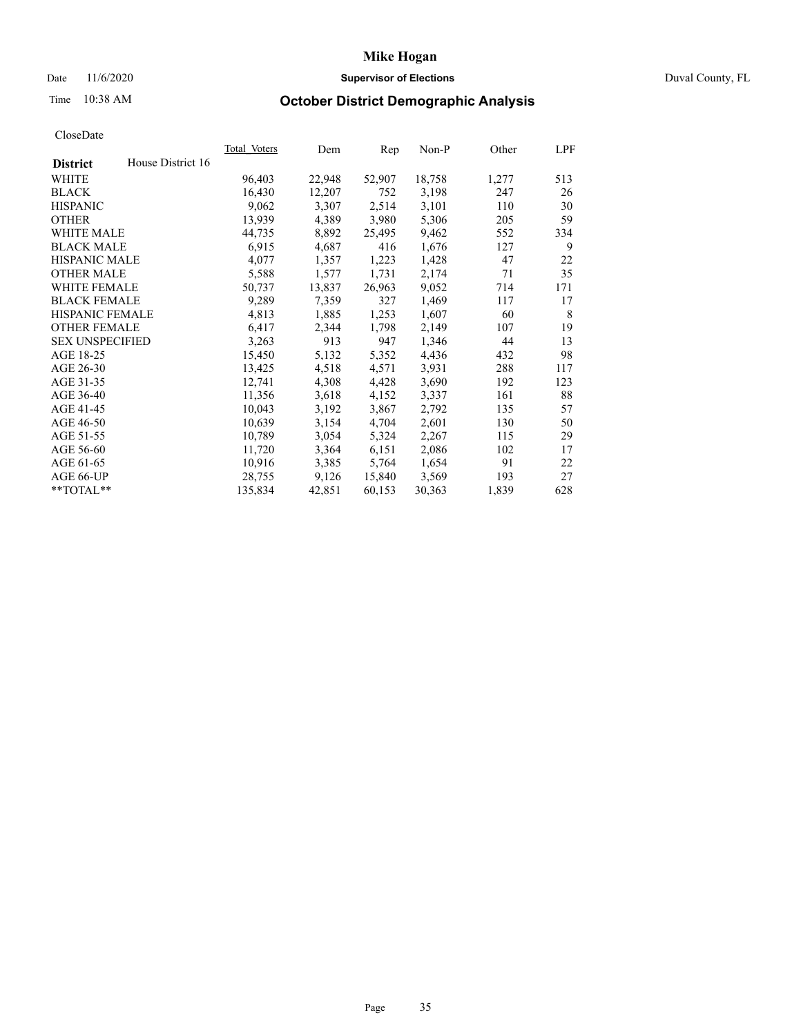## Date 11/6/2020 **Supervisor of Elections** Duval County, FL

# Time 10:38 AM **October District Demographic Analysis**

|                        |                   | Total Voters | Dem    | Rep    | Non-P  | Other | LPF |
|------------------------|-------------------|--------------|--------|--------|--------|-------|-----|
| <b>District</b>        | House District 16 |              |        |        |        |       |     |
| WHITE                  |                   | 96,403       | 22,948 | 52,907 | 18,758 | 1,277 | 513 |
| <b>BLACK</b>           |                   | 16,430       | 12,207 | 752    | 3,198  | 247   | 26  |
| <b>HISPANIC</b>        |                   | 9,062        | 3,307  | 2,514  | 3,101  | 110   | 30  |
| <b>OTHER</b>           |                   | 13,939       | 4,389  | 3,980  | 5,306  | 205   | 59  |
| WHITE MALE             |                   | 44,735       | 8,892  | 25,495 | 9,462  | 552   | 334 |
| <b>BLACK MALE</b>      |                   | 6,915        | 4,687  | 416    | 1,676  | 127   | 9   |
| <b>HISPANIC MALE</b>   |                   | 4,077        | 1,357  | 1,223  | 1,428  | 47    | 22  |
| <b>OTHER MALE</b>      |                   | 5,588        | 1,577  | 1,731  | 2,174  | 71    | 35  |
| <b>WHITE FEMALE</b>    |                   | 50,737       | 13,837 | 26,963 | 9,052  | 714   | 171 |
| <b>BLACK FEMALE</b>    |                   | 9,289        | 7,359  | 327    | 1,469  | 117   | 17  |
| <b>HISPANIC FEMALE</b> |                   | 4,813        | 1,885  | 1,253  | 1,607  | 60    | 8   |
| <b>OTHER FEMALE</b>    |                   | 6,417        | 2,344  | 1,798  | 2,149  | 107   | 19  |
| <b>SEX UNSPECIFIED</b> |                   | 3,263        | 913    | 947    | 1,346  | 44    | 13  |
| AGE 18-25              |                   | 15,450       | 5,132  | 5,352  | 4,436  | 432   | 98  |
| AGE 26-30              |                   | 13,425       | 4,518  | 4,571  | 3,931  | 288   | 117 |
| AGE 31-35              |                   | 12,741       | 4,308  | 4,428  | 3,690  | 192   | 123 |
| AGE 36-40              |                   | 11,356       | 3,618  | 4,152  | 3,337  | 161   | 88  |
| AGE 41-45              |                   | 10,043       | 3,192  | 3,867  | 2,792  | 135   | 57  |
| AGE 46-50              |                   | 10,639       | 3,154  | 4,704  | 2,601  | 130   | 50  |
| AGE 51-55              |                   | 10,789       | 3,054  | 5,324  | 2,267  | 115   | 29  |
| AGE 56-60              |                   | 11,720       | 3,364  | 6,151  | 2,086  | 102   | 17  |
| AGE 61-65              |                   | 10,916       | 3,385  | 5,764  | 1,654  | 91    | 22  |
| AGE 66-UP              |                   | 28,755       | 9,126  | 15,840 | 3,569  | 193   | 27  |
| $*$ TOTAL $*$          |                   | 135,834      | 42,851 | 60,153 | 30,363 | 1,839 | 628 |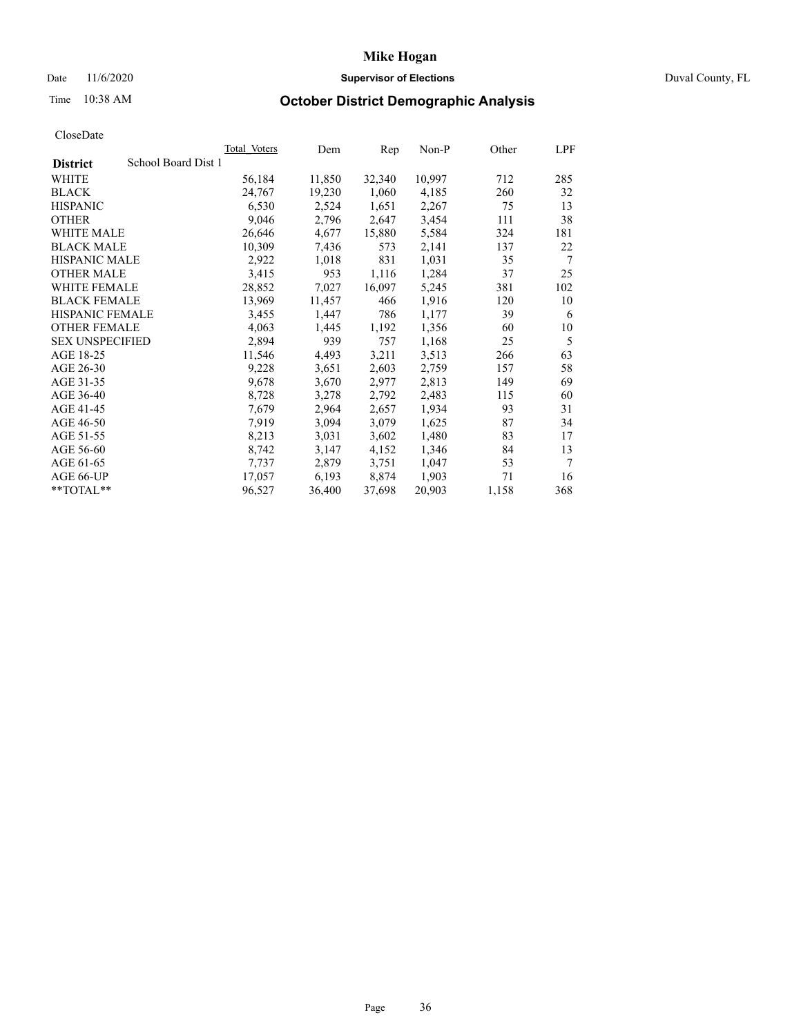## Date 11/6/2020 **Supervisor of Elections Supervisor of Elections** Duval County, FL

# Time 10:38 AM **October District Demographic Analysis**

|                                        | <b>Total Voters</b> | Dem    | Rep    | $Non-P$ | Other | LPF    |
|----------------------------------------|---------------------|--------|--------|---------|-------|--------|
| School Board Dist 1<br><b>District</b> |                     |        |        |         |       |        |
| WHITE                                  | 56,184              | 11,850 | 32,340 | 10,997  | 712   | 285    |
| <b>BLACK</b>                           | 24,767              | 19,230 | 1,060  | 4,185   | 260   | 32     |
| <b>HISPANIC</b>                        | 6,530               | 2,524  | 1,651  | 2,267   | 75    | 13     |
| <b>OTHER</b>                           | 9,046               | 2,796  | 2,647  | 3,454   | 111   | 38     |
| WHITE MALE                             | 26,646              | 4,677  | 15,880 | 5,584   | 324   | 181    |
| <b>BLACK MALE</b>                      | 10,309              | 7,436  | 573    | 2,141   | 137   | 22     |
| <b>HISPANIC MALE</b>                   | 2,922               | 1,018  | 831    | 1,031   | 35    | 7      |
| <b>OTHER MALE</b>                      | 3,415               | 953    | 1,116  | 1,284   | 37    | 25     |
| <b>WHITE FEMALE</b>                    | 28,852              | 7,027  | 16,097 | 5,245   | 381   | 102    |
| <b>BLACK FEMALE</b>                    | 13,969              | 11,457 | 466    | 1,916   | 120   | 10     |
| HISPANIC FEMALE                        | 3,455               | 1,447  | 786    | 1,177   | 39    | 6      |
| <b>OTHER FEMALE</b>                    | 4,063               | 1,445  | 1,192  | 1,356   | 60    | 10     |
| <b>SEX UNSPECIFIED</b>                 | 2,894               | 939    | 757    | 1,168   | 25    | 5      |
| AGE 18-25                              | 11,546              | 4,493  | 3,211  | 3,513   | 266   | 63     |
| AGE 26-30                              | 9,228               | 3,651  | 2,603  | 2,759   | 157   | 58     |
| AGE 31-35                              | 9,678               | 3,670  | 2,977  | 2,813   | 149   | 69     |
| AGE 36-40                              | 8,728               | 3,278  | 2,792  | 2,483   | 115   | 60     |
| AGE 41-45                              | 7,679               | 2,964  | 2,657  | 1,934   | 93    | 31     |
| AGE 46-50                              | 7,919               | 3,094  | 3,079  | 1,625   | 87    | 34     |
| AGE 51-55                              | 8,213               | 3,031  | 3,602  | 1,480   | 83    | 17     |
| AGE 56-60                              | 8,742               | 3,147  | 4,152  | 1,346   | 84    | 13     |
| AGE 61-65                              | 7,737               | 2,879  | 3,751  | 1,047   | 53    | $\tau$ |
| AGE 66-UP                              | 17,057              | 6,193  | 8,874  | 1,903   | 71    | 16     |
| **TOTAL**                              | 96,527              | 36,400 | 37,698 | 20,903  | 1,158 | 368    |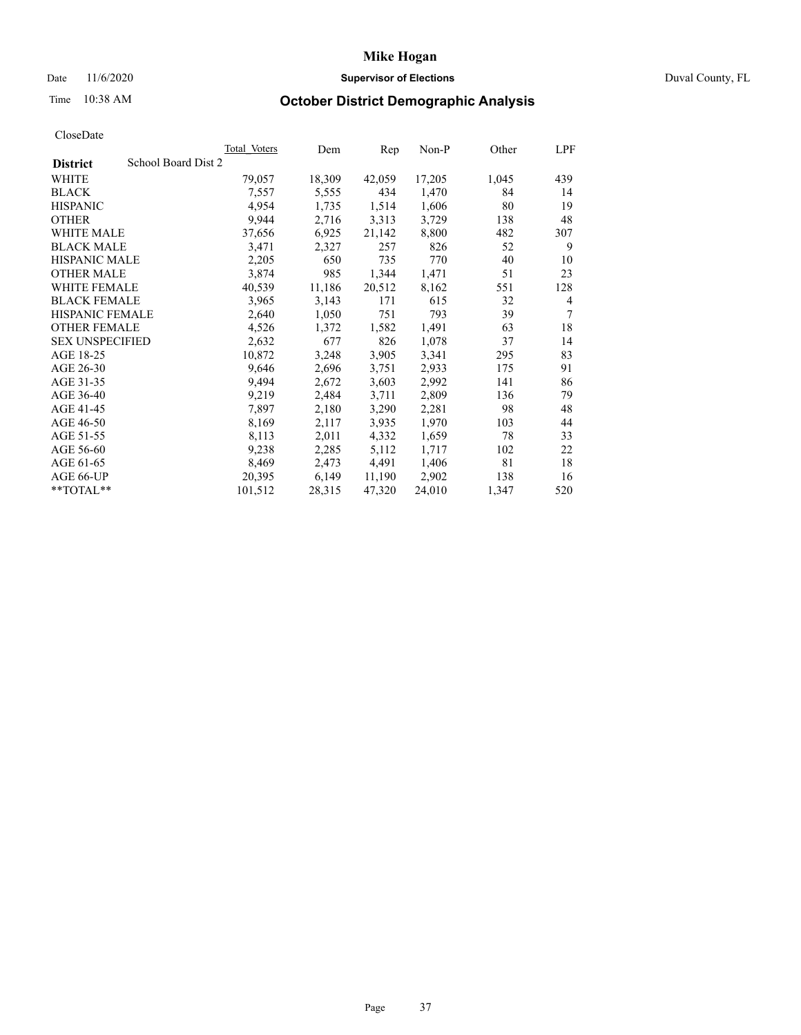## Date 11/6/2020 **Supervisor of Elections Supervisor of Elections** Duval County, FL

# Time 10:38 AM **October District Demographic Analysis**

|                                        | <b>Total Voters</b> | Dem    | Rep    | $Non-P$ | Other | LPF            |
|----------------------------------------|---------------------|--------|--------|---------|-------|----------------|
| School Board Dist 2<br><b>District</b> |                     |        |        |         |       |                |
| WHITE                                  | 79,057              | 18,309 | 42,059 | 17,205  | 1,045 | 439            |
| <b>BLACK</b>                           | 7,557               | 5,555  | 434    | 1,470   | 84    | 14             |
| <b>HISPANIC</b>                        | 4,954               | 1,735  | 1,514  | 1,606   | 80    | 19             |
| <b>OTHER</b>                           | 9,944               | 2,716  | 3,313  | 3,729   | 138   | 48             |
| WHITE MALE                             | 37,656              | 6,925  | 21,142 | 8,800   | 482   | 307            |
| <b>BLACK MALE</b>                      | 3,471               | 2,327  | 257    | 826     | 52    | 9              |
| <b>HISPANIC MALE</b>                   | 2,205               | 650    | 735    | 770     | 40    | 10             |
| <b>OTHER MALE</b>                      | 3,874               | 985    | 1,344  | 1,471   | 51    | 23             |
| WHITE FEMALE                           | 40,539              | 11,186 | 20,512 | 8,162   | 551   | 128            |
| <b>BLACK FEMALE</b>                    | 3,965               | 3,143  | 171    | 615     | 32    | $\overline{4}$ |
| HISPANIC FEMALE                        | 2,640               | 1,050  | 751    | 793     | 39    | $\tau$         |
| <b>OTHER FEMALE</b>                    | 4,526               | 1,372  | 1,582  | 1,491   | 63    | 18             |
| <b>SEX UNSPECIFIED</b>                 | 2,632               | 677    | 826    | 1,078   | 37    | 14             |
| AGE 18-25                              | 10,872              | 3,248  | 3,905  | 3,341   | 295   | 83             |
| AGE 26-30                              | 9,646               | 2,696  | 3,751  | 2,933   | 175   | 91             |
| AGE 31-35                              | 9,494               | 2,672  | 3,603  | 2,992   | 141   | 86             |
| AGE 36-40                              | 9,219               | 2,484  | 3,711  | 2,809   | 136   | 79             |
| AGE 41-45                              | 7,897               | 2,180  | 3,290  | 2,281   | 98    | 48             |
| AGE 46-50                              | 8,169               | 2,117  | 3,935  | 1,970   | 103   | 44             |
| AGE 51-55                              | 8,113               | 2,011  | 4,332  | 1,659   | 78    | 33             |
| AGE 56-60                              | 9,238               | 2,285  | 5,112  | 1,717   | 102   | 22             |
| AGE 61-65                              | 8,469               | 2,473  | 4,491  | 1,406   | 81    | 18             |
| AGE 66-UP                              | 20,395              | 6,149  | 11,190 | 2,902   | 138   | 16             |
| **TOTAL**                              | 101,512             | 28,315 | 47,320 | 24,010  | 1,347 | 520            |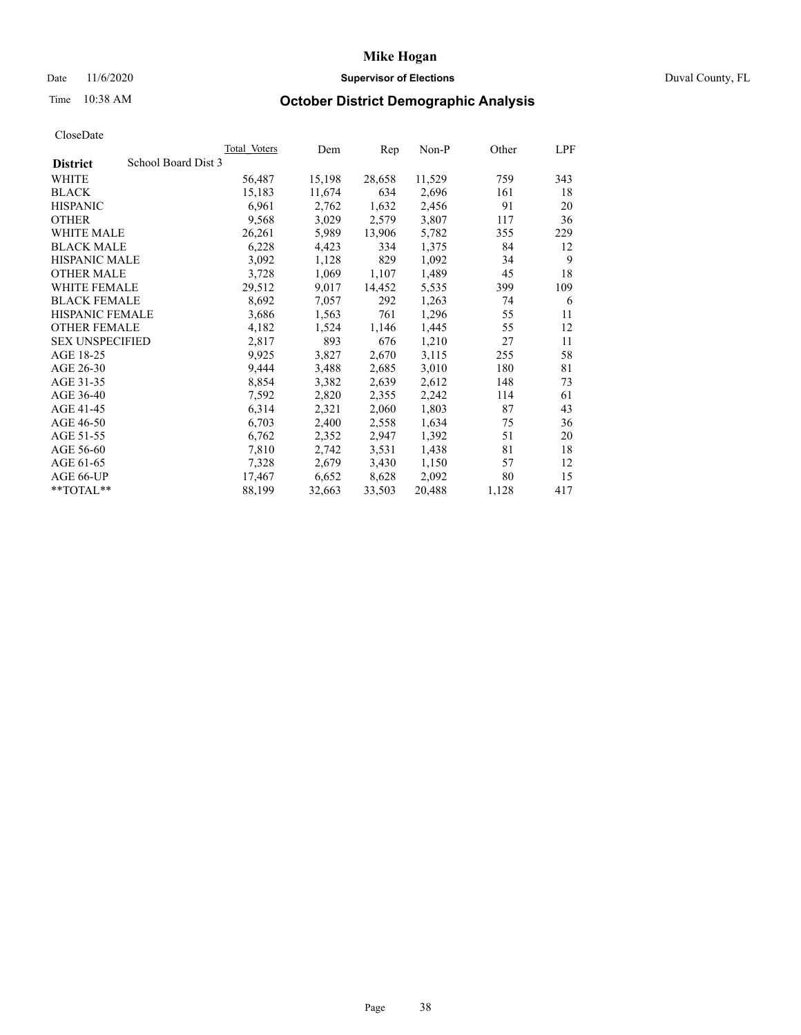## Date 11/6/2020 **Supervisor of Elections Supervisor of Elections** Duval County, FL

# Time 10:38 AM **October District Demographic Analysis**

|                        | <b>Total Voters</b> | Dem    | Rep    | $Non-P$ | Other | LPF |
|------------------------|---------------------|--------|--------|---------|-------|-----|
| <b>District</b>        | School Board Dist 3 |        |        |         |       |     |
| WHITE                  | 56,487              | 15,198 | 28,658 | 11,529  | 759   | 343 |
| <b>BLACK</b>           | 15,183              | 11,674 | 634    | 2,696   | 161   | 18  |
| <b>HISPANIC</b>        | 6,961               | 2,762  | 1,632  | 2,456   | 91    | 20  |
| <b>OTHER</b>           | 9,568               | 3,029  | 2,579  | 3,807   | 117   | 36  |
| WHITE MALE             | 26,261              | 5,989  | 13,906 | 5,782   | 355   | 229 |
| <b>BLACK MALE</b>      | 6,228               | 4,423  | 334    | 1,375   | 84    | 12  |
| <b>HISPANIC MALE</b>   | 3,092               | 1,128  | 829    | 1,092   | 34    | 9   |
| <b>OTHER MALE</b>      | 3,728               | 1,069  | 1,107  | 1,489   | 45    | 18  |
| WHITE FEMALE           | 29,512              | 9,017  | 14,452 | 5,535   | 399   | 109 |
| <b>BLACK FEMALE</b>    | 8,692               | 7,057  | 292    | 1,263   | 74    | 6   |
| HISPANIC FEMALE        | 3,686               | 1,563  | 761    | 1,296   | 55    | 11  |
| <b>OTHER FEMALE</b>    | 4,182               | 1,524  | 1,146  | 1,445   | 55    | 12  |
| <b>SEX UNSPECIFIED</b> | 2,817               | 893    | 676    | 1,210   | 27    | 11  |
| AGE 18-25              | 9,925               | 3,827  | 2,670  | 3,115   | 255   | 58  |
| AGE 26-30              | 9,444               | 3,488  | 2,685  | 3,010   | 180   | 81  |
| AGE 31-35              | 8,854               | 3,382  | 2,639  | 2,612   | 148   | 73  |
| AGE 36-40              | 7,592               | 2,820  | 2,355  | 2,242   | 114   | 61  |
| AGE 41-45              | 6,314               | 2,321  | 2,060  | 1,803   | 87    | 43  |
| AGE 46-50              | 6,703               | 2,400  | 2,558  | 1,634   | 75    | 36  |
| AGE 51-55              | 6,762               | 2,352  | 2,947  | 1,392   | 51    | 20  |
| AGE 56-60              | 7,810               | 2,742  | 3,531  | 1,438   | 81    | 18  |
| AGE 61-65              | 7,328               | 2,679  | 3,430  | 1,150   | 57    | 12  |
| AGE 66-UP              | 17,467              | 6,652  | 8,628  | 2,092   | 80    | 15  |
| **TOTAL**              | 88,199              | 32,663 | 33,503 | 20,488  | 1,128 | 417 |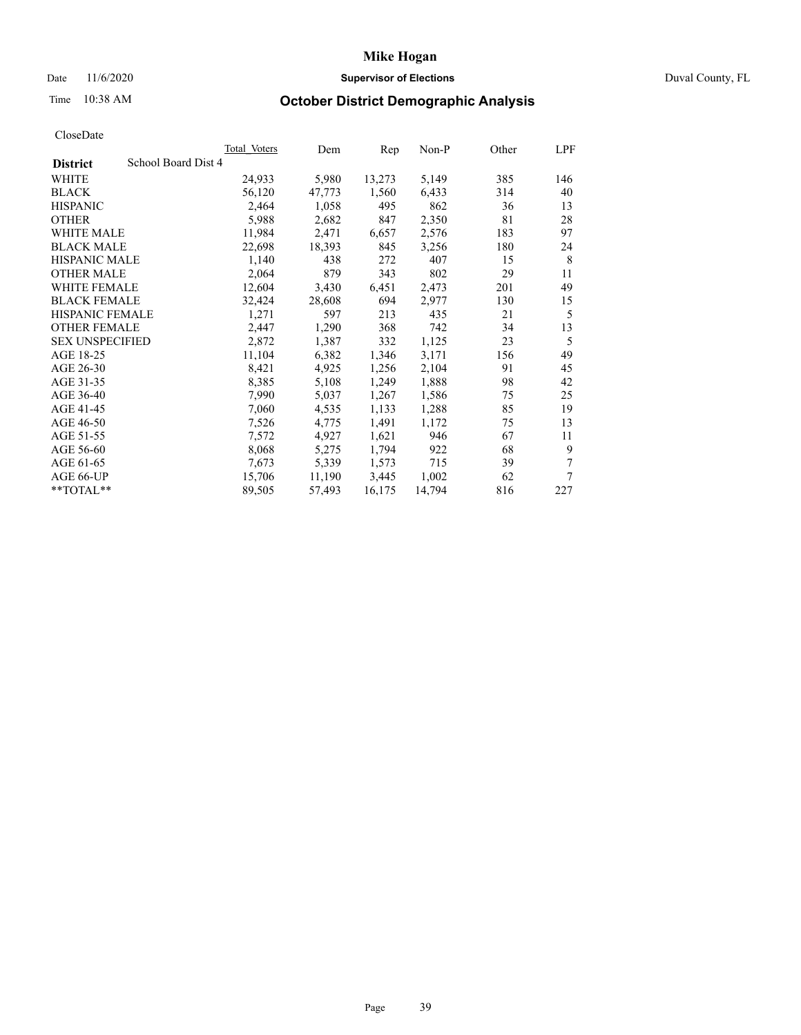## Date 11/6/2020 **Supervisor of Elections** Duval County, FL

# Time 10:38 AM **October District Demographic Analysis**

|                                        | <b>Total Voters</b> | Dem    | Rep    | $Non-P$ | Other | LPF |
|----------------------------------------|---------------------|--------|--------|---------|-------|-----|
| School Board Dist 4<br><b>District</b> |                     |        |        |         |       |     |
| WHITE                                  | 24,933              | 5,980  | 13,273 | 5,149   | 385   | 146 |
| <b>BLACK</b>                           | 56,120              | 47,773 | 1,560  | 6,433   | 314   | 40  |
| <b>HISPANIC</b>                        | 2,464               | 1,058  | 495    | 862     | 36    | 13  |
| <b>OTHER</b>                           | 5,988               | 2,682  | 847    | 2,350   | 81    | 28  |
| WHITE MALE                             | 11,984              | 2,471  | 6,657  | 2,576   | 183   | 97  |
| <b>BLACK MALE</b>                      | 22,698              | 18,393 | 845    | 3,256   | 180   | 24  |
| <b>HISPANIC MALE</b>                   | 1,140               | 438    | 272    | 407     | 15    | 8   |
| <b>OTHER MALE</b>                      | 2,064               | 879    | 343    | 802     | 29    | 11  |
| WHITE FEMALE                           | 12,604              | 3,430  | 6,451  | 2,473   | 201   | 49  |
| <b>BLACK FEMALE</b>                    | 32,424              | 28,608 | 694    | 2,977   | 130   | 15  |
| HISPANIC FEMALE                        | 1,271               | 597    | 213    | 435     | 21    | 5   |
| <b>OTHER FEMALE</b>                    | 2,447               | 1,290  | 368    | 742     | 34    | 13  |
| <b>SEX UNSPECIFIED</b>                 | 2,872               | 1,387  | 332    | 1,125   | 23    | 5   |
| AGE 18-25                              | 11,104              | 6,382  | 1,346  | 3,171   | 156   | 49  |
| AGE 26-30                              | 8,421               | 4,925  | 1,256  | 2,104   | 91    | 45  |
| AGE 31-35                              | 8,385               | 5,108  | 1,249  | 1,888   | 98    | 42  |
| AGE 36-40                              | 7,990               | 5,037  | 1,267  | 1,586   | 75    | 25  |
| AGE 41-45                              | 7,060               | 4,535  | 1,133  | 1,288   | 85    | 19  |
| AGE 46-50                              | 7,526               | 4,775  | 1,491  | 1,172   | 75    | 13  |
| AGE 51-55                              | 7,572               | 4,927  | 1,621  | 946     | 67    | 11  |
| AGE 56-60                              | 8,068               | 5,275  | 1,794  | 922     | 68    | 9   |
| AGE 61-65                              | 7,673               | 5,339  | 1,573  | 715     | 39    | 7   |
| AGE 66-UP                              | 15,706              | 11,190 | 3,445  | 1,002   | 62    | 7   |
| **TOTAL**                              | 89,505              | 57,493 | 16,175 | 14,794  | 816   | 227 |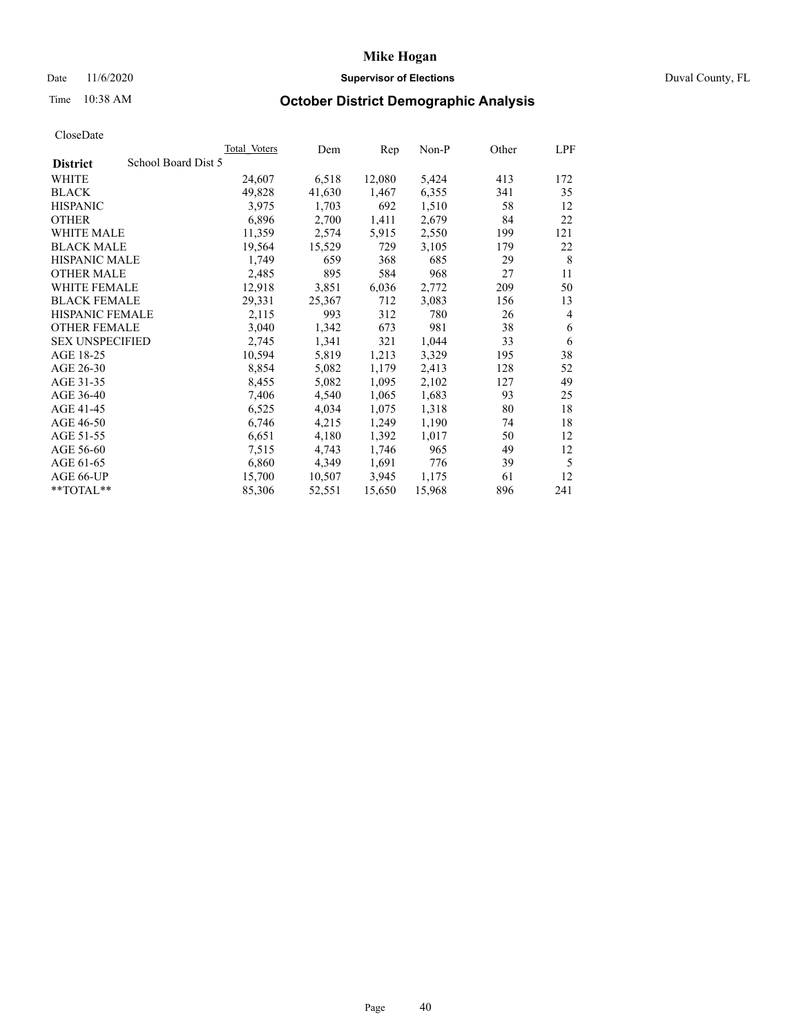## Date 11/6/2020 **Supervisor of Elections Supervisor of Elections** Duval County, FL

# Time 10:38 AM **October District Demographic Analysis**

|                                        | <b>Total Voters</b> | Dem    | Rep    | $Non-P$ | Other | LPF            |
|----------------------------------------|---------------------|--------|--------|---------|-------|----------------|
| School Board Dist 5<br><b>District</b> |                     |        |        |         |       |                |
| WHITE                                  | 24,607              | 6,518  | 12,080 | 5,424   | 413   | 172            |
| <b>BLACK</b>                           | 49,828              | 41,630 | 1,467  | 6,355   | 341   | 35             |
| <b>HISPANIC</b>                        | 3,975               | 1,703  | 692    | 1,510   | 58    | 12             |
| <b>OTHER</b>                           | 6,896               | 2,700  | 1,411  | 2,679   | 84    | 22             |
| WHITE MALE                             | 11,359              | 2,574  | 5,915  | 2,550   | 199   | 121            |
| <b>BLACK MALE</b>                      | 19,564              | 15,529 | 729    | 3,105   | 179   | 22             |
| <b>HISPANIC MALE</b>                   | 1,749               | 659    | 368    | 685     | 29    | 8              |
| <b>OTHER MALE</b>                      | 2,485               | 895    | 584    | 968     | 27    | 11             |
| WHITE FEMALE                           | 12,918              | 3,851  | 6,036  | 2,772   | 209   | 50             |
| <b>BLACK FEMALE</b>                    | 29,331              | 25,367 | 712    | 3,083   | 156   | 13             |
| HISPANIC FEMALE                        | 2,115               | 993    | 312    | 780     | 26    | $\overline{4}$ |
| <b>OTHER FEMALE</b>                    | 3,040               | 1,342  | 673    | 981     | 38    | 6              |
| <b>SEX UNSPECIFIED</b>                 | 2,745               | 1,341  | 321    | 1,044   | 33    | 6              |
| AGE 18-25                              | 10,594              | 5,819  | 1,213  | 3,329   | 195   | 38             |
| AGE 26-30                              | 8,854               | 5,082  | 1,179  | 2,413   | 128   | 52             |
| AGE 31-35                              | 8,455               | 5,082  | 1,095  | 2,102   | 127   | 49             |
| AGE 36-40                              | 7,406               | 4,540  | 1,065  | 1,683   | 93    | 25             |
| AGE 41-45                              | 6,525               | 4,034  | 1,075  | 1,318   | 80    | 18             |
| AGE 46-50                              | 6,746               | 4,215  | 1,249  | 1,190   | 74    | 18             |
| AGE 51-55                              | 6,651               | 4,180  | 1,392  | 1,017   | 50    | 12             |
| AGE 56-60                              | 7,515               | 4,743  | 1,746  | 965     | 49    | 12             |
| AGE 61-65                              | 6,860               | 4,349  | 1,691  | 776     | 39    | 5              |
| AGE 66-UP                              | 15,700              | 10,507 | 3,945  | 1,175   | 61    | 12             |
| **TOTAL**                              | 85,306              | 52,551 | 15,650 | 15,968  | 896   | 241            |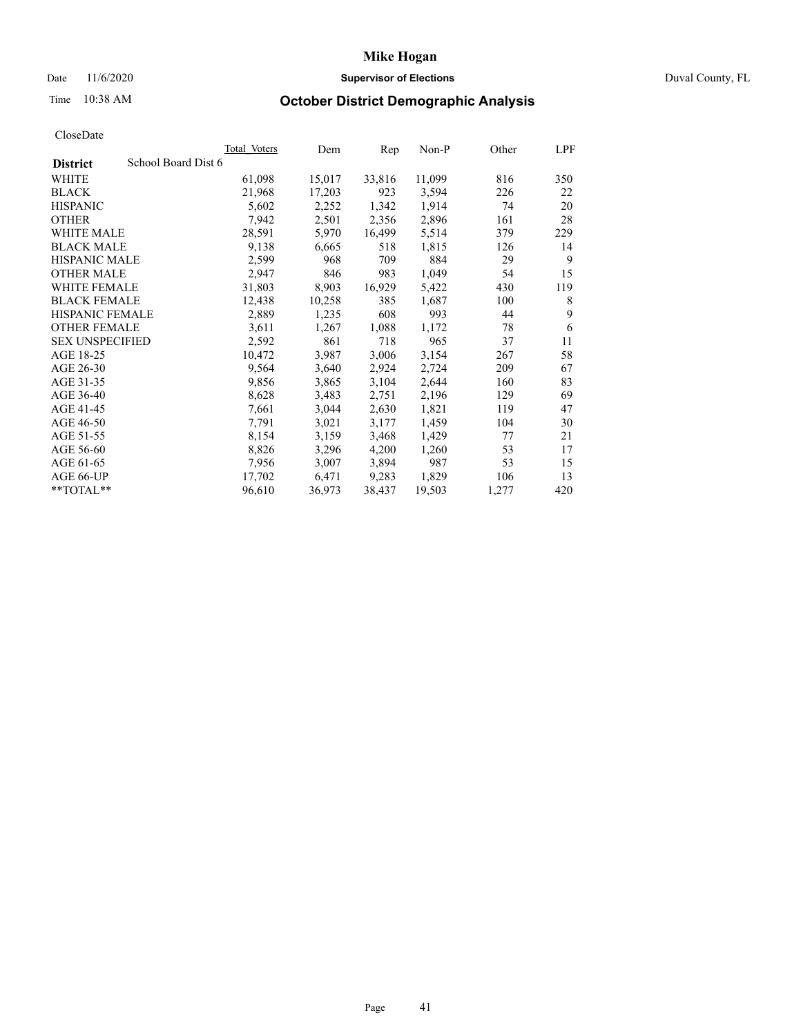## Date 11/6/2020 **Supervisor of Elections Supervisor of Elections** Duval County, FL

# Time 10:38 AM **October District Demographic Analysis**

|                        |                 |                     |        |                                                                                                                                                                                                                           | Other | LPF            |
|------------------------|-----------------|---------------------|--------|---------------------------------------------------------------------------------------------------------------------------------------------------------------------------------------------------------------------------|-------|----------------|
| School Board Dist 6    |                 |                     |        |                                                                                                                                                                                                                           |       |                |
|                        | 61,098          |                     | 33,816 | 11,099                                                                                                                                                                                                                    |       | 350            |
|                        | 21,968          |                     | 923    | 3,594                                                                                                                                                                                                                     | 226   | 22             |
|                        | 5,602           |                     | 1,342  | 1,914                                                                                                                                                                                                                     | 74    | 20             |
|                        | 7,942           |                     | 2,356  | 2,896                                                                                                                                                                                                                     | 161   | 28             |
|                        | 28,591          |                     | 16,499 | 5,514                                                                                                                                                                                                                     | 379   | 229            |
|                        | 9,138           |                     | 518    | 1,815                                                                                                                                                                                                                     | 126   | 14             |
| <b>HISPANIC MALE</b>   | 2,599           |                     | 709    | 884                                                                                                                                                                                                                       | 29    | 9              |
|                        | 2,947           |                     | 983    | 1,049                                                                                                                                                                                                                     | 54    | 15             |
| WHITE FEMALE           | 31,803          |                     | 16,929 | 5,422                                                                                                                                                                                                                     | 430   | 119            |
| <b>BLACK FEMALE</b>    | 12,438          |                     | 385    | 1,687                                                                                                                                                                                                                     | 100   | 8              |
|                        | 2,889           |                     | 608    | 993                                                                                                                                                                                                                       | 44    | 9              |
| <b>OTHER FEMALE</b>    | 3,611           |                     | 1,088  | 1,172                                                                                                                                                                                                                     | 78    | 6              |
| <b>SEX UNSPECIFIED</b> | 2,592           |                     | 718    | 965                                                                                                                                                                                                                       | 37    | 11             |
|                        | 10,472          |                     | 3,006  | 3,154                                                                                                                                                                                                                     | 267   | 58             |
|                        | 9,564           |                     | 2,924  | 2,724                                                                                                                                                                                                                     | 209   | 67             |
|                        | 9,856           |                     | 3,104  | 2,644                                                                                                                                                                                                                     | 160   | 83             |
|                        | 8,628           |                     | 2,751  | 2,196                                                                                                                                                                                                                     | 129   | 69             |
|                        | 7,661           |                     | 2,630  | 1,821                                                                                                                                                                                                                     | 119   | 47             |
|                        | 7,791           |                     | 3,177  | 1,459                                                                                                                                                                                                                     | 104   | 30             |
|                        | 8,154           |                     | 3,468  | 1,429                                                                                                                                                                                                                     | 77    | 21             |
|                        | 8,826           |                     | 4,200  | 1,260                                                                                                                                                                                                                     | 53    | 17             |
|                        | 7,956           |                     | 3,894  | 987                                                                                                                                                                                                                       | 53    | 15             |
|                        | 17,702          |                     | 9,283  | 1,829                                                                                                                                                                                                                     | 106   | 13             |
|                        | 96,610          |                     | 38,437 | 19,503                                                                                                                                                                                                                    | 1,277 | 420            |
|                        | HISPANIC FEMALE | <b>Total Voters</b> |        | Dem<br>15,017<br>17,203<br>2,252<br>2,501<br>5,970<br>6,665<br>968<br>846<br>8,903<br>10,258<br>1,235<br>1,267<br>861<br>3,987<br>3,640<br>3,865<br>3,483<br>3,044<br>3,021<br>3,159<br>3,296<br>3,007<br>6,471<br>36,973 | Rep   | $Non-P$<br>816 |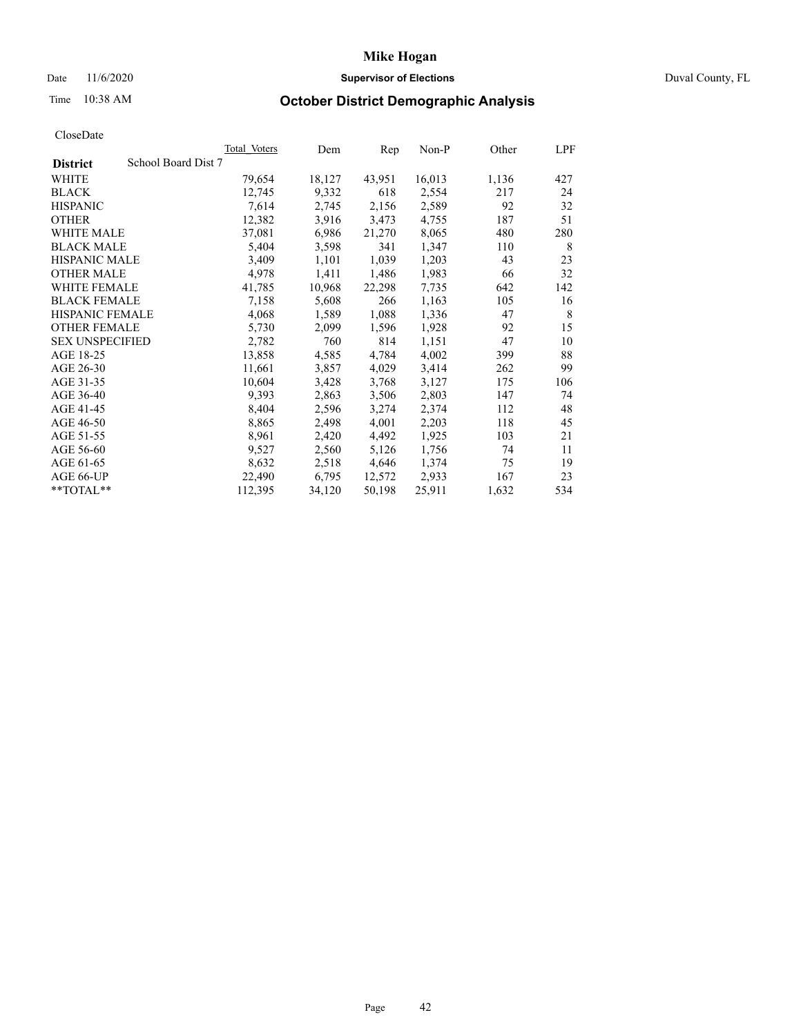## Date 11/6/2020 **Supervisor of Elections** Duval County, FL

# Time 10:38 AM **October District Demographic Analysis**

|                                        | Total Voters | Dem    | Rep    | Non-P  | Other | LPF |
|----------------------------------------|--------------|--------|--------|--------|-------|-----|
| School Board Dist 7<br><b>District</b> |              |        |        |        |       |     |
| WHITE                                  | 79,654       | 18,127 | 43,951 | 16,013 | 1,136 | 427 |
| <b>BLACK</b>                           | 12,745       | 9,332  | 618    | 2,554  | 217   | 24  |
| <b>HISPANIC</b>                        | 7,614        | 2,745  | 2,156  | 2,589  | 92    | 32  |
| <b>OTHER</b>                           | 12,382       | 3,916  | 3,473  | 4,755  | 187   | 51  |
| WHITE MALE                             | 37,081       | 6,986  | 21,270 | 8,065  | 480   | 280 |
| <b>BLACK MALE</b>                      | 5,404        | 3,598  | 341    | 1,347  | 110   | 8   |
| <b>HISPANIC MALE</b>                   | 3,409        | 1,101  | 1,039  | 1,203  | 43    | 23  |
| <b>OTHER MALE</b>                      | 4,978        | 1,411  | 1,486  | 1,983  | 66    | 32  |
| <b>WHITE FEMALE</b>                    | 41,785       | 10,968 | 22,298 | 7,735  | 642   | 142 |
| <b>BLACK FEMALE</b>                    | 7,158        | 5,608  | 266    | 1,163  | 105   | 16  |
| <b>HISPANIC FEMALE</b>                 | 4,068        | 1,589  | 1,088  | 1,336  | 47    | 8   |
| <b>OTHER FEMALE</b>                    | 5,730        | 2,099  | 1,596  | 1,928  | 92    | 15  |
| <b>SEX UNSPECIFIED</b>                 | 2,782        | 760    | 814    | 1,151  | 47    | 10  |
| AGE 18-25                              | 13,858       | 4,585  | 4,784  | 4,002  | 399   | 88  |
| AGE 26-30                              | 11,661       | 3,857  | 4,029  | 3,414  | 262   | 99  |
| AGE 31-35                              | 10,604       | 3,428  | 3,768  | 3,127  | 175   | 106 |
| AGE 36-40                              | 9,393        | 2,863  | 3,506  | 2,803  | 147   | 74  |
| AGE 41-45                              | 8,404        | 2,596  | 3,274  | 2,374  | 112   | 48  |
| AGE 46-50                              | 8,865        | 2,498  | 4,001  | 2,203  | 118   | 45  |
| AGE 51-55                              | 8,961        | 2,420  | 4,492  | 1,925  | 103   | 21  |
| AGE 56-60                              | 9,527        | 2,560  | 5,126  | 1,756  | 74    | 11  |
| AGE 61-65                              | 8,632        | 2,518  | 4,646  | 1,374  | 75    | 19  |
| AGE 66-UP                              | 22,490       | 6,795  | 12,572 | 2,933  | 167   | 23  |
| $*$ TOTAL $*$                          | 112,395      | 34,120 | 50,198 | 25,911 | 1,632 | 534 |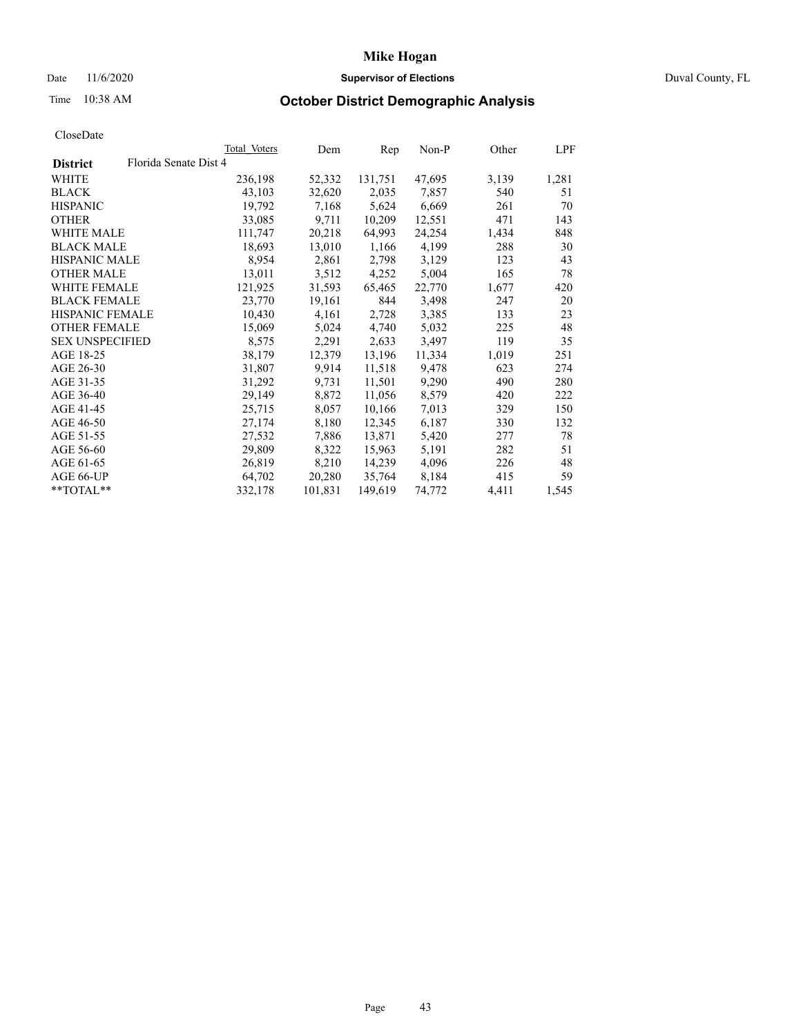## Date 11/6/2020 **Supervisor of Elections Supervisor of Elections** Duval County, FL

## Time 10:38 AM **October District Demographic Analysis**

|                                          | <b>Total Voters</b> | Dem     | Rep     | $Non-P$ | Other | LPF   |
|------------------------------------------|---------------------|---------|---------|---------|-------|-------|
| Florida Senate Dist 4<br><b>District</b> |                     |         |         |         |       |       |
| WHITE                                    | 236,198             | 52,332  | 131,751 | 47,695  | 3,139 | 1,281 |
| <b>BLACK</b>                             | 43,103              | 32,620  | 2,035   | 7,857   | 540   | 51    |
| <b>HISPANIC</b>                          | 19,792              | 7,168   | 5,624   | 6,669   | 261   | 70    |
| <b>OTHER</b>                             | 33,085              | 9,711   | 10,209  | 12,551  | 471   | 143   |
| WHITE MALE                               | 111,747             | 20,218  | 64,993  | 24,254  | 1,434 | 848   |
| <b>BLACK MALE</b>                        | 18,693              | 13,010  | 1,166   | 4,199   | 288   | 30    |
| <b>HISPANIC MALE</b>                     | 8,954               | 2,861   | 2,798   | 3,129   | 123   | 43    |
| <b>OTHER MALE</b>                        | 13,011              | 3,512   | 4,252   | 5,004   | 165   | 78    |
| <b>WHITE FEMALE</b>                      | 121,925             | 31,593  | 65,465  | 22,770  | 1,677 | 420   |
| <b>BLACK FEMALE</b>                      | 23,770              | 19,161  | 844     | 3,498   | 247   | 20    |
| HISPANIC FEMALE                          | 10,430              | 4,161   | 2,728   | 3,385   | 133   | 23    |
| <b>OTHER FEMALE</b>                      | 15,069              | 5,024   | 4,740   | 5,032   | 225   | 48    |
| <b>SEX UNSPECIFIED</b>                   | 8,575               | 2,291   | 2,633   | 3,497   | 119   | 35    |
| AGE 18-25                                | 38,179              | 12,379  | 13,196  | 11,334  | 1,019 | 251   |
| AGE 26-30                                | 31,807              | 9,914   | 11,518  | 9,478   | 623   | 274   |
| AGE 31-35                                | 31,292              | 9,731   | 11,501  | 9,290   | 490   | 280   |
| AGE 36-40                                | 29,149              | 8,872   | 11,056  | 8,579   | 420   | 222   |
| AGE 41-45                                | 25,715              | 8,057   | 10,166  | 7,013   | 329   | 150   |
| AGE 46-50                                | 27,174              | 8,180   | 12,345  | 6,187   | 330   | 132   |
| AGE 51-55                                | 27,532              | 7,886   | 13,871  | 5,420   | 277   | 78    |
| AGE 56-60                                | 29,809              | 8,322   | 15,963  | 5,191   | 282   | 51    |
| AGE 61-65                                | 26,819              | 8,210   | 14,239  | 4,096   | 226   | 48    |
| AGE 66-UP                                | 64,702              | 20,280  | 35,764  | 8,184   | 415   | 59    |
| **TOTAL**                                | 332,178             | 101,831 | 149,619 | 74,772  | 4,411 | 1,545 |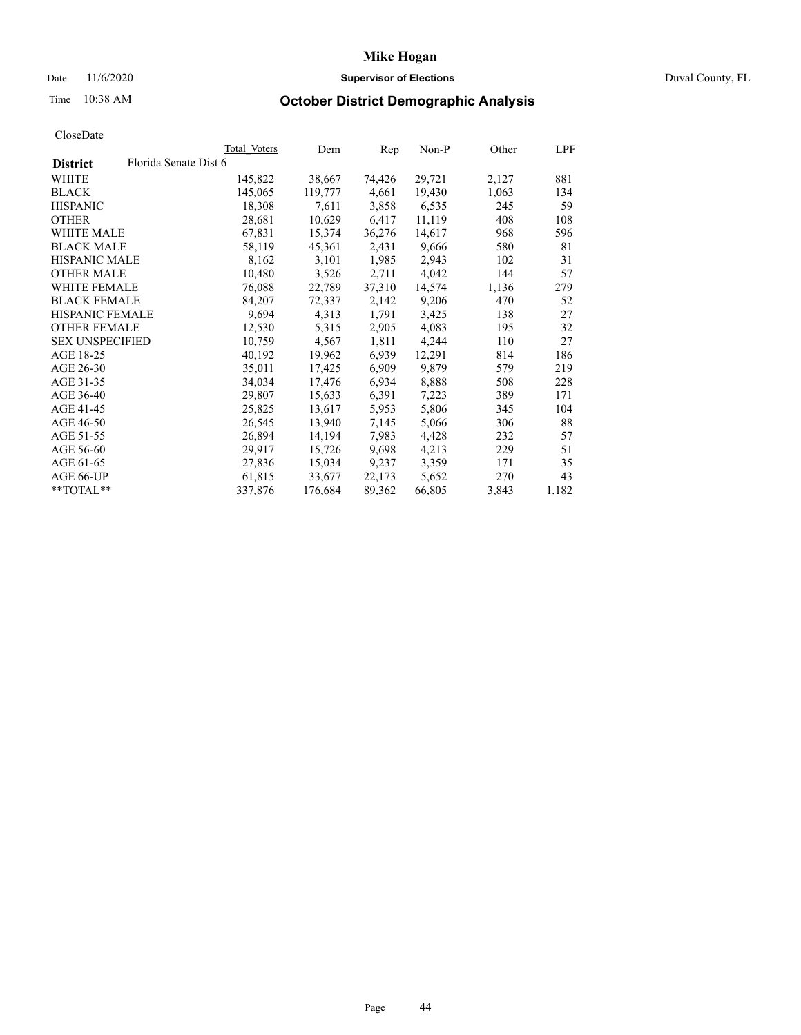## Date 11/6/2020 **Supervisor of Elections Supervisor of Elections** Duval County, FL

# Time 10:38 AM **October District Demographic Analysis**

|                        |                       | Total Voters | Dem     | Rep    | $Non-P$ | Other | <u>LPF</u> |
|------------------------|-----------------------|--------------|---------|--------|---------|-------|------------|
| <b>District</b>        | Florida Senate Dist 6 |              |         |        |         |       |            |
| WHITE                  |                       | 145,822      | 38,667  | 74,426 | 29,721  | 2,127 | 881        |
| <b>BLACK</b>           |                       | 145,065      | 119,777 | 4,661  | 19,430  | 1,063 | 134        |
| <b>HISPANIC</b>        |                       | 18,308       | 7,611   | 3,858  | 6,535   | 245   | 59         |
| <b>OTHER</b>           |                       | 28,681       | 10,629  | 6,417  | 11,119  | 408   | 108        |
| WHITE MALE             |                       | 67,831       | 15,374  | 36,276 | 14,617  | 968   | 596        |
| <b>BLACK MALE</b>      |                       | 58,119       | 45,361  | 2,431  | 9,666   | 580   | 81         |
| <b>HISPANIC MALE</b>   |                       | 8,162        | 3,101   | 1,985  | 2,943   | 102   | 31         |
| <b>OTHER MALE</b>      |                       | 10,480       | 3,526   | 2,711  | 4,042   | 144   | 57         |
| <b>WHITE FEMALE</b>    |                       | 76,088       | 22,789  | 37,310 | 14,574  | 1,136 | 279        |
| <b>BLACK FEMALE</b>    |                       | 84,207       | 72,337  | 2,142  | 9,206   | 470   | 52         |
| HISPANIC FEMALE        |                       | 9,694        | 4,313   | 1,791  | 3,425   | 138   | 27         |
| <b>OTHER FEMALE</b>    |                       | 12,530       | 5,315   | 2,905  | 4,083   | 195   | 32         |
| <b>SEX UNSPECIFIED</b> |                       | 10,759       | 4,567   | 1,811  | 4,244   | 110   | 27         |
| AGE 18-25              |                       | 40,192       | 19,962  | 6,939  | 12,291  | 814   | 186        |
| AGE 26-30              |                       | 35,011       | 17,425  | 6,909  | 9,879   | 579   | 219        |
| AGE 31-35              |                       | 34,034       | 17,476  | 6,934  | 8,888   | 508   | 228        |
| AGE 36-40              |                       | 29,807       | 15,633  | 6,391  | 7,223   | 389   | 171        |
| AGE 41-45              |                       | 25,825       | 13,617  | 5,953  | 5,806   | 345   | 104        |
| AGE 46-50              |                       | 26,545       | 13,940  | 7,145  | 5,066   | 306   | 88         |
| AGE 51-55              |                       | 26,894       | 14,194  | 7,983  | 4,428   | 232   | 57         |
| AGE 56-60              |                       | 29,917       | 15,726  | 9,698  | 4,213   | 229   | 51         |
| AGE 61-65              |                       | 27,836       | 15,034  | 9,237  | 3,359   | 171   | 35         |
| AGE 66-UP              |                       | 61,815       | 33,677  | 22,173 | 5,652   | 270   | 43         |
| $*$ $TOTAL**$          |                       | 337,876      | 176,684 | 89,362 | 66,805  | 3,843 | 1,182      |
|                        |                       |              |         |        |         |       |            |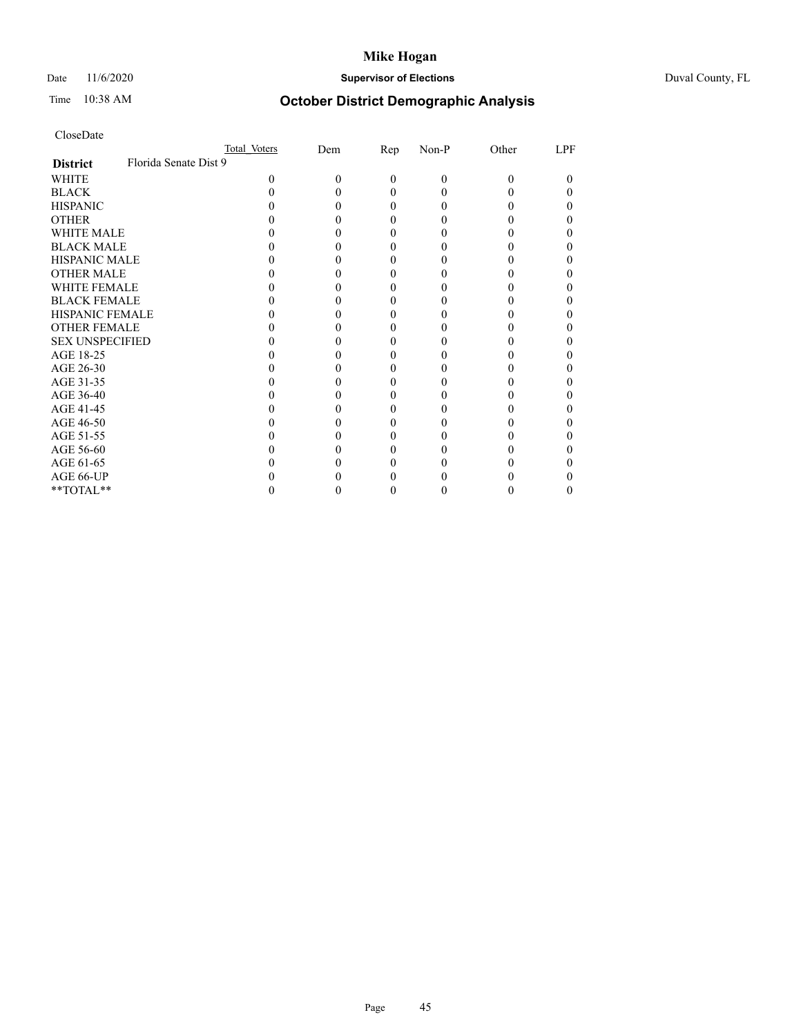## Date 11/6/2020 **Supervisor of Elections** Duval County, FL

# Time 10:38 AM **October District Demographic Analysis**

|                        |                       | Total Voters | Dem | <u>Rep</u> | Non-P | Other | LPF |
|------------------------|-----------------------|--------------|-----|------------|-------|-------|-----|
| <b>District</b>        | Florida Senate Dist 9 |              |     |            |       |       |     |
| WHITE                  |                       | 0            | 0   | 0          | 0     | 0     | 0   |
| <b>BLACK</b>           |                       |              |     |            |       |       |     |
| <b>HISPANIC</b>        |                       |              |     | 0          |       |       |     |
| <b>OTHER</b>           |                       |              |     |            |       |       |     |
| <b>WHITE MALE</b>      |                       |              |     |            |       |       |     |
| <b>BLACK MALE</b>      |                       |              |     |            |       |       |     |
| <b>HISPANIC MALE</b>   |                       |              |     |            |       |       |     |
| <b>OTHER MALE</b>      |                       |              |     |            |       |       |     |
| WHITE FEMALE           |                       |              |     |            |       |       |     |
| <b>BLACK FEMALE</b>    |                       |              |     |            |       |       |     |
| <b>HISPANIC FEMALE</b> |                       |              |     |            |       |       |     |
| <b>OTHER FEMALE</b>    |                       |              |     |            |       |       |     |
| <b>SEX UNSPECIFIED</b> |                       |              |     |            |       |       |     |
| AGE 18-25              |                       |              |     |            |       |       |     |
| AGE 26-30              |                       |              |     |            |       |       |     |
| AGE 31-35              |                       |              |     |            |       |       |     |
| AGE 36-40              |                       |              |     |            |       |       |     |
| AGE 41-45              |                       |              |     |            |       |       |     |
| AGE 46-50              |                       |              |     |            |       |       |     |
| AGE 51-55              |                       |              |     |            |       |       |     |
| AGE 56-60              |                       |              |     |            |       |       |     |
| AGE 61-65              |                       |              |     |            |       |       |     |
| AGE 66-UP              |                       |              |     |            |       |       |     |
| **TOTAL**              |                       |              |     |            |       |       | 0   |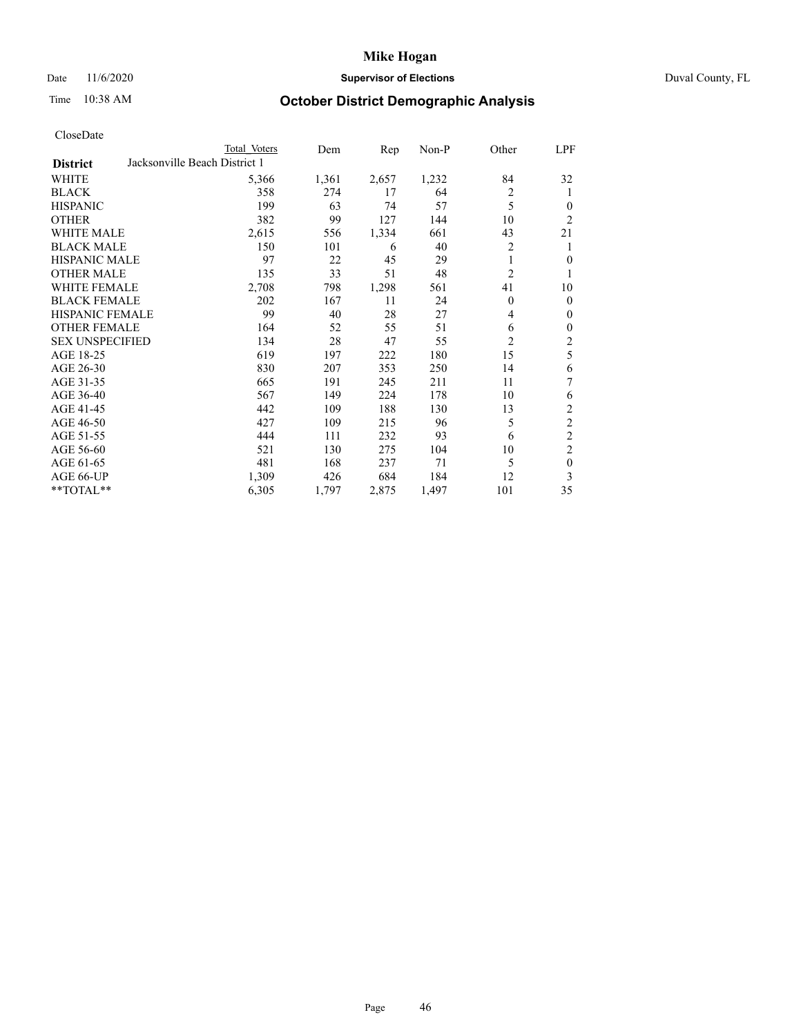## Date 11/6/2020 **Supervisor of Elections** Duval County, FL

# Time 10:38 AM **October District Demographic Analysis**

|                        | Total Voters                  | Dem   | Rep   | Non-P | Other          | LPF              |
|------------------------|-------------------------------|-------|-------|-------|----------------|------------------|
| <b>District</b>        | Jacksonville Beach District 1 |       |       |       |                |                  |
| WHITE                  | 5,366                         | 1,361 | 2,657 | 1,232 | 84             | 32               |
| <b>BLACK</b>           | 358                           | 274   | 17    | 64    | $\overline{2}$ | 1                |
| <b>HISPANIC</b>        | 199                           | 63    | 74    | 57    | 5              | $\theta$         |
| <b>OTHER</b>           | 382                           | 99    | 127   | 144   | 10             | $\overline{2}$   |
| WHITE MALE             | 2,615                         | 556   | 1,334 | 661   | 43             | 21               |
| <b>BLACK MALE</b>      | 150                           | 101   | 6     | 40    | 2              | 1                |
| <b>HISPANIC MALE</b>   | 97                            | 22    | 45    | 29    | 1              | $\mathbf{0}$     |
| <b>OTHER MALE</b>      | 135                           | 33    | 51    | 48    | 2              | 1                |
| WHITE FEMALE           | 2,708                         | 798   | 1,298 | 561   | 41             | 10               |
| <b>BLACK FEMALE</b>    | 202                           | 167   | 11    | 24    | $\Omega$       | $\mathbf{0}$     |
| <b>HISPANIC FEMALE</b> | 99                            | 40    | 28    | 27    | 4              | $\theta$         |
| <b>OTHER FEMALE</b>    | 164                           | 52    | 55    | 51    | 6              | $\mathbf{0}$     |
| <b>SEX UNSPECIFIED</b> | 134                           | 28    | 47    | 55    | $\overline{2}$ | $\boldsymbol{2}$ |
| AGE 18-25              | 619                           | 197   | 222   | 180   | 15             | 5                |
| AGE 26-30              | 830                           | 207   | 353   | 250   | 14             | 6                |
| AGE 31-35              | 665                           | 191   | 245   | 211   | 11             | 7                |
| AGE 36-40              | 567                           | 149   | 224   | 178   | 10             | 6                |
| AGE 41-45              | 442                           | 109   | 188   | 130   | 13             | $\overline{2}$   |
| AGE 46-50              | 427                           | 109   | 215   | 96    | 5              | $\overline{2}$   |
| AGE 51-55              | 444                           | 111   | 232   | 93    | 6              | $\overline{c}$   |
| AGE 56-60              | 521                           | 130   | 275   | 104   | 10             | $\overline{c}$   |
| AGE 61-65              | 481                           | 168   | 237   | 71    | 5              | $\mathbf{0}$     |
| AGE 66-UP              | 1,309                         | 426   | 684   | 184   | 12             | 3                |
| **TOTAL**              | 6,305                         | 1,797 | 2,875 | 1,497 | 101            | 35               |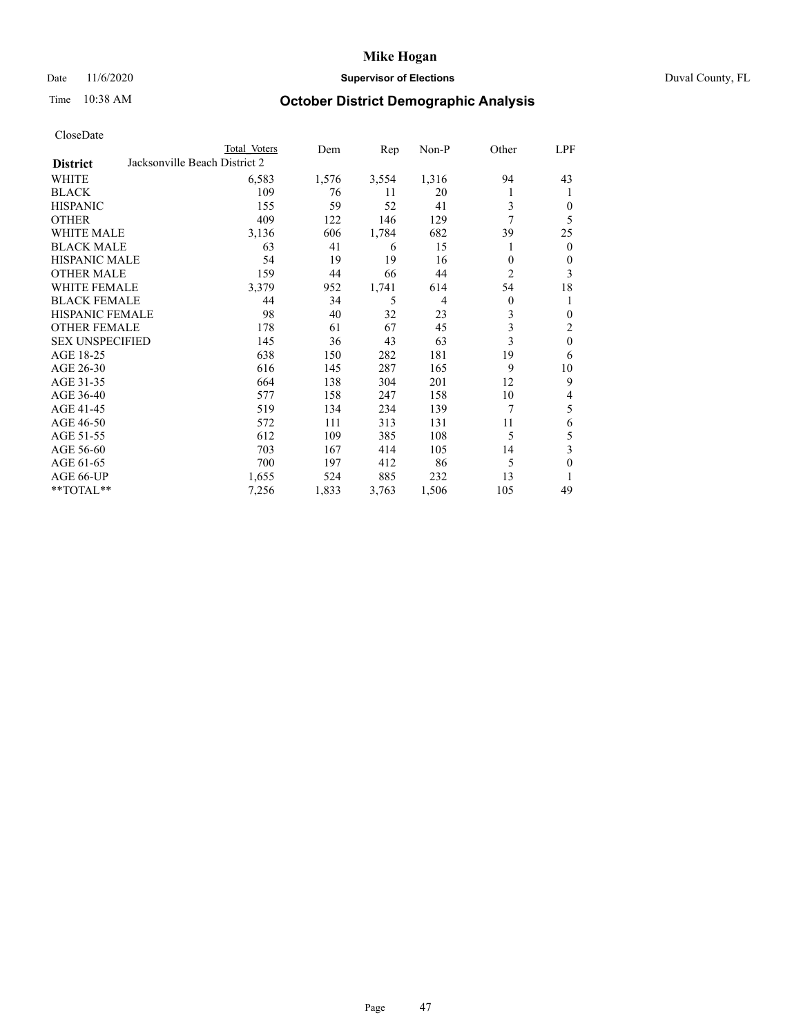## Date 11/6/2020 **Supervisor of Elections** Duval County, FL

# Time 10:38 AM **October District Demographic Analysis**

|                        | Total Voters                  |       | Dem   | Rep   | Non-P          | Other          | LPF          |
|------------------------|-------------------------------|-------|-------|-------|----------------|----------------|--------------|
| <b>District</b>        | Jacksonville Beach District 2 |       |       |       |                |                |              |
| WHITE                  |                               | 6,583 | 1,576 | 3,554 | 1,316          | 94             | 43           |
| <b>BLACK</b>           |                               | 109   | 76    | 11    | 20             |                | 1            |
| <b>HISPANIC</b>        |                               | 155   | 59    | 52    | 41             | 3              | 0            |
| <b>OTHER</b>           |                               | 409   | 122   | 146   | 129            | $\overline{7}$ | 5            |
| WHITE MALE             |                               | 3,136 | 606   | 1,784 | 682            | 39             | 25           |
| <b>BLACK MALE</b>      |                               | 63    | 41    | 6     | 15             |                | $\mathbf{0}$ |
| <b>HISPANIC MALE</b>   |                               | 54    | 19    | 19    | 16             | 0              | 0            |
| <b>OTHER MALE</b>      |                               | 159   | 44    | 66    | 44             | 2              | 3            |
| WHITE FEMALE           |                               | 3,379 | 952   | 1,741 | 614            | 54             | 18           |
| <b>BLACK FEMALE</b>    |                               | 44    | 34    | 5     | $\overline{4}$ | 0              | 1            |
| <b>HISPANIC FEMALE</b> |                               | 98    | 40    | 32    | 23             | 3              | 0            |
| <b>OTHER FEMALE</b>    |                               | 178   | 61    | 67    | 45             | 3              | 2            |
| <b>SEX UNSPECIFIED</b> |                               | 145   | 36    | 43    | 63             | 3              | $\mathbf{0}$ |
| AGE 18-25              |                               | 638   | 150   | 282   | 181            | 19             | 6            |
| AGE 26-30              |                               | 616   | 145   | 287   | 165            | 9              | 10           |
| AGE 31-35              |                               | 664   | 138   | 304   | 201            | 12             | 9            |
| AGE 36-40              |                               | 577   | 158   | 247   | 158            | 10             | 4            |
| AGE 41-45              |                               | 519   | 134   | 234   | 139            | 7              | 5            |
| AGE 46-50              |                               | 572   | 111   | 313   | 131            | 11             | 6            |
| AGE 51-55              |                               | 612   | 109   | 385   | 108            | 5              | 5            |
| AGE 56-60              |                               | 703   | 167   | 414   | 105            | 14             | 3            |
| AGE 61-65              |                               | 700   | 197   | 412   | 86             | 5              | $\theta$     |
| AGE 66-UP              |                               | 1,655 | 524   | 885   | 232            | 13             |              |
| **TOTAL**              |                               | 7,256 | 1,833 | 3,763 | 1,506          | 105            | 49           |